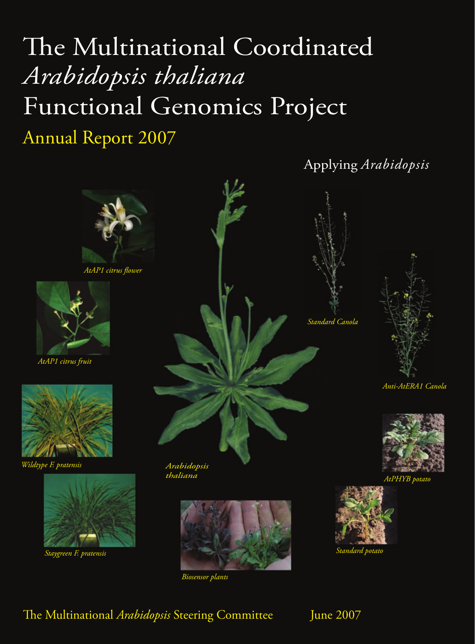# The Multinational Coordinated *Arabidopsis thaliana* Functional Genomics Project

# Annual Report 2007

Applying *Arabidopsis*









*AtPHYB potato*



*Standard potato*



*AtAP1 citrus flower*



*AtAP1 citrus fruit*



*Wildtype F. pratensis*



*Staygreen F. pratensis*





*Biosensor plants*

# e Multinational *Arabidopsis* Steering Committee June 2007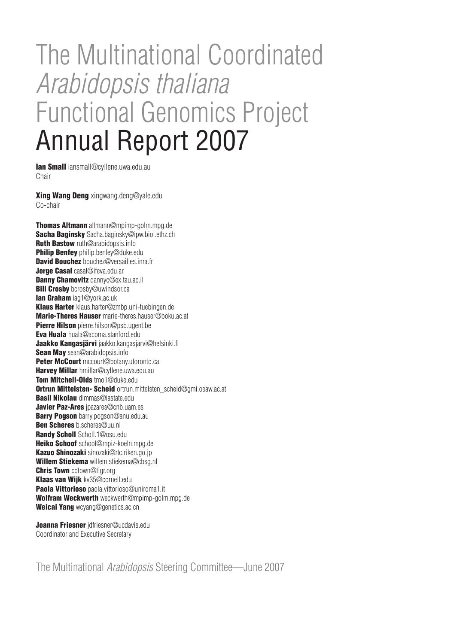# The Multinational Coordinated *Arabidopsis thaliana* Functional Genomics Project Annual Report 2007

**Ian Small** iansmall@cyllene.uwa.edu.au Chair

Xing Wang Deng xingwang.deng@yale.edu Co-chair

Thomas Altmann altmann@mpimp-golm.mpg.de Sacha Baginsky Sacha.baginsky@ipw.biol.ethz.ch Ruth Bastow ruth@arabidopsis.info Philip Benfey philip.benfey@duke.edu David Bouchez bouchez@versailles.inra.fr Jorge Casal casal@ifeva.edu.ar Danny Chamovitz dannyc@ex.tau.ac.il **Bill Crosby** bcrosby@uwindsor.ca Ian Graham iag1@york.ac.uk Klaus Harter klaus.harter@zmbp.uni-tuebingen.de Marie-Theres Hauser marie-theres.hauser@boku.ac.at Pierre Hilson pierre.hilson@psb.ugent.be Eva Huala huala@acoma.stanford.edu Jaakko Kangasjärvi jaakko.kangasjarvi@helsinki.fi Sean May sean@arabidopsis.info Peter McCourt mccourt@botany.utoronto.ca Harvey Millar hmillar@cyllene.uwa.edu.au Tom Mitchell-Olds tmo1@duke.edu Ortrun Mittelsten- Scheid ortrun.mittelsten\_scheid@gmi.oeaw.ac.at Basil Nikolau dimmas@iastate.edu Javier Paz-Ares jpazares@cnb.uam.es Barry Pogson barry.pogson@anu.edu.au Ben Scheres b.scheres@uu.nl Randy Scholl Scholl.1@osu.edu Heiko Schoof schoof@mpiz-koeln.mpg.de Kazuo Shinozaki sinozaki@rtc.riken.go.jp Willem Stiekema willem.stiekema@cbsg.nl Chris Town cdtown@tigr.org Klaas van Wijk kv35@cornell.edu Paola Vittorioso paola.vittorioso@uniroma1.it Wolfram Weckwerth weckwerth@mpimp-golm.mpg.de Weicai Yang wcyang@genetics.ac.cn

Joanna Friesner jdfriesner@ucdavis.edu Coordinator and Executive Secretary

The Multinational *Arabidopsis* Steering Committee—June 2007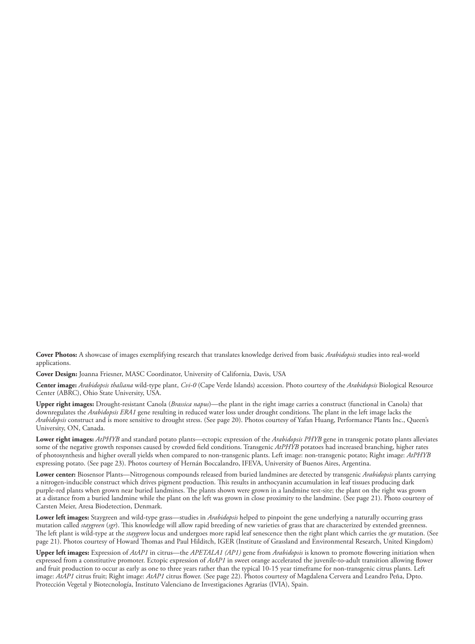**Cover Photos:** A showcase of images exemplifying research that translates knowledge derived from basic *Arabidopsis* studies into real-world applications.

**Cover Design:** Joanna Friesner, MASC Coordinator, University of California, Davis, USA

**Center image:** *Arabidopsis thaliana* wild-type plant, *Cvi-0* (Cape Verde Islands) accession. Photo courtesy of the *Arabidopsis* Biological Resource Center (ABRC), Ohio State University, USA.

**Upper right images:** Drought-resistant Canola (*Brassica napus*)—the plant in the right image carries a construct (functional in Canola) that downregulates the *Arabidopsis ERA1* gene resulting in reduced water loss under drought conditions. The plant in the left image lacks the *Arabidopsis* construct and is more sensitive to drought stress. (See page 20). Photos courtesy of Yafan Huang, Performance Plants Inc., Queen's University, ON, Canada.

**Lower right images:** *AtPHYB* and standard potato plants—ectopic expression of the *Arabidopsis PHYB* gene in transgenic potato plants alleviates some of the negative growth responses caused by crowded field conditions. Transgenic *AtPHYB* potatoes had increased branching, higher rates of photosynthesis and higher overall yields when compared to non-transgenic plants. Left image: non-transgenic potato; Right image: *AtPHYB* expressing potato. (See page 23). Photos courtesy of Hernán Boccalandro, IFEVA, University of Buenos Aires, Argentina.

**Lower center:** Biosensor Plants—Nitrogenous compounds released from buried landmines are detected by transgenic *Arabidopsis* plants carrying a nitrogen-inducible construct which drives pigment production. This results in anthocyanin accumulation in leaf tissues producing dark purple-red plants when grown near buried landmines. The plants shown were grown in a landmine test-site; the plant on the right was grown at a distance from a buried landmine while the plant on the left was grown in close proximity to the landmine. (See page 21). Photo courtesy of Carsten Meier, Aresa Biodetection, Denmark.

**Lower left images:** Staygreen and wild-type grass—studies in *Arabidopsis* helped to pinpoint the gene underlying a naturally occurring grass mutation called *staygreen* (*sgr*). This knowledge will allow rapid breeding of new varieties of grass that are characterized by extended greenness. The left plant is wild-type at the *staygreen* locus and undergoes more rapid leaf senescence then the right plant which carries the *sgr* mutation. (See page 21). Photos courtesy of Howard Thomas and Paul Hilditch, IGER (Institute of Grassland and Environmental Research, United Kingdom)

**Upper left images:** Expression of *AtAP1* in citrus—the *APETALA1 (AP1)* gene from *Arabidopsis* is known to promote flowering initiation when expressed from a constitutive promoter. Ectopic expression of *AtAP1* in sweet orange accelerated the juvenile-to-adult transition allowing flower and fruit production to occur as early as one to three years rather than the typical 10-15 year timeframe for non-transgenic citrus plants. Left image: *AtAP1* citrus fruit; Right image: *AtAP1* citrus flower. (See page 22). Photos courtesy of Magdalena Cervera and Leandro Peña, Dpto. Protección Vegetal y Biotecnología, Instituto Valenciano de Investigaciones Agrarias (IVIA), Spain.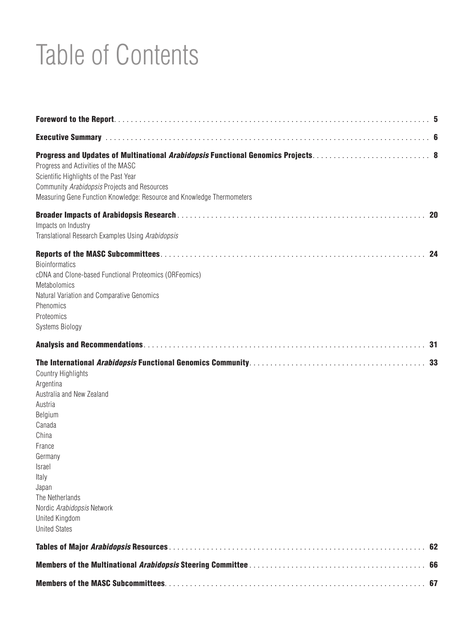# Table of Contents

| Progress and Activities of the MASC<br>Scientific Highlights of the Past Year<br>Community Arabidopsis Projects and Resources<br>Measuring Gene Function Knowledge: Resource and Knowledge Thermometers                                                  |    |
|----------------------------------------------------------------------------------------------------------------------------------------------------------------------------------------------------------------------------------------------------------|----|
| Impacts on Industry<br>Translational Research Examples Using Arabidopsis                                                                                                                                                                                 |    |
| <b>Bioinformatics</b><br>cDNA and Clone-based Functional Proteomics (ORFeomics)<br>Metabolomics<br>Natural Variation and Comparative Genomics<br>Phenomics<br>Proteomics<br>Systems Biology                                                              |    |
|                                                                                                                                                                                                                                                          |    |
| Country Highlights<br>Argentina<br>Australia and New Zealand<br>Austria<br>Belgium<br>Canada<br>China<br>France<br>Germany<br>Israel<br>Italy<br>Japan<br>The Netherlands<br>Nordic Arabidopsis Network<br><b>United Kingdom</b><br><b>United States</b> |    |
|                                                                                                                                                                                                                                                          | 62 |
|                                                                                                                                                                                                                                                          |    |
|                                                                                                                                                                                                                                                          |    |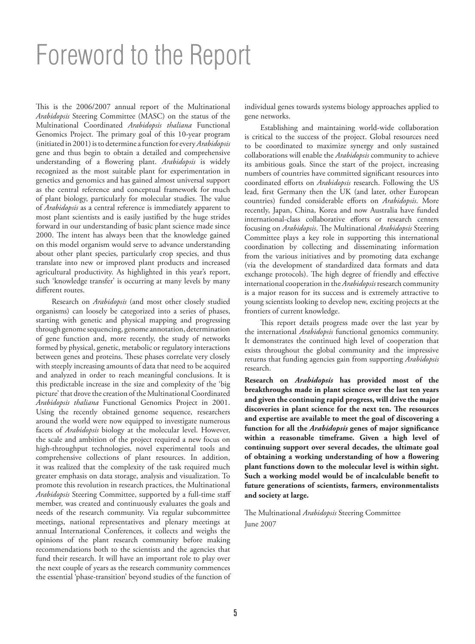# Foreword to the Report

This is the 2006/2007 annual report of the Multinational *Arabidopsis* Steering Committee (MASC) on the status of the Multinational Coordinated *Arabidopsis thaliana* Functional Genomics Project. The primary goal of this 10-year program (initiated in 2001) is to determine a function for every *Arabidopsis*  gene and thus begin to obtain a detailed and comprehensive understanding of a flowering plant. *Arabidopsis* is widely recognized as the most suitable plant for experimentation in genetics and genomics and has gained almost universal support as the central reference and conceptual framework for much of plant biology, particularly for molecular studies. The value of *Arabidopsis* as a central reference is immediately apparent to most plant scientists and is easily justified by the huge strides forward in our understanding of basic plant science made since 2000. The intent has always been that the knowledge gained on this model organism would serve to advance understanding about other plant species, particularly crop species, and thus translate into new or improved plant products and increased agricultural productivity. As highlighted in this year's report, such 'knowledge transfer' is occurring at many levels by many different routes.

Research on *Arabidopsis* (and most other closely studied organisms) can loosely be categorized into a series of phases, starting with genetic and physical mapping and progressing through genome sequencing, genome annotation, determination of gene function and, more recently, the study of networks formed by physical, genetic, metabolic or regulatory interactions between genes and proteins. These phases correlate very closely with steeply increasing amounts of data that need to be acquired and analyzed in order to reach meaningful conclusions. It is this predictable increase in the size and complexity of the 'big picture' that drove the creation of the Multinational Coordinated *Arabidopsis thaliana* Functional Genomics Project in 2001. Using the recently obtained genome sequence, researchers around the world were now equipped to investigate numerous facets of *Arabidopsis* biology at the molecular level. However, the scale and ambition of the project required a new focus on high-throughput technologies, novel experimental tools and comprehensive collections of plant resources. In addition, it was realized that the complexity of the task required much greater emphasis on data storage, analysis and visualization. To promote this revolution in research practices, the Multinational *Arabidopsis* Steering Committee, supported by a full-time staff member, was created and continuously evaluates the goals and needs of the research community. Via regular subcommittee meetings, national representatives and plenary meetings at annual International Conferences, it collects and weighs the opinions of the plant research community before making recommendations both to the scientists and the agencies that fund their research. It will have an important role to play over the next couple of years as the research community commences the essential 'phase-transition' beyond studies of the function of

individual genes towards systems biology approaches applied to gene networks.

Establishing and maintaining world-wide collaboration is critical to the success of the project. Global resources need to be coordinated to maximize synergy and only sustained collaborations will enable the *Arabidopsis* community to achieve its ambitious goals. Since the start of the project, increasing numbers of countries have committed significant resources into coordinated efforts on *Arabidopsis* research. Following the US lead, first Germany then the UK (and later, other European countries) funded considerable efforts on *Arabidopsis*. More recently, Japan, China, Korea and now Australia have funded international-class collaborative efforts or research centers focusing on *Arabidopsis*. The Multinational *Arabidopsis* Steering Committee plays a key role in supporting this international coordination by collecting and disseminating information from the various initiatives and by promoting data exchange (via the development of standardized data formats and data exchange protocols). The high degree of friendly and effective international cooperation in the *Arabidopsis* research community is a major reason for its success and is extremely attractive to young scientists looking to develop new, exciting projects at the frontiers of current knowledge.

This report details progress made over the last year by the international *Arabidopsis* functional genomics community. It demonstrates the continued high level of cooperation that exists throughout the global community and the impressive returns that funding agencies gain from supporting *Arabidopsis* research.

**Research on** *Arabidopsis* **has provided most of the breakthroughs made in plant science over the last ten years and given the continuing rapid progress, will drive the major discoveries in plant science for the next ten. The resources and expertise are available to meet the goal of discovering a function for all the** *Arabidopsis* **genes of major significance within a reasonable timeframe. Given a high level of continuing support over several decades, the ultimate goal of obtaining a working understanding of how a flowering plant functions down to the molecular level is within sight. Such a working model would be of incalculable benefit to future generations of scientists, farmers, environmentalists and society at large.**

The Multinational *Arabidopsis* Steering Committee June 2007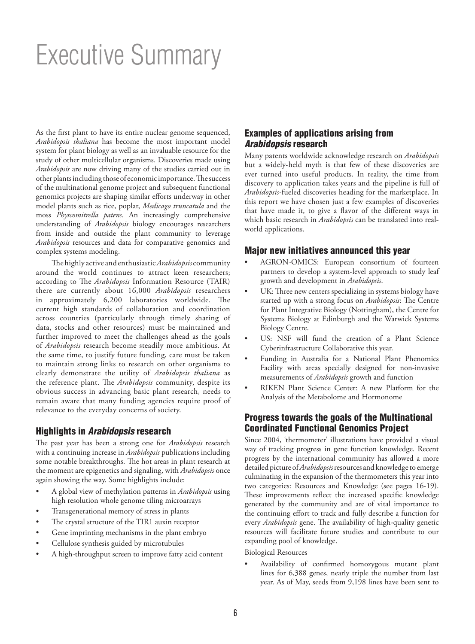# Executive Summary

As the first plant to have its entire nuclear genome sequenced, *Arabidopsis thaliana* has become the most important model system for plant biology as well as an invaluable resource for the study of other multicellular organisms. Discoveries made using *Arabidopsis* are now driving many of the studies carried out in other plants including those of economic importance. The success of the multinational genome project and subsequent functional genomics projects are shaping similar efforts underway in other model plants such as rice, poplar, *Medicago truncatula* and the moss *Physcomitrella patens*. An increasingly comprehensive understanding of *Arabidopsis* biology encourages researchers from inside and outside the plant community to leverage *Arabidopsis* resources and data for comparative genomics and complex systems modeling.

The highly active and enthusiastic *Arabidopsis* community around the world continues to attract keen researchers; according to The *Arabidopsis* Information Resource (TAIR) there are currently about 16,000 *Arabidopsis* researchers in approximately 6,200 laboratories worldwide. The current high standards of collaboration and coordination across countries (particularly through timely sharing of data, stocks and other resources) must be maintained and further improved to meet the challenges ahead as the goals of *Arabidopsis* research become steadily more ambitious. At the same time, to justify future funding, care must be taken to maintain strong links to research on other organisms to clearly demonstrate the utility of *Arabidopsis thaliana* as the reference plant. The *Arabidopsis* community, despite its obvious success in advancing basic plant research, needs to remain aware that many funding agencies require proof of relevance to the everyday concerns of society.

## Highlights in *Arabidopsis* research

The past year has been a strong one for *Arabidopsis* research with a continuing increase in *Arabidopsis* publications including some notable breakthroughs. The hot areas in plant research at the moment are epigenetics and signaling, with *Arabidopsis* once again showing the way. Some highlights include:

- A global view of methylation patterns in *Arabidopsis* using high resolution whole genome tiling microarrays
- Transgenerational memory of stress in plants
- The crystal structure of the TIR1 auxin receptor
- Gene imprinting mechanisms in the plant embryo
- Cellulose synthesis guided by microtubules
- A high-throughput screen to improve fatty acid content

## Examples of applications arising from *Arabidopsis* research

Many patents worldwide acknowledge research on *Arabidopsis* but a widely-held myth is that few of these discoveries are ever turned into useful products. In reality, the time from discovery to application takes years and the pipeline is full of *Arabidopsis*-fueled discoveries heading for the marketplace. In this report we have chosen just a few examples of discoveries that have made it, to give a flavor of the different ways in which basic research in *Arabidopsis* can be translated into realworld applications.

## Major new initiatives announced this year

- AGRON-OMICS: European consortium of fourteen partners to develop a system-level approach to study leaf growth and development in *Arabidopsis*.
- UK: Three new centers specializing in systems biology have started up with a strong focus on *Arabidopsis*: The Centre for Plant Integrative Biology (Nottingham), the Centre for Systems Biology at Edinburgh and the Warwick Systems Biology Centre.
- US: NSF will fund the creation of a Plant Science Cyberinfrastructure Collaborative this year.
- Funding in Australia for a National Plant Phenomics Facility with areas specially designed for non-invasive measurements of *Arabidopsis* growth and function
- RIKEN Plant Science Center: A new Platform for the Analysis of the Metabolome and Hormonome

# Progress towards the goals of the Multinational Coordinated Functional Genomics Project

Since 2004, 'thermometer' illustrations have provided a visual way of tracking progress in gene function knowledge. Recent progress by the international community has allowed a more detailed picture of *Arabidopsis* resources and knowledge to emerge culminating in the expansion of the thermometers this year into two categories: Resources and Knowledge (see pages 16-19). These improvements reflect the increased specific knowledge generated by the community and are of vital importance to the continuing effort to track and fully describe a function for every *Arabidopsis* gene. The availability of high-quality genetic resources will facilitate future studies and contribute to our expanding pool of knowledge.

Biological Resources

• Availability of confirmed homozygous mutant plant lines for 6,388 genes, nearly triple the number from last year. As of May, seeds from 9,198 lines have been sent to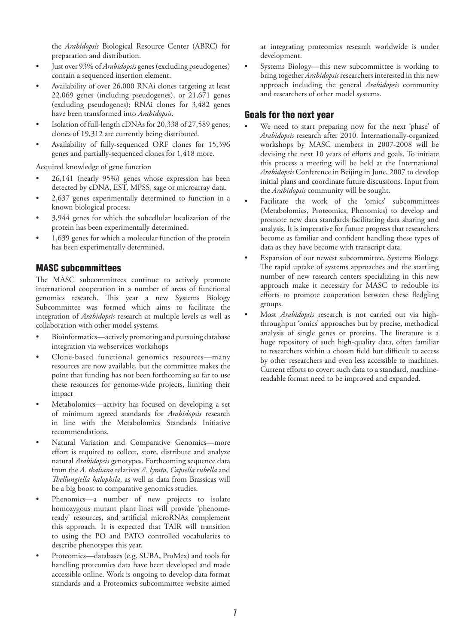the *Arabidopsis* Biological Resource Center (ABRC) for preparation and distribution.

- Just over 93% of *Arabidopsis* genes (excluding pseudogenes) contain a sequenced insertion element.
- Availability of over 26,000 RNAi clones targeting at least 22,069 genes (including pseudogenes), or 21,671 genes (excluding pseudogenes); RNAi clones for 3,482 genes have been transformed into *Arabidopsis*.
- Isolation of full-length cDNAs for 20,338 of 27,589 genes; clones of 19,312 are currently being distributed.
- Availability of fully-sequenced ORF clones for 15,396 genes and partially-sequenced clones for 1,418 more.

Acquired knowledge of gene function

- 26,141 (nearly 95%) genes whose expression has been detected by cDNA, EST, MPSS, sage or microarray data.
- 2,637 genes experimentally determined to function in a known biological process.
- 3,944 genes for which the subcellular localization of the protein has been experimentally determined.
- 1,639 genes for which a molecular function of the protein has been experimentally determined.

## MASC subcommittees

The MASC subcommittees continue to actively promote international cooperation in a number of areas of functional genomics research. This year a new Systems Biology Subcommittee was formed which aims to facilitate the integration of *Arabidopsis* research at multiple levels as well as collaboration with other model systems.

- Bioinformatics—actively promoting and pursuing database integration via webservices workshops
- Clone-based functional genomics resources—many resources are now available, but the committee makes the point that funding has not been forthcoming so far to use these resources for genome-wide projects, limiting their impact
- Metabolomics—activity has focused on developing a set of minimum agreed standards for *Arabidopsis* research in line with the Metabolomics Standards Initiative recommendations.
- Natural Variation and Comparative Genomics-more effort is required to collect, store, distribute and analyze natural *Arabidopsis* genotypes. Forthcoming sequence data from the *A. thaliana* relatives *A. lyrata, Capsella rubella* and *Thellungiella halophila*, as well as data from Brassicas will be a big boost to comparative genomics studies.
- Phenomics—a number of new projects to isolate homozygous mutant plant lines will provide 'phenomeready' resources, and artificial microRNAs complement this approach. It is expected that TAIR will transition to using the PO and PATO controlled vocabularies to describe phenotypes this year.
- Proteomics—databases (e.g. SUBA, ProMex) and tools for handling proteomics data have been developed and made accessible online. Work is ongoing to develop data format standards and a Proteomics subcommittee website aimed

at integrating proteomics research worldwide is under development.

• Systems Biology—this new subcommittee is working to bring together *Arabidopsis* researchers interested in this new approach including the general *Arabidopsis* community and researchers of other model systems.

# Goals for the next year

- We need to start preparing now for the next 'phase' of *Arabidopsis* research after 2010. Internationally-organized workshops by MASC members in 2007-2008 will be devising the next 10 years of efforts and goals. To initiate this process a meeting will be held at the International *Arabidopsis* Conference in Beijing in June, 2007 to develop initial plans and coordinate future discussions. Input from the *Arabidopsis* community will be sought.
- Facilitate the work of the 'omics' subcommittees (Metabolomics, Proteomics, Phenomics) to develop and promote new data standards facilitating data sharing and analysis. It is imperative for future progress that researchers become as familiar and confident handling these types of data as they have become with transcript data.
- Expansion of our newest subcommittee, Systems Biology. The rapid uptake of systems approaches and the startling number of new research centers specializing in this new approach make it necessary for MASC to redouble its efforts to promote cooperation between these fledgling groups.
- Most *Arabidopsis* research is not carried out via highthroughput 'omics' approaches but by precise, methodical analysis of single genes or proteins. The literature is a huge repository of such high-quality data, often familiar to researchers within a chosen field but difficult to access by other researchers and even less accessible to machines. Current efforts to covert such data to a standard, machinereadable format need to be improved and expanded.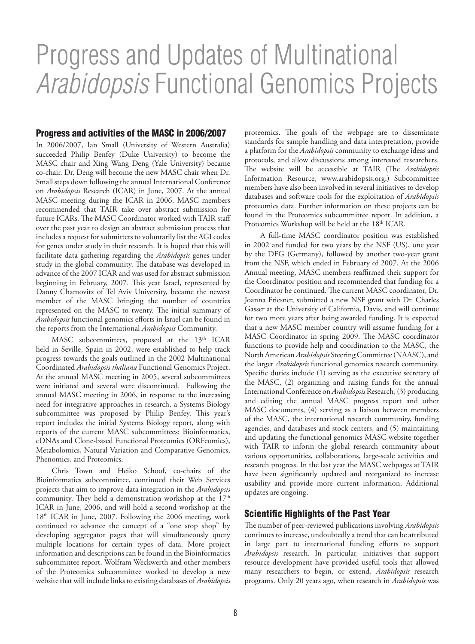# Progress and Updates of Multinational *Arabidopsis* Functional Genomics Projects

### Progress and activities of the MASC in 2006/2007

In 2006/2007, Ian Small (University of Western Australia) succeeded Philip Benfey (Duke University) to become the MASC chair and Xing Wang Deng (Yale University) became co-chair. Dr. Deng will become the new MASC chair when Dr. Small steps down following the annual International Conference on *Arabidopsis* Research (ICAR) in June, 2007. At the annual MASC meeting during the ICAR in 2006, MASC members recommended that TAIR take over abstract submission for future ICARs. The MASC Coordinator worked with TAIR staff over the past year to design an abstract submission process that includes a request for submitters to voluntarily list the AGI codes for genes under study in their research. It is hoped that this will facilitate data gathering regarding the *Arabidopsis* genes under study in the global community. The database was developed in advance of the 2007 ICAR and was used for abstract submission beginning in February, 2007. This year Israel, represented by Danny Chamovitz of Tel Aviv University, became the newest member of the MASC bringing the number of countries represented on the MASC to twenty. The initial summary of *Arabidopsis* functional genomics efforts in Israel can be found in the reports from the International *Arabidopsis* Community.

MASC subcommittees, proposed at the 13<sup>th</sup> ICAR held in Seville, Spain in 2002, were established to help track progress towards the goals outlined in the 2002 Multinational Coordinated *Arabidopsis thaliana* Functional Genomics Project. At the annual MASC meeting in 2005, several subcommittees were initiated and several were discontinued. Following the annual MASC meeting in 2006, in response to the increasing need for integrative approaches in research, a Systems Biology subcommittee was proposed by Philip Benfey. This year's report includes the initial Systems Biology report, along with reports of the current MASC subcommittees: Bioinformatics, cDNAs and Clone-based Functional Proteomics (ORFeomics), Metabolomics, Natural Variation and Comparative Genomics, Phenomics, and Proteomics.

Chris Town and Heiko Schoof, co-chairs of the Bioinformatics subcommittee, continued their Web Services projects that aim to improve data integration in the *Arabidopsis*  community. They held a demonstration workshop at the  $17<sup>th</sup>$ ICAR in June, 2006, and will hold a second workshop at the  $18<sup>th</sup>$  ICAR in June, 2007. Following the 2006 meeting, work continued to advance the concept of a "one stop shop" by developing aggregator pages that will simultaneously query multiple locations for certain types of data. More project information and descriptions can be found in the Bioinformatics subcommittee report. Wolfram Weckwerth and other members of the Proteomics subcommittee worked to develop a new website that will include links to existing databases of *Arabidopsis*

proteomics. The goals of the webpage are to disseminate standards for sample handling and data interpretation, provide a platform for the *Arabidopsis* community to exchange ideas and protocols, and allow discussions among interested researchers. The website will be accessible at TAIR (The *Arabidopsis*  Information Resource, www.arabidopsis.org.) Subcommittee members have also been involved in several initiatives to develop databases and software tools for the exploitation of *Arabidopsis* proteomics data. Further information on these projects can be found in the Proteomics subcommittee report. In addition, a Proteomics Workshop will be held at the 18<sup>th</sup> ICAR.

A full-time MASC coordinator position was established in 2002 and funded for two years by the NSF (US), one year by the DFG (Germany), followed by another two-year grant from the NSF, which ended in February of 2007. At the 2006 Annual meeting, MASC members reaffirmed their support for the Coordinator position and recommended that funding for a Coordinator be continued. The current MASC coordinator, Dr. Joanna Friesner, submitted a new NSF grant with Dr. Charles Gasser at the University of California, Davis, and will continue for two more years after being awarded funding. It is expected that a new MASC member country will assume funding for a MASC Coordinator in spring 2009. The MASC coordinator functions to provide help and coordination to the MASC, the North American *Arabidopsis* Steering Committee (NAASC), and the larger *Arabidopsis* functional genomics research community. Specific duties include (1) serving as the executive secretary of the MASC, (2) organizing and raising funds for the annual International Conference on *Arabidopsis* Research, (3) producing and editing the annual MASC progress report and other MASC documents, (4) serving as a liaison between members of the MASC, the international research community, funding agencies, and databases and stock centers, and (5) maintaining and updating the functional genomics MASC website together with TAIR to inform the global research community about various opportunities, collaborations, large-scale activities and research progress. In the last year the MASC webpages at TAIR have been significantly updated and reorganized to increase usability and provide more current information. Additional updates are ongoing.

## Scientific Highlights of the Past Year

The number of peer-reviewed publications involving *Arabidopsis*  continues to increase, undoubtedly a trend that can be attributed in large part to international funding efforts to support *Arabidopsis* research. In particular, initiatives that support resource development have provided useful tools that allowed many researchers to begin, or extend, *Arabidopsis* research programs. Only 20 years ago, when research in *Arabidopsis* was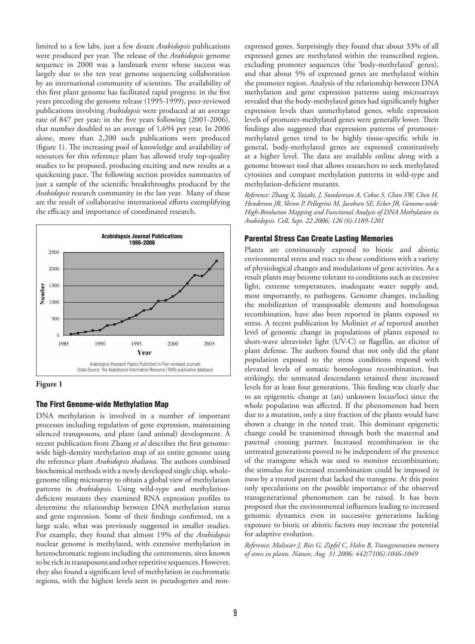limited to a few labs, just a few dozen *Arabidopsis* publications were produced per year. The release of the *Arabidopsis* genome sequence in 2000 was a landmark event whose success was largely due to the ten year genome sequencing collaboration by an international community of scientists. The availability of this first plant genome has facilitated rapid progress: in the five years preceding the genome release (1995-1999), peer-reviewed publications involving *Arabidopsis* were produced at an average rate of 847 per year; in the five years following (2001-2006), that number doubled to an average of 1,694 per year. In 2006 alone, more than 2,200 such publications were produced (figure 1). The increasing pool of knowledge and availability of resources for this reference plant has allowed truly top-quality studies to be proposed, producing exciting and new results at a quickening pace. The following section provides summaries of just a sample of the scientific breakthroughs produced by the *Arabidopsis* research community in the last year. Many of these are the result of collaborative international efforts exemplifying the efficacy and importance of coordinated research.





#### The First Genome-wide Methylation Map

DNA methylation is involved in a number of important processes including regulation of gene expression, maintaining silenced transposons, and plant (and animal) development. A recent publication from Zhang *et al* describes the first genomewide high-density methylation map of an entire genome using the reference plant *Arabidopsis thaliana.* The authors combined biochemical methods with a newly developed single chip, wholegenome tiling microarray to obtain a global view of methylation patterns in *Arabidopsis*. Using wild-type and methylationdeficient mutants they examined RNA expression profiles to determine the relationship between DNA methylation status and gene expression. Some of their findings confirmed, on a large scale, what was previously suggested in smaller studies. For example, they found that almost 19% of the *Arabidopsis*  nuclear genome is methylated, with extensive methylation in heterochromatic regions including the centromeres, sites known to be rich in transposons and other repetitive sequences. However, they also found a significant level of methylation in euchromatic regions, with the highest levels seen in pseudogenes and non-

expressed genes. Surprisingly they found that about 33% of all expressed genes are methylated within the transcribed region, excluding promoter sequences (the 'body-methylated' genes), and that about 5% of expressed genes are methylated within the promoter region. Analysis of the relationship between DNA methylation and gene expression patterns using microarrays revealed that the body-methylated genes had significantly higher expression levels than unmethylated genes, while expression levels of promoter-methylated genes were generally lower. Their findings also suggested that expression patterns of promotermethylated genes tend to be highly tissue-specific while in general, body-methylated genes are expressed constitutively at a higher level. The data are available online along with a genome browser tool that allows researchers to seek methylated cytosines and compare methylation patterns in wild-type and methylation-deficient mutants.

*Reference: Zhang X, Yazaki, J, Sundaresan A, Cokus S, Chan SW, Chen H, Henderson JR, Shinn P, Pellegrini M, Jacobsen SE, Ecker JR, Genome-wide High-Resolution Mapping and Functional Analysis of DNA Methylation in Arabidopsis. Cell, Sept. 22 2006; 126 (6):1189-1201*

#### Parental Stress Can Create Lasting Memories

Plants are continuously exposed to biotic and abiotic environmental stress and react to these conditions with a variety of physiological changes and modulations of gene activities. As a result plants may become tolerant to conditions such as excessive light, extreme temperatures, inadequate water supply and, most importantly, to pathogens. Genome changes, including the mobilization of transposable elements and homologous recombination, have also been reported in plants exposed to stress. A recent publication by Molinier *et al* reported another level of genomic change in populations of plants exposed to short-wave ultraviolet light (UV-C) or flagellin, an elicitor of plant defense. The authors found that not only did the plant population exposed to the stress conditions respond with elevated levels of somatic homologous recombination, but strikingly, the untreated descendants retained these increased levels for at least four generations. This finding was clearly due to an epigenetic change at (an) unknown locus/loci since the whole population was affected. If the phenomenon had been due to a mutation, only a tiny fraction of the plants would have shown a change in the tested trait. This dominant epigenetic change could be transmitted through both the maternal and paternal crossing partner. Increased recombination in the untreated generations proved to be independent of the presence of the transgene which was used to monitor recombination; the stimulus for increased recombination could be imposed *in trans* by a treated parent that lacked the transgene. At this point only speculations on the possible importance of the observed transgenerational phenomenon can be raised. It has been proposed that the environmental influences leading to increased genomic dynamics even in successive generations lacking exposure to biotic or abiotic factors may increase the potential for adaptive evolution.

*Reference: Molinier J, Ries G, Zipfel C, Hohn B, Transgeneration memory of stress in plants. Nature, Aug. 31 2006; 442(7106):1046-1049*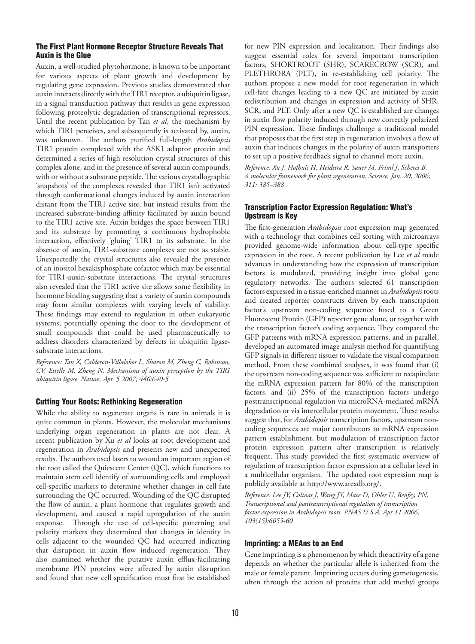#### The First Plant Hormone Receptor Structure Reveals That Auxin is the Glue

Auxin, a well-studied phytohormone, is known to be important for various aspects of plant growth and development by regulating gene expression. Previous studies demonstrated that auxin interacts directly with the TIR1 receptor, a ubiquitin ligase, in a signal transduction pathway that results in gene expression following proteolytic degradation of transcriptional repressors. Until the recent publication by Tan *et al*, the mechanism by which TIR1 perceives, and subsequently is activated by, auxin, was unknown. The authors purified full-length *Arabidopsis*  TIR1 protein complexed with the ASK1 adaptor protein and determined a series of high resolution crystal structures of this complex alone, and in the presence of several auxin compounds, with or without a substrate peptide. The various crystallographic 'snapshots' of the complexes revealed that TIR1 isn't activated through conformational changes induced by auxin interaction distant from the TIR1 active site, but instead results from the increased substrate-binding affinity facilitated by auxin bound to the TIR1 active site. Auxin bridges the space between TIR1 and its substrate by promoting a continuous hydrophobic interaction, effectively 'gluing' TIR1 to its substrate. In the absence of auxin, TIR1-substrate complexes are not as stable. Unexpectedly the crystal structures also revealed the presence of an inositol hexakisphosphate cofactor which may be essential for TIR1-auxin-substrate interactions. The crystal structures also revealed that the TIR1 active site allows some flexibility in hormone binding suggesting that a variety of auxin compounds may form similar complexes with varying levels of stability. These findings may extend to regulation in other eukaryotic systems, potentially opening the door to the development of small compounds that could be used pharmaceutically to address disorders characterized by defects in ubiquitin ligasesubstrate interactions.

*Reference: Tan X, Calderon-Villalobos L, Sharon M, Zheng C, Robinson, CV, Estelle M, Zheng N, Mechanisms of auxin perception by the TIR1 ubiquitin ligase. Nature, Apr. 5 2007; 446:640-5*

#### Cutting Your Roots: Rethinking Regeneration

While the ability to regenerate organs is rare in animals it is quite common in plants. However, the molecular mechanisms underlying organ regeneration in plants are not clear. A recent publication by Xu *et al* looks at root development and regeneration in *Arabidopsis* and presents new and unexpected results. The authors used lasers to wound an important region of the root called the Quiescent Center (QC), which functions to maintain stem cell identify of surrounding cells and employed cell-specific markers to determine whether changes in cell fate surrounding the QC occurred. Wounding of the QC disrupted the flow of auxin, a plant hormone that regulates growth and development, and caused a rapid upregulation of the auxin response. Through the use of cell-specific patterning and polarity markers they determined that changes in identity in cells adjacent to the wounded QC had occurred indicating that disruption in auxin flow induced regeneration. They also examined whether the putative auxin efflux-facilitating membrane PIN proteins were affected by auxin disruption and found that new cell specification must first be established

for new PIN expression and localization. Their findings also suggest essential roles for several important transcription factors, SHORTROOT (SHR), SCARECROW (SCR), and PLETHRORA (PLT), in re-establishing cell polarity. The authors propose a new model for root regeneration in which cell-fate changes leading to a new QC are initiated by auxin redistribution and changes in expression and activity of SHR, SCR, and PLT. Only after a new QC is established are changes in auxin flow polarity induced through new correctly polarized PIN expression. These findings challenge a traditional model that proposes that the first step in regeneration involves a flow of auxin that induces changes in the polarity of auxin transporters to set up a positive feedback signal to channel more auxin.

*Reference: Xu J, Hofhuis H, Heidstra R, Sauer M, Friml J, Scheres B, A molecular framework for plant regeneration. Science, Jan. 20, 2006; 311: 385–388*

### Transcription Factor Expression Regulation: What's Upstream is Key

The first-generation *Arabidopsis* root expression map generated with a technology that combines cell sorting with microarrays provided genome-wide information about cell-type specific expression in the root. A recent publication by Lee *et al* made advances in understanding how the expression of transcription factors is modulated, providing insight into global gene regulatory networks. The authors selected 61 transcription factors expressed in a tissue-enriched manner in *Arabidopsis* roots and created reporter constructs driven by each transcription factor's upstream non-coding sequence fused to a Green Fluorescent Protein (GFP) reporter gene alone, or together with the transcription factor's coding sequence. They compared the GFP patterns with mRNA expression patterns, and in parallel, developed an automated image analysis method for quantifying GFP signals in different tissues to validate the visual comparison method. From these combined analyses, it was found that (i) the upstream non-coding sequence was sufficient to recapitulate the mRNA expression pattern for 80% of the transcription factors, and (ii) 25% of the transcription factors undergo posttranscriptional regulation via microRNA-mediated mRNA degradation or via intercellular protein movement. These results suggest that, for *Arabidopsis* transcription factors, upstream noncoding sequences are major contributors to mRNA expression pattern establishment, but modulation of transcription factor protein expression pattern after transcription is relatively frequent. This study provided the first systematic overview of regulation of transcription factor expression at a cellular level in a multicellular organism. The updated root expression map is publicly available at http://www.arexdb.org/.

*Reference: Lee JY, Colinas J, Wang JY, Mace D, Ohler U, Benfey, PN, Transcriptional and posttranscriptional regulation of transcription factor expression in Arabidopsis roots. PNAS U S A, Apr 11 2006; 103(15):6055-60*

#### Imprinting: a MEAns to an End

Gene imprinting is a phenomenon by which the activity of a gene depends on whether the particular allele is inherited from the male or female parent. Imprinting occurs during gametogenesis, often through the action of proteins that add methyl groups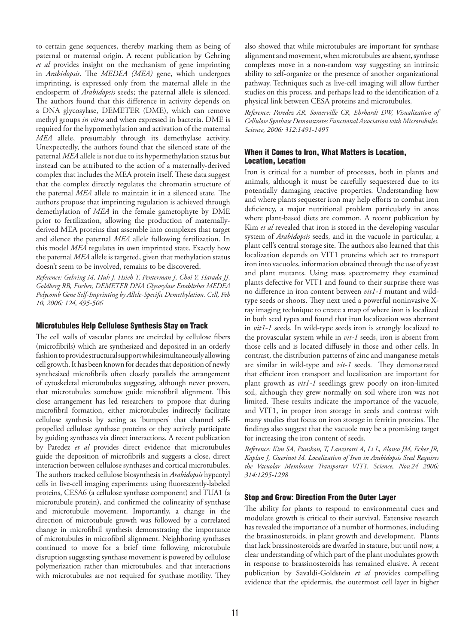to certain gene sequences, thereby marking them as being of paternal or maternal origin. A recent publication by Gehring *et al* provides insight on the mechanism of gene imprinting in *Arabidopsis*. The *MEDEA (MEA)* gene, which undergoes imprinting, is expressed only from the maternal allele in the endosperm of *Arabidopsis* seeds; the paternal allele is silenced. The authors found that this difference in activity depends on a DNA glycosylase, DEMETER (DME), which can remove methyl groups *in vitro* and when expressed in bacteria. DME is required for the hypomethylation and activation of the maternal *MEA* allele, presumably through its demethylase activity. Unexpectedly, the authors found that the silenced state of the paternal *MEA* allele is not due to its hypermethylation status but instead can be attributed to the action of a maternally-derived complex that includes the MEA protein itself. These data suggest that the complex directly regulates the chromatin structure of the paternal *MEA* allele to maintain it in a silenced state. The authors propose that imprinting regulation is achieved through demethylation of *MEA* in the female gametophyte by DME prior to fertilization, allowing the production of maternallyderived MEA proteins that assemble into complexes that target and silence the paternal *MEA* allele following fertilization. In this model *MEA* regulates its own imprinted state. Exactly how the paternal *MEA* allele is targeted, given that methylation status doesn't seem to be involved, remains to be discovered.

*Reference: Gehring M, Huh J, Hsieh T, Penterman J, Choi Y, Harada JJ, Goldberg RB, Fischer, DEMETER DNA Glycosylase Establishes MEDEA Polycomb Gene Self-Imprinting by Allele-Specific Demethylation. Cell, Feb 10, 2006: 124, 495-506*

#### Microtubules Help Cellulose Synthesis Stay on Track

The cell walls of vascular plants are encircled by cellulose fibers (microfibrils) which are synthesized and deposited in an orderly fashion to provide structural support while simultaneously allowing cell growth. It has been known for decades that deposition of newly synthesized microfibrils often closely parallels the arrangement of cytoskeletal microtubules suggesting, although never proven, that microtubules somehow guide microfibril alignment. This close arrangement has led researchers to propose that during microfibril formation, either microtubules indirectly facilitate cellulose synthesis by acting as 'bumpers' that channel selfpropelled cellulose synthase proteins or they actively participate by guiding synthases via direct interactions. A recent publication by Paredez *et al* provides direct evidence that microtubules guide the deposition of microfibrils and suggests a close, direct interaction between cellulose synthases and cortical microtubules. The authors tracked cellulose biosynthesis in *Arabidopsis* hypcotyl cells in live-cell imaging experiments using fluorescently-labeled proteins, CESA6 (a cellulose synthase component) and TUA1 (a microtubule protein), and confirmed the colinearity of synthase and microtubule movement. Importantly, a change in the direction of microtubule growth was followed by a correlated change in microfibril synthesis demonstrating the importance of microtubules in microfibril alignment. Neighboring synthases continued to move for a brief time following microtubule disruption suggesting synthase movement is powered by cellulose polymerization rather than microtubules, and that interactions with microtubules are not required for synthase motility. They

also showed that while microtubules are important for synthase alignment and movement, when microtubules are absent, synthase complexes move in a non-random way suggesting an intrinsic ability to self-organize or the presence of another organizational pathway. Techniques such as live-cell imaging will allow further studies on this process, and perhaps lead to the identification of a physical link between CESA proteins and microtubules.

*Reference: Paredez AR, Somerville CR, Ehrhardt DW, Visualization of Cellulose Synthase Demonstrates Functional Association with Microtubules. Science, 2006: 312:1491-1495*

## When it Comes to Iron, What Matters is Location, Location, Location

Iron is critical for a number of processes, both in plants and animals, although it must be carefully sequestered due to its potentially damaging reactive properties. Understanding how and where plants sequester iron may help efforts to combat iron deficiency, a major nutritional problem particularly in areas where plant-based diets are common. A recent publication by Kim *et al* revealed that iron is stored in the developing vascular system of *Arabidopsis* seeds, and in the vacuole in particular, a plant cell's central storage site. The authors also learned that this localization depends on VIT1 proteins which act to transport iron into vacuoles, information obtained through the use of yeast and plant mutants. Using mass spectrometry they examined plants defective for VIT1 and found to their surprise there was no difference in iron content between *vit1-1* mutant and wildtype seeds or shoots. They next used a powerful noninvasive Xray imaging technique to create a map of where iron is localized in both seed types and found that iron localization was aberrant in *vit1-1* seeds. In wild-type seeds iron is strongly localized to the provascular system while in *vit-1* seeds, iron is absent from those cells and is located diffusely in those and other cells. In contrast, the distribution patterns of zinc and manganese metals are similar in wild-type and *vit-1* seeds. They demonstrated that efficient iron transport and localization are important for plant growth as *vit1-1* seedlings grew poorly on iron-limited soil, although they grew normally on soil where iron was not limited. These results indicate the importance of the vacuole, and VIT1, in proper iron storage in seeds and contrast with many studies that focus on iron storage in ferritin proteins. The findings also suggest that the vacuole may be a promising target for increasing the iron content of seeds.

*Reference: Kim SA, Punshon, T, Lanzirotti A, Li L, Alonso JM, Ecker JR, Kaplan J, Guerinot M. Localization of Iron in Arabidopsis Seed Requires the Vacuolar Membrane Transporter VIT1. Science, Nov.24 2006; 314:1295-1298*

## Stop and Grow: Direction From the Outer Layer

The ability for plants to respond to environmental cues and modulate growth is critical to their survival. Extensive research has revealed the importance of a number of hormones, including the brassinosteroids, in plant growth and development. Plants that lack brassinosteroids are dwarfed in stature, but until now, a clear understanding of which part of the plant modulates growth in response to brassinosteroids has remained elusive. A recent publication by Savaldi-Goldstein *et al* provides compelling evidence that the epidermis, the outermost cell layer in higher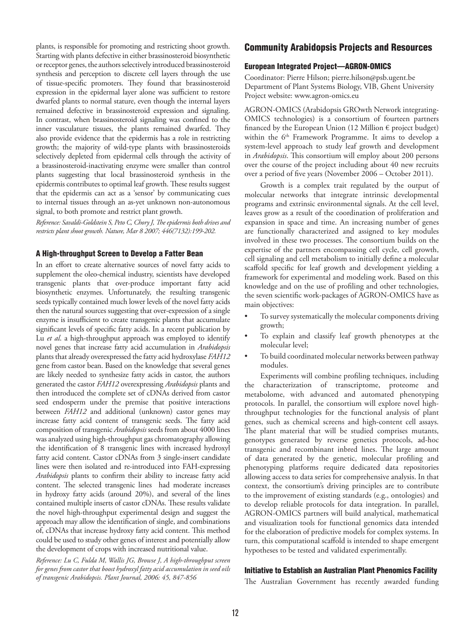plants, is responsible for promoting and restricting shoot growth. Starting with plants defective in either brassinosteroid biosynthetic or receptor genes, the authors selectively introduced brassinosteroid synthesis and perception to discrete cell layers through the use of tissue-specific promoters. They found that brassinosteroid expression in the epidermal layer alone was sufficient to restore dwarfed plants to normal stature, even though the internal layers remained defective in brassinosteroid expression and signaling. In contrast, when brassinosteroid signaling was confined to the inner vasculature tissues, the plants remained dwarfed. They also provide evidence that the epidermis has a role in restricting growth; the majority of wild-type plants with brassinosteroids selectively depleted from epidermal cells through the activity of a brassinosteroid-inactivating enzyme were smaller than control plants suggesting that local brassinosteroid synthesis in the epidermis contributes to optimal leaf growth. These results suggest that the epidermis can act as a 'sensor' by communicating cues to internal tissues through an as-yet unknown non-autonomous signal, to both promote and restrict plant growth.

*Reference: Savaldi-Goldstein S, Peto C, Chory J, The epidermis both drives and restricts plant shoot growth. Nature, Mar 8 2007; 446(7132):199-202.*

## A High-throughput Screen to Develop a Fatter Bean

In an effort to create alternative sources of novel fatty acids to supplement the oleo-chemical industry, scientists have developed transgenic plants that over-produce important fatty acid biosynthetic enzymes. Unfortunately, the resulting transgenic seeds typically contained much lower levels of the novel fatty acids then the natural sources suggesting that over-expression of a single enzyme is insufficient to create transgenic plants that accumulate significant levels of specific fatty acids. In a recent publication by Lu *et al*. a high-throughput approach was employed to identify novel genes that increase fatty acid accumulation in *Arabidopsis*  plants that already overexpressed the fatty acid hydroxylase *FAH12*  gene from castor bean. Based on the knowledge that several genes are likely needed to synthesize fatty acids in castor, the authors generated the castor *FAH12* overexpressing *Arabidopsis* plants and then introduced the complete set of cDNAs derived from castor seed endosperm under the premise that positive interactions between *FAH12* and additional (unknown) castor genes may increase fatty acid content of transgenic seeds. The fatty acid composition of transgenic *Arabidopsis* seeds from about 4000 lines was analyzed using high-throughput gas chromatography allowing the identification of 8 transgenic lines with increased hydroxyl fatty acid content. Castor cDNAs from 3 single-insert candidate lines were then isolated and re-introduced into FAH-expressing *Arabidopsis* plants to confirm their ability to increase fatty acid content. The selected transgenic lines had moderate increases in hydroxy fatty acids (around 20%), and several of the lines contained multiple inserts of castor cDNAs. These results validate the novel high-throughput experimental design and suggest the approach may allow the identification of single, and combinations of, cDNAs that increase hydroxy fatty acid content. This method could be used to study other genes of interest and potentially allow the development of crops with increased nutritional value.

*Reference: Lu C, Fulda M, Wallis JG, Browse J, A high-throughput screen for genes from castor that boost hydroxyl fatty acid accumulation in seed oils of transgenic Arabidopsis. Plant Journal, 2006: 45, 847-856*

## Community Arabidopsis Projects and Resources

#### European Integrated Project—AGRON-OMICS

Coordinator: Pierre Hilson; pierre.hilson@psb.ugent.be Department of Plant Systems Biology, VIB, Ghent University Project website: www.agron-omics.eu

AGRON-OMICS (Arabidopsis GROwth Network integrating-OMICS technologies) is a consortium of fourteen partners financed by the European Union (12 Million  $\epsilon$  project budget) within the 6<sup>th</sup> Framework Programme. It aims to develop a system-level approach to study leaf growth and development in *Arabidopsis*. This consortium will employ about 200 persons over the course of the project including about 40 new recruits over a period of five years (November 2006 – October 2011).

Growth is a complex trait regulated by the output of molecular networks that integrate intrinsic developmental programs and extrinsic environmental signals. At the cell level, leaves grow as a result of the coordination of proliferation and expansion in space and time. An increasing number of genes are functionally characterized and assigned to key modules involved in these two processes. The consortium builds on the expertise of the partners encompassing cell cycle, cell growth, cell signaling and cell metabolism to initially define a molecular scaffold specific for leaf growth and development yielding a framework for experimental and modeling work. Based on this knowledge and on the use of profiling and other technologies, the seven scientific work-packages of AGRON-OMICS have as main objectives:

- To survey systematically the molecular components driving growth;
- To explain and classify leaf growth phenotypes at the molecular level;
- To build coordinated molecular networks between pathway modules.

Experiments will combine profiling techniques, including the characterization of transcriptome, proteome and metabolome, with advanced and automated phenotyping protocols. In parallel, the consortium will explore novel highthroughput technologies for the functional analysis of plant genes, such as chemical screens and high-content cell assays. The plant material that will be studied comprises mutants, genotypes generated by reverse genetics protocols, ad-hoc transgenic and recombinant inbred lines. The large amount of data generated by the genetic, molecular profiling and phenotyping platforms require dedicated data repositories allowing access to data series for comprehensive analysis. In that context, the consortium's driving principles are to contribute to the improvement of existing standards (e.g., ontologies) and to develop reliable protocols for data integration. In parallel, AGRON-OMICS partners will build analytical, mathematical and visualization tools for functional genomics data intended for the elaboration of predictive models for complex systems. In turn, this computational scaffold is intended to shape emergent hypotheses to be tested and validated experimentally.

#### Initiative to Establish an Australian Plant Phenomics Facility

The Australian Government has recently awarded funding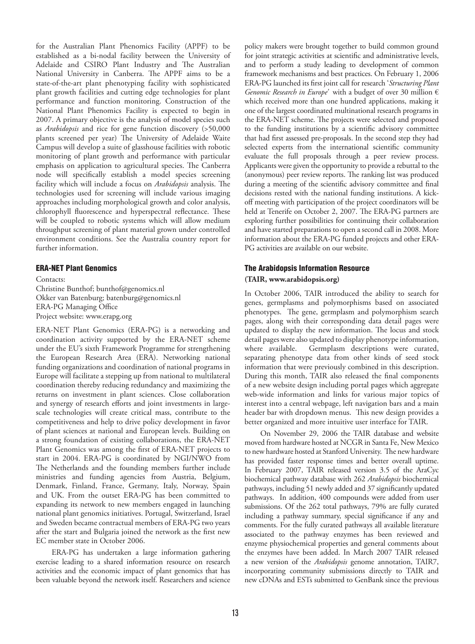for the Australian Plant Phenomics Facility (APPF) to be established as a bi-nodal facility between the University of Adelaide and CSIRO Plant Industry and The Australian National University in Canberra. The APPF aims to be a state-of-the-art plant phenotyping facility with sophisticated plant growth facilities and cutting edge technologies for plant performance and function monitoring. Construction of the National Plant Phenomics Facility is expected to begin in 2007. A primary objective is the analysis of model species such as *Arabidopsis* and rice for gene function discovery (>50,000 plants screened per year) The University of Adelaide Waite Campus will develop a suite of glasshouse facilities with robotic monitoring of plant growth and performance with particular emphasis on application to agricultural species. The Canberra node will specifically establish a model species screening facility which will include a focus on *Arabidopsis* analysis. The technologies used for screening will include various imaging approaches including morphological growth and color analysis, chlorophyll fluorescence and hyperspectral reflectance. These will be coupled to robotic systems which will allow medium throughput screening of plant material grown under controlled environment conditions. See the Australia country report for further information.

#### ERA-NET Plant Genomics

Contacts:

Christine Bunthof; bunthof@genomics.nl Okker van Batenburg; batenburg@genomics.nl ERA-PG Managing Office Project website: www.erapg.org

ERA-NET Plant Genomics (ERA-PG) is a networking and coordination activity supported by the ERA-NET scheme under the EU's sixth Framework Programme for strengthening the European Research Area (ERA). Networking national funding organizations and coordination of national programs in Europe will facilitate a stepping up from national to multilateral coordination thereby reducing redundancy and maximizing the returns on investment in plant sciences. Close collaboration and synergy of research efforts and joint investments in largescale technologies will create critical mass, contribute to the competitiveness and help to drive policy development in favor of plant sciences at national and European levels. Building on a strong foundation of existing collaborations, the ERA-NET Plant Genomics was among the first of ERA-NET projects to start in 2004. ERA-PG is coordinated by NGI/NWO from The Netherlands and the founding members further include ministries and funding agencies from Austria, Belgium, Denmark, Finland, France, Germany, Italy, Norway, Spain and UK. From the outset ERA-PG has been committed to expanding its network to new members engaged in launching national plant genomics initiatives. Portugal, Switzerland, Israel and Sweden became contractual members of ERA-PG two years after the start and Bulgaria joined the network as the first new EC member state in October 2006.

ERA-PG has undertaken a large information gathering exercise leading to a shared information resource on research activities and the economic impact of plant genomics that has been valuable beyond the network itself. Researchers and science

policy makers were brought together to build common ground for joint strategic activities at scientific and administrative levels, and to perform a study leading to development of common framework mechanisms and best practices. On February 1, 2006 ERA-PG launched its first joint call for research '*Structuring Plant Genomic Research in Europe*' with a budget of over 30 million  $\epsilon$ which received more than one hundred applications, making it one of the largest coordinated multinational research programs in the ERA-NET scheme. The projects were selected and proposed to the funding institutions by a scientific advisory committee that had first assessed pre-proposals. In the second step they had selected experts from the international scientific community evaluate the full proposals through a peer review process. Applicants were given the opportunity to provide a rebuttal to the (anonymous) peer review reports. The ranking list was produced during a meeting of the scientific advisory committee and final decisions rested with the national funding institutions. A kickoff meeting with participation of the project coordinators will be held at Tenerife on October 2, 2007. The ERA-PG partners are exploring further possibilities for continuing their collaboration and have started preparations to open a second call in 2008. More information about the ERA-PG funded projects and other ERA-PG activities are available on our website.

## The Arabidopsis Information Resource **(TAIR, www.arabidopsis.org)**

In October 2006, TAIR introduced the ability to search for genes, germplasms and polymorphisms based on associated phenotypes. The gene, germplasm and polymorphism search pages, along with their corresponding data detail pages were updated to display the new information. The locus and stock detail pages were also updated to display phenotype information, where available. Germplasm descriptions were curated, separating phenotype data from other kinds of seed stock information that were previously combined in this description. During this month, TAIR also released the final components of a new website design including portal pages which aggregate web-wide information and links for various major topics of interest into a central webpage, left navigation bars and a main header bar with dropdown menus. This new design provides a better organized and more intuitive user interface for TAIR.

On November 29, 2006 the TAIR database and website moved from hardware hosted at NCGR in Santa Fe, New Mexico to new hardware hosted at Stanford University. The new hardware has provided faster response times and better overall uptime. In February 2007, TAIR released version 3.5 of the AraCyc biochemical pathway database with 262 *Arabidopsis* biochemical pathways, including 51 newly added and 37 significantly updated pathways. In addition, 400 compounds were added from user submissions. Of the 262 total pathways, 79% are fully curated including a pathway summary, special significance if any and comments. For the fully curated pathways all available literature associated to the pathway enzymes has been reviewed and enzyme physiochemical properties and general comments about the enzymes have been added. In March 2007 TAIR released a new version of the *Arabidopsis* genome annotation, TAIR7, incorporating community submissions directly to TAIR and new cDNAs and ESTs submitted to GenBank since the previous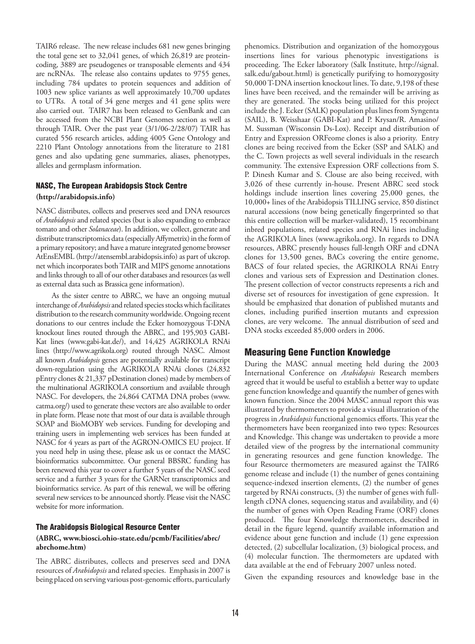TAIR6 release. The new release includes 681 new genes bringing the total gene set to 32,041 genes, of which 26,819 are proteincoding, 3889 are pseudogenes or transposable elements and 434 are ncRNAs. The release also contains updates to 9755 genes, including 784 updates to protein sequences and addition of 1003 new splice variants as well approximately 10,700 updates to UTRs. A total of 34 gene merges and 41 gene splits were also carried out. TAIR7 has been released to GenBank and can be accessed from the NCBI Plant Genomes section as well as through TAIR. Over the past year (3/1/06-2/28/07) TAIR has curated 556 research articles, adding 4005 Gene Ontology and 2210 Plant Ontology annotations from the literature to 2181 genes and also updating gene summaries, aliases, phenotypes, alleles and germplasm information.

### NASC, The European Arabidopsis Stock Centre **(http://arabidopsis.info)**

NASC distributes, collects and preserves seed and DNA resources of *Arabidopsis* and related species (but is also expanding to embrace tomato and other *Solanaceae*). In addition, we collect, generate and distribute transcriptomics data (especially Affymetrix) in the form of a primary repository; and have a mature integrated genome browser AtEnsEMBL (http://atensembl.arabidopsis.info) as part of ukcrop. net which incorporates both TAIR and MIPS genome annotations and links through to all of our other databases and resources (as well as external data such as Brassica gene information).

As the sister centre to ABRC, we have an ongoing mutual interchange of *Arabidopsis* and related species stocks which facilitates distribution to the research community worldwide. Ongoing recent donations to our centres include the Ecker homozygous T-DNA knockout lines routed through the ABRC, and 195,903 GABI-Kat lines (www.gabi-kat.de/), and 14,425 AGRIKOLA RNAi lines (http://www.agrikola.org) routed through NASC. Almost all known *Arabidopsis* genes are potentially available for transcript down-regulation using the AGRIKOLA RNAi clones (24,832 pEntry clones & 21,337 pDestination clones) made by members of the multinational AGRIKOLA consortium and available through NASC. For developers, the 24,864 CATMA DNA probes (www. catma.org/) used to generate these vectors are also available to order in plate form. Please note that most of our data is available through SOAP and BioMOBY web services. Funding for developing and training users in implementing web services has been funded at NASC for 4 years as part of the AGRON-OMICS EU project. If you need help in using these, please ask us or contact the MASC bioinformatics subcommittee. Our general BBSRC funding has been renewed this year to cover a further 5 years of the NASC seed service and a further 3 years for the GARNet transcriptomics and bioinformatics service. As part of this renewal, we will be offering several new services to be announced shortly. Please visit the NASC website for more information.

### The Arabidopsis Biological Resource Center **(ABRC, www.biosci.ohio-state.edu/pcmb/Facilities/abrc/ abrchome.htm)**

The ABRC distributes, collects and preserves seed and DNA resources of *Arabidopsis* and related species. Emphasis in 2007 is being placed on serving various post-genomic efforts, particularly

phenomics. Distribution and organization of the homozygous insertions lines for various phenotypic investigations is proceeding. The Ecker laboratory (Salk Institute, http://signal. salk.edu/gabout.html) is genetically purifying to homozygosity 50,000 T-DNA insertion knockout lines. To date, 9,198 of these lines have been received, and the remainder will be arriving as they are generated. The stocks being utilized for this project include the J. Ecker (SALK) population plus lines from Syngenta (SAIL), B. Weisshaar (GABI-Kat) and P. Krysan/R. Amasino/ M. Sussman (Wisconsin Ds-Lox). Receipt and distribution of Entry and Expression ORFeome clones is also a priority. Entry clones are being received from the Ecker (SSP and SALK) and the C. Town projects as well several individuals in the research community. The extensive Expression ORF collections from S. P. Dinesh Kumar and S. Clouse are also being received, with 3,026 of these currently in-house. Present ABRC seed stock holdings include insertion lines covering 25,000 genes, the 10,000+ lines of the Arabidopsis TILLING service, 850 distinct natural accessions (now being genetically fingerprinted so that this entire collection will be marker-validated), 15 recombinant inbred populations, related species and RNAi lines including the AGRIKOLA lines (www.agrikola.org). In regards to DNA resources, ABRC presently houses full-length ORF and cDNA clones for 13,500 genes, BACs covering the entire genome, BACS of four related species, the AGRIKOLA RNAi Entry clones and various sets of Expression and Destination clones. The present collection of vector constructs represents a rich and diverse set of resources for investigation of gene expression. It should be emphasized that donation of published mutants and clones, including purified insertion mutants and expression clones, are very welcome. The annual distribution of seed and DNA stocks exceeded 85,000 orders in 2006.

## Measuring Gene Function Knowledge

During the MASC annual meeting held during the 2003 International Conference on *Arabidopsis* Research members agreed that it would be useful to establish a better way to update gene function knowledge and quantify the number of genes with known function. Since the 2004 MASC annual report this was illustrated by thermometers to provide a visual illustration of the progress in *Arabidopsis* functional genomics efforts. This year the thermometers have been reorganized into two types: Resources and Knowledge. This change was undertaken to provide a more detailed view of the progress by the international community in generating resources and gene function knowledge. The four Resource thermometers are measured against the TAIR6 genome release and include (1) the number of genes containing sequence-indexed insertion elements, (2) the number of genes targeted by RNAi constructs, (3) the number of genes with fulllength cDNA clones, sequencing status and availability, and (4) the number of genes with Open Reading Frame (ORF) clones produced. The four Knowledge thermometers, described in detail in the figure legend, quantify available information and evidence about gene function and include (1) gene expression detected, (2) subcellular localization, (3) biological process, and (4) molecular function. The thermometers are updated with data available at the end of February 2007 unless noted.

Given the expanding resources and knowledge base in the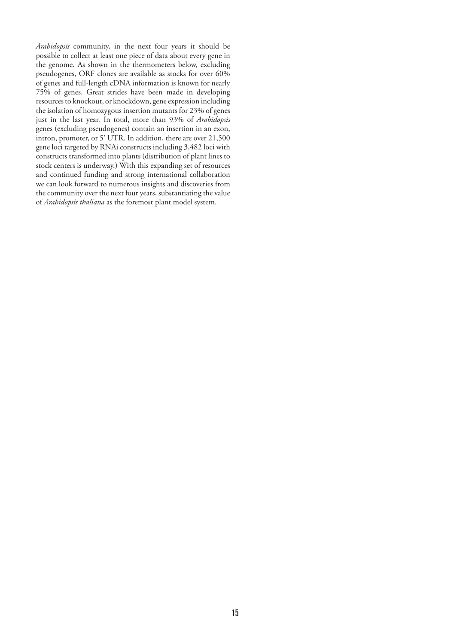*Arabidopsis* community, in the next four years it should be possible to collect at least one piece of data about every gene in the genome. As shown in the thermometers below, excluding pseudogenes, ORF clones are available as stocks for over 60% of genes and full-length cDNA information is known for nearly 75% of genes. Great strides have been made in developing resources to knockout, or knockdown, gene expression including the isolation of homozygous insertion mutants for 23% of genes just in the last year. In total, more than 93% of *Arabidopsis* genes (excluding pseudogenes) contain an insertion in an exon, intron, promoter, or 5' UTR. In addition, there are over 21,500 gene loci targeted by RNAi constructs including 3,482 loci with constructs transformed into plants (distribution of plant lines to stock centers is underway.) With this expanding set of resources and continued funding and strong international collaboration we can look forward to numerous insights and discoveries from the community over the next four years, substantiating the value of *Arabidopsis thaliana* as the foremost plant model system.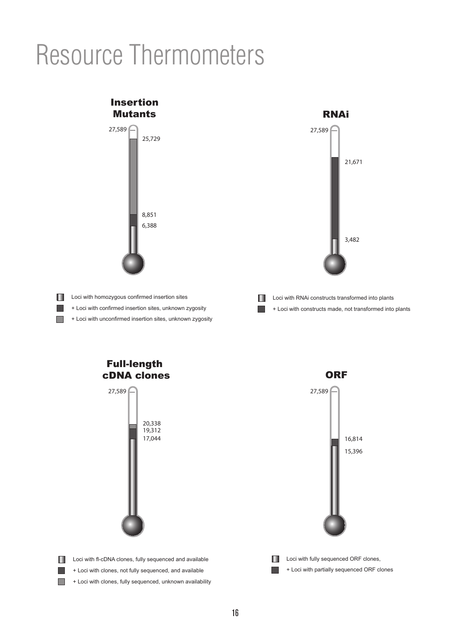# Resource Thermometers



19,312 17,044  $27,589$ 20,338 Full-length cDNA clones



Ш + Loci with partially sequenced ORF clones **I** 

+ Loci with clones, not fully sequenced, and available + Loci with clones, fully sequenced, unknown availability

**Loci with fl-cDNA clones, fully sequenced and available** 

П

H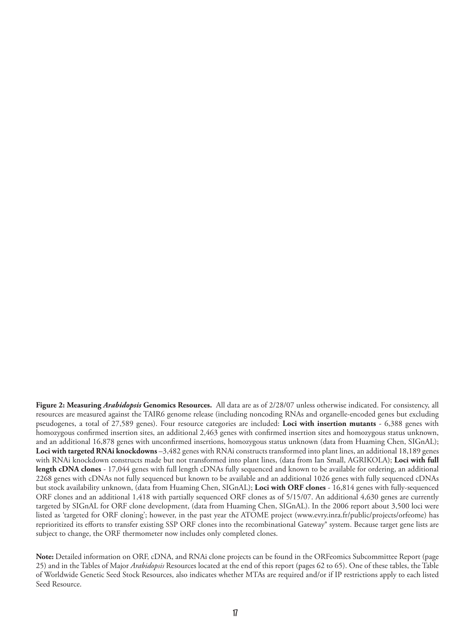**Figure 2: Measuring** *Arabidopsis* **Genomics Resources.** All data are as of 2/28/07 unless otherwise indicated. For consistency, all resources are measured against the TAIR6 genome release (including noncoding RNAs and organelle-encoded genes but excluding pseudogenes, a total of 27,589 genes). Four resource categories are included: **Loci with insertion mutants** - 6,388 genes with homozygous confirmed insertion sites, an additional 2,463 genes with confirmed insertion sites and homozygous status unknown, and an additional 16,878 genes with unconfirmed insertions, homozygous status unknown (data from Huaming Chen, SIGnAL); **Loci with targeted RNAi knockdowns** –3,482 genes with RNAi constructs transformed into plant lines, an additional 18,189 genes with RNAi knockdown constructs made but not transformed into plant lines, (data from Ian Small, AGRIKOLA); **Loci with full length cDNA clones** - 17,044 genes with full length cDNAs fully sequenced and known to be available for ordering, an additional 2268 genes with cDNAs not fully sequenced but known to be available and an additional 1026 genes with fully sequenced cDNAs but stock availability unknown, (data from Huaming Chen, SIGnAL); **Loci with ORF clones** - 16,814 genes with fully-sequenced ORF clones and an additional 1,418 with partially sequenced ORF clones as of 5/15/07. An additional 4,630 genes are currently targeted by SIGnAL for ORF clone development, (data from Huaming Chen, SIGnAL). In the 2006 report about 3,500 loci were listed as 'targeted for ORF cloning'; however, in the past year the ATOME project (www.evry.inra.fr/public/projects/orfeome) has reprioritized its efforts to transfer existing SSP ORF clones into the recombinational Gateway® system. Because target gene lists are subject to change, the ORF thermometer now includes only completed clones.

**Note:** Detailed information on ORF, cDNA, and RNAi clone projects can be found in the ORFeomics Subcommittee Report (page 25) and in the Tables of Major *Arabidopsis* Resources located at the end of this report (pages 62 to 65). One of these tables, the Table of Worldwide Genetic Seed Stock Resources, also indicates whether MTAs are required and/or if IP restrictions apply to each listed Seed Resource.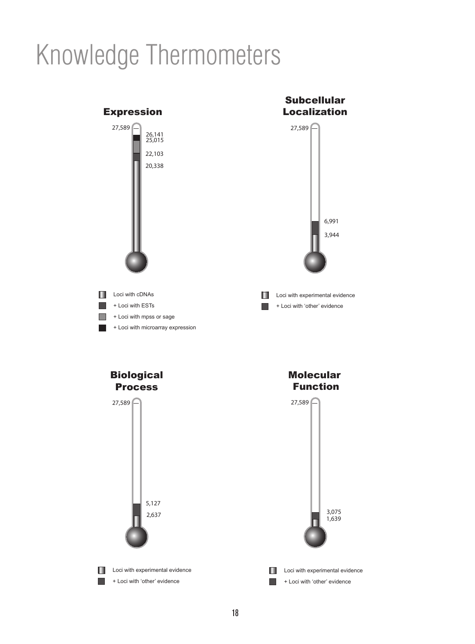# Knowledge Thermometers

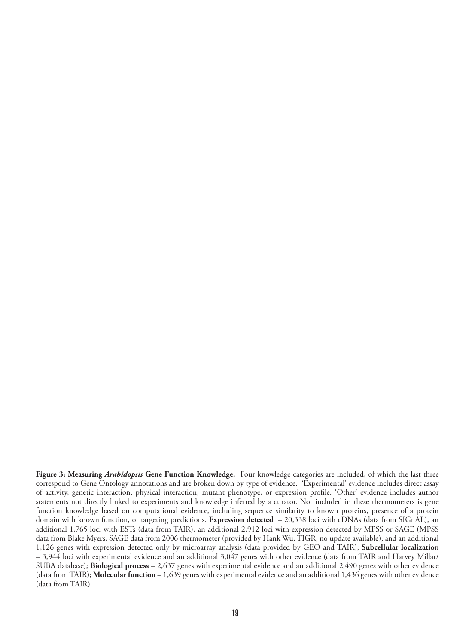**Figure 3: Measuring** *Arabidopsis* **Gene Function Knowledge.** Four knowledge categories are included, of which the last three correspond to Gene Ontology annotations and are broken down by type of evidence. 'Experimental' evidence includes direct assay of activity, genetic interaction, physical interaction, mutant phenotype, or expression profile. 'Other' evidence includes author statements not directly linked to experiments and knowledge inferred by a curator. Not included in these thermometers is gene function knowledge based on computational evidence, including sequence similarity to known proteins, presence of a protein domain with known function, or targeting predictions. **Expression detected** – 20,338 loci with cDNAs (data from SIGnAL), an additional 1,765 loci with ESTs (data from TAIR), an additional 2,912 loci with expression detected by MPSS or SAGE (MPSS data from Blake Myers, SAGE data from 2006 thermometer (provided by Hank Wu, TIGR, no update available), and an additional 1,126 genes with expression detected only by microarray analysis (data provided by GEO and TAIR); **Subcellular localizatio**n – 3,944 loci with experimental evidence and an additional 3,047 genes with other evidence (data from TAIR and Harvey Millar/ SUBA database); **Biological process** – 2,637 genes with experimental evidence and an additional 2,490 genes with other evidence (data from TAIR); **Molecular function** – 1,639 genes with experimental evidence and an additional 1,436 genes with other evidence (data from TAIR).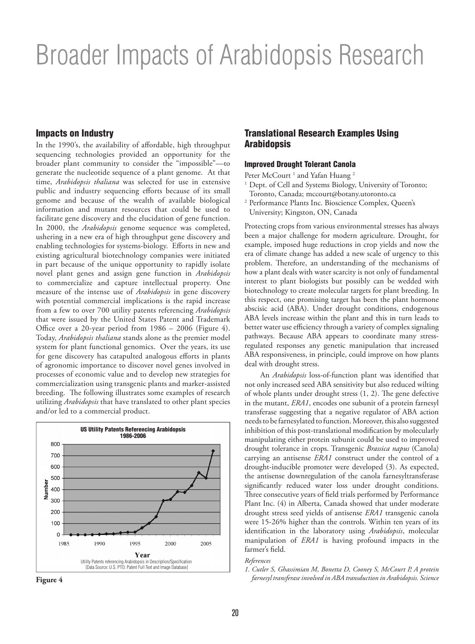# Broader Impacts of Arabidopsis Research

### Impacts on Industry

In the 1990's, the availability of affordable, high throughput sequencing technologies provided an opportunity for the broader plant community to consider the "impossible"—to generate the nucleotide sequence of a plant genome. At that time, *Arabidopsis thaliana* was selected for use in extensive public and industry sequencing efforts because of its small genome and because of the wealth of available biological information and mutant resources that could be used to facilitate gene discovery and the elucidation of gene function. In 2000, the *Arabidopsis* genome sequence was completed, ushering in a new era of high throughput gene discovery and enabling technologies for systems-biology. Efforts in new and existing agricultural biotechnology companies were initiated in part because of the unique opportunity to rapidly isolate novel plant genes and assign gene function in *Arabidopsis* to commercialize and capture intellectual property. One measure of the intense use of *Arabidopsis* in gene discovery with potential commercial implications is the rapid increase from a few to over 700 utility patents referencing *Arabidopsis* that were issued by the United States Patent and Trademark Office over a 20-year period from 1986 – 2006 (Figure 4). Today, *Arabidopsis thaliana* stands alone as the premier model system for plant functional genomics. Over the years, its use for gene discovery has catapulted analogous efforts in plants of agronomic importance to discover novel genes involved in processes of economic value and to develop new strategies for commercialization using transgenic plants and marker-assisted breeding. The following illustrates some examples of research utilizing *Arabidopsis* that have translated to other plant species and/or led to a commercial product.





## Translational Research Examples Using **Arabidopsis**

#### Improved Drought Tolerant Canola

Peter McCourt<sup>1</sup> and Yafan Huang<sup>2</sup>

- <sup>1</sup> Dept. of Cell and Systems Biology, University of Toronto; Toronto, Canada; mccourt@botany.utoronto.ca
- <sup>2</sup> Performance Plants Inc. Bioscience Complex, Queen's University; Kingston, ON, Canada

Protecting crops from various environmental stresses has always been a major challenge for modern agriculture. Drought, for example, imposed huge reductions in crop yields and now the era of climate change has added a new scale of urgency to this problem. Therefore, an understanding of the mechanisms of how a plant deals with water scarcity is not only of fundamental interest to plant biologists but possibly can be wedded with biotechnology to create molecular targets for plant breeding. In this respect, one promising target has been the plant hormone abscisic acid (ABA). Under drought conditions, endogenous ABA levels increase within the plant and this in turn leads to better water use efficiency through a variety of complex signaling pathways. Because ABA appears to coordinate many stressregulated responses any genetic manipulation that increased ABA responsiveness, in principle, could improve on how plants deal with drought stress.

An *Arabidopsis* loss-of-function plant was identified that not only increased seed ABA sensitivity but also reduced wilting of whole plants under drought stress (1, 2). The gene defective in the mutant, *ERA1*, encodes one subunit of a protein farnesyl transferase suggesting that a negative regulator of ABA action needs to be farnesylated to function. Moreover, this also suggested inhibition of this post-translational modification by molecularly manipulating either protein subunit could be used to improved drought tolerance in crops. Transgenic *Brassica napus* (Canola) carrying an antisense *ERA1* construct under the control of a drought-inducible promoter were developed (3). As expected, the antisense downregulation of the canola farnesyltransferase significantly reduced water loss under drought conditions. Three consecutive years of field trials performed by Performance Plant Inc. (4) in Alberta, Canada showed that under moderate drought stress seed yields of antisense *ERA1* transgenic canola were 15-26% higher than the controls. Within ten years of its identification in the laboratory using *Arabidopsis*, molecular manipulation of *ERA1* is having profound impacts in the farmer's field.

### *References*

*1. Cutler S, Ghassimian M, Bonetta D, Cooney S, McCourt P, A protein farnesyl transferase involved in ABA transduction in Arabidopsis. Science*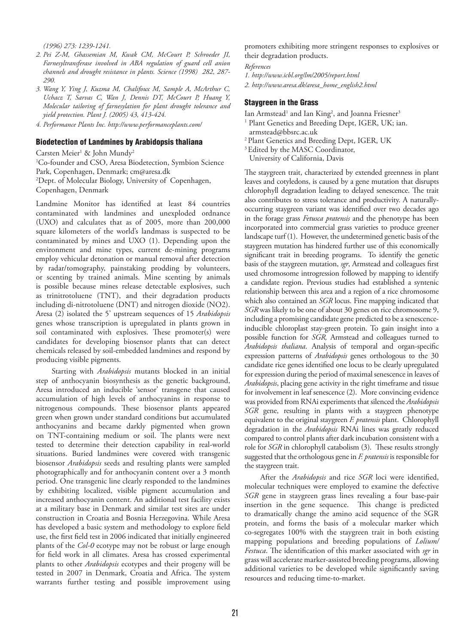*(1996) 273: 1239-1241.*

- *2. Pei Z-M, Ghassemian M, Kwak CM, McCourt P, Schroeder JI, Farnesyltransferase involved in ABA regulation of guard cell anion channels and drought resistance in plants. Science (1998) 282, 287- 290.*
- *3. Wang Y, Ying J, Kuzma M, Chalifoux M, Sample A, McArthur C, Uchacz T, Sarvas C, Wan J, Dennis DT, McCourt P, Huang Y, Molecular tailoring of farnesylation for plant drought tolerance and yield protection. Plant J. (2005) 43, 413-424.*
- *4. Performance Plants Inc. http://www.performanceplants.com/*

#### Biodetection of Landmines by Arabidopsis thaliana

Carsten Meier<sup>1</sup> & John Mundy<sup>2</sup>

1 Co-founder and CSO, Aresa Biodetection, Symbion Science Park, Copenhagen, Denmark; cm@aresa.dk 2 Dept. of Molecular Biology, University of Copenhagen, Copenhagen, Denmark

Landmine Monitor has identified at least 84 countries contaminated with landmines and unexploded ordnance (UXO) and calculates that as of 2005, more than 200,000 square kilometers of the world's landmass is suspected to be contaminated by mines and UXO (1). Depending upon the environment and mine types, current de-mining programs employ vehicular detonation or manual removal after detection by radar/tomography, painstaking prodding by volunteers, or scenting by trained animals. Mine scenting by animals is possible because mines release detectable explosives, such as trinitrotoluene (TNT), and their degradation products including di-nitrotoluene (DNT) and nitrogen dioxide (NO2). Aresa (2) isolated the 5' upstream sequences of 15 *Arabidopsis*  genes whose transcription is upregulated in plants grown in soil contaminated with explosives. These promoter(s) were candidates for developing biosensor plants that can detect chemicals released by soil-embedded landmines and respond by producing visible pigments.

Starting with *Arabidopsis* mutants blocked in an initial step of anthocyanin biosynthesis as the genetic background, Aresa introduced an inducible 'sensor' transgene that caused accumulation of high levels of anthocyanins in response to nitrogenous compounds. These biosensor plants appeared green when grown under standard conditions but accumulated anthocyanins and became darkly pigmented when grown on TNT-containing medium or soil. The plants were next tested to determine their detection capability in real-world situations. Buried landmines were covered with transgenic biosensor *Arabidopsis* seeds and resulting plants were sampled photographically and for anthocyanin content over a 3 month period. One transgenic line clearly responded to the landmines by exhibiting localized, visible pigment accumulation and increased anthocyanin content. An additional test facility exists at a military base in Denmark and similar test sites are under construction in Croatia and Bosnia Herzegovina. While Aresa has developed a basic system and methodology to explore field use, the first field test in 2006 indicated that initially engineered plants of the *Col-0* ecotype may not be robust or large enough for field work in all climates. Aresa has crossed experimental plants to other *Arabidopsis* ecotypes and their progeny will be tested in 2007 in Denmark, Croatia and Africa. The system warrants further testing and possible improvement using

promoters exhibiting more stringent responses to explosives or their degradation products.

*References*

*1. http://www.icbl.org/lm/2005/report.html 2. http://www.aresa.dk/aresa\_home\_english2.html*

#### Staygreen in the Grass

Ian Armstead<sup>1</sup> and Ian King<sup>2</sup>, and Joanna Friesner<sup>3</sup>

- <sup>1</sup> Plant Genetics and Breeding Dept, IGER, UK; ian. armstead@bbsrc.ac.uk
- 2 Plant Genetics and Breeding Dept, IGER, UK
- <sup>3</sup> Edited by the MASC Coordinator,

University of California, Davis

The staygreen trait, characterized by extended greenness in plant leaves and cotyledons, is caused by a gene mutation that disrupts chlorophyll degradation leading to delayed senescence. The trait also contributes to stress tolerance and productivity. A naturallyoccurring staygreen variant was identified over two decades ago in the forage grass *Fetusca pratensis* and the phenotype has been incorporated into commercial grass varieties to produce greener landscape turf (1). However, the undetermined genetic basis of the staygreen mutation has hindered further use of this economically significant trait in breeding programs. To identify the genetic basis of the staygreen mutation, *sgr*, Armstead and colleagues first used chromosome introgression followed by mapping to identify a candidate region. Previous studies had established a syntenic relationship between this area and a region of a rice chromosome which also contained an *SGR* locus. Fine mapping indicated that *SGR* was likely to be one of about 30 genes on rice chromosome 9, including a promising candidate gene predicted to be a senescenceinducible chloroplast stay-green protein. To gain insight into a possible function for *SGR,* Armstead and colleagues turned to *Arabidopsis thaliana*. Analysis of temporal and organ-specific expression patterns of *Arabidopsis* genes orthologous to the 30 candidate rice genes identified one locus to be clearly upregulated for expression during the period of maximal senescence in leaves of *Arabidopsis*, placing gene activity in the right timeframe and tissue for involvement in leaf senescence (2). More convincing evidence was provided from RNAi experiments that silenced the *Arabidopsis SGR* gene, resulting in plants with a staygreen phenotype equivalent to the original staygreen *F. pratensis* plant. Chlorophyll degradation in the *Arabidopsis* RNAi lines was greatly reduced compared to control plants after dark incubation consistent with a role for *SGR* in chlorophyll catabolism (3). These results strongly suggested that the orthologous genein *F. pratensis* is responsible for the staygreen trait.

After the *Arabidopsis* and rice *SGR* loci were identified, molecular techniques were employed to examine the defective *SGR* gene in staygreen grass lines revealing a four base-pair insertion in the gene sequence. This change is predicted to dramatically change the amino acid sequence of the SGR protein, and forms the basis of a molecular marker which co-segregates 100% with the staygreen trait in both existing mapping populations and breeding populations of *Lolium/ Festuca*. The identification of this marker associated with *sgr* in grass will accelerate marker-assisted breeding programs, allowing additional varieties to be developed while significantly saving resources and reducing time-to-market.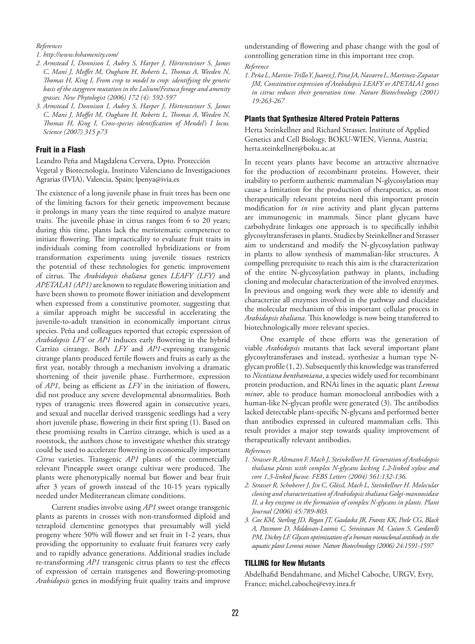#### *References*

*1. http://www.bshamenity.com/*

- *2. Armstead I, Donnison I, Aubry S, Harper J, Hörtensteiner S, James C, Mani J, Moffet M, Ougham H, Roberts L, Thomas A, Weeden N, Thomas H, King I, From crop to model to crop: identifying the genetic basis of the staygreen mutation in the Lolium/Festuca forage and amenity grasses. New Phytologist (2006) 172 (4): 592-597*
- *3. Armstead I, Donnison I, Aubry S, Harper J, Hörtensteiner S, James C, Mani J, Moffet M, Ougham H, Roberts L, Thomas A, Weeden N, Thomas H, King I, Cross-species identification of Mendel's I locus. Science (2007) 315 p73*

#### Fruit in a Flash

Leandro Peña and Magdalena Cervera, Dpto. Protección Vegetal y Biotecnología, Instituto Valenciano de Investigaciones Agrarias (IVIA), Valencia, Spain; lpenya@ivia.es

The existence of a long juvenile phase in fruit trees has been one of the limiting factors for their genetic improvement because it prolongs in many years the time required to analyze mature traits. The juvenile phase in citrus ranges from 6 to 20 years; during this time, plants lack the meristematic competence to initiate flowering. The impracticality to evaluate fruit traits in individuals coming from controlled hybridizations or from transformation experiments using juvenile tissues restricts the potential of these technologies for genetic improvement of citrus. The *Arabidopsis thaliana* genes *LEAFY (LFY)* and *APETALA1 (AP1)* are known to regulate flowering initiation and have been shown to promote flower initiation and development when expressed from a constitutive promoter, suggesting that a similar approach might be successful in accelerating the juvenile-to-adult transition in economically important citrus species. Peña and colleagues reported that ectopic expression of *Arabidopsis LFY* or *AP1* induces early flowering in the hybrid Carrizo citrange. Both *LFY* and *AP1-*expressing transgenic citrange plants produced fertile flowers and fruits as early as the first year, notably through a mechanism involving a dramatic shortening of their juvenile phase. Furthermore, expression of *AP1*, being as efficient as *LFY* in the initiation of flowers, did not produce any severe developmental abnormalities. Both types of transgenic trees flowered again in consecutive years, and sexual and nucellar derived transgenic seedlings had a very short juvenile phase, flowering in their first spring (1). Based on these promising results in Carrizo citrange, which is used as a rootstock, the authors chose to investigate whether this strategy could be used to accelerate flowering in economically important *Citrus* varieties. Transgenic *AP1* plants of the commercially relevant Pineapple sweet orange cultivar were produced. The plants were phenotypically normal but flower and bear fruit after 3 years of growth instead of the 10-15 years typically needed under Mediterranean climate conditions.

Current studies involve using *AP1* sweet orange transgenic plants as parents in crosses with non-transformed diploid and tetraploid clementine genotypes that presumably will yield progeny where 50% will flower and set fruit in 1-2 years, thus providing the opportunity to evaluate fruit features very early and to rapidly advance generations. Additional studies include re-transforming *AP1* transgenic citrus plants to test the effects of expression of certain transgenes and flowering-promoting *Arabidopsis* genes in modifying fruit quality traits and improve understanding of flowering and phase change with the goal of controlling generation time in this important tree crop. *Reference*

*1. Peña L, Martin-Trillo Y, Juarez J, Pina JA, Navarro L, Martinez-Zapatar JM, Constitutive expression of Arabidopsis LEAFY or APETALA1 genes in citrus reduces their generation time. Nature Biotechnology (2001) 19:263-267*

#### Plants that Synthesize Altered Protein Patterns

Herta Steinkellner and Richard Strasser, Institute of Applied Genetics and Cell Biology, BOKU-WIEN, Vienna, Austria; herta.steinkellner@boku.ac.at

In recent years plants have become an attractive alternative for the production of recombinant proteins. However, their inability to perform authentic mammalian N-glycosylation may cause a limitation for the production of therapeutics, as most therapeutically relevant proteins need this important protein modification for *in vivo* activity and plant glycan patterns are immunogenic in mammals. Since plant glycans have carbohydrate linkages one approach is to specifically inhibit glycosyltransferases in plants. Studies by Steinkellner and Strasser aim to understand and modify the N-glycosylation pathway in plants to allow synthesis of mammalian-like structures. A compelling prerequisite to reach this aim is the characterization of the entire N-glycosylation pathway in plants, including cloning and molecular characterization of the involved enzymes. In previous and ongoing work they were able to identify and characterize all enzymes involved in the pathway and elucidate the molecular mechanism of this important cellular process in *Arabidopsis thaliana.* This knowledge is now being transferred to biotechnologically more relevant species.

One example of these efforts was the generation of viable *Arabidopsis* mutants that lack several important plant glycosyltransferases and instead, synthesize a human type Nglycan profile (1, 2). Subsequently this knowledge was transferred to *Nicotiana benthamiana*, a species widely used for recombinant protein production, and RNAi lines in the aquatic plant *Lemna minor*, able to produce human monoclonal antibodies with a human-like N-glycan profile were generated (3). The antibodies lacked detectable plant-specific N-glycans and performed better than antibodies expressed in cultured mammalian cells. This result provides a major step towards quality improvement of therapeutically relevant antibodies.

#### *References*

- *1. Strasser R, Altmann F, Mach J, Steinkellner H. Generation of Arabidopsis thaliana plants with complex N-glycans lacking 1,2-linked xylose and core 1,3-linked fucose. FEBS Letters (2004) 561:132-136.*
- *2. Strasser R, Schoberer J, Jin C, Glössl, Mach L, Steinkellner H. Molecular cloning and characterization of Arabidopsis thaliana Golgi-mannosidase II, a key enzyme in the formation of complex N-glycans in plants. Plant Journal (2006) 45:789-803.*
- *3. Cox KM, Sterling JD, Regan JT, Gasdaska JR, Frantz KK, Peele CG, Black A, Passmore D, Moldovan-Loomis C, Srinivasan M, Cuison S, Cardarelli PM, Dickey LF. Glycan optimization of a human monoclonal antibody in the aquatic plant Lemna minor. Nature Biotechnology (2006) 24:1591-1597*

#### TILLING for New Mutants

Abdelhafid Bendahmane, and Michel Caboche, URGV, Evry, France; michel.caboche@evry.inra.fr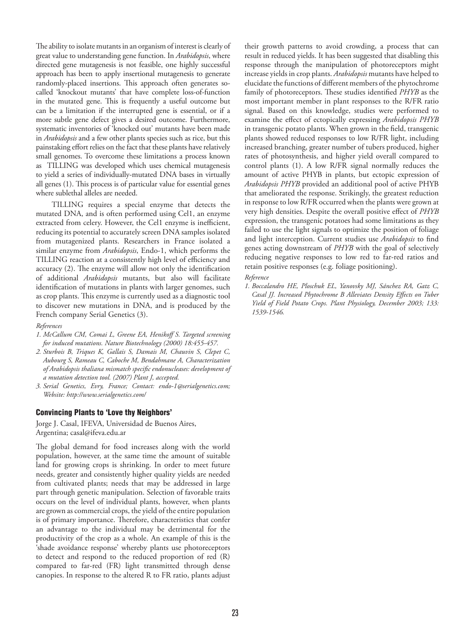The ability to isolate mutants in an organism of interest is clearly of great value to understanding gene function. In *Arabidopsis*, where directed gene mutagenesis is not feasible, one highly successful approach has been to apply insertional mutagenesis to generate randomly-placed insertions. This approach often generates socalled 'knockout mutants' that have complete loss-of-function in the mutated gene. This is frequently a useful outcome but can be a limitation if the interrupted gene is essential, or if a more subtle gene defect gives a desired outcome. Furthermore, systematic inventories of 'knocked out' mutants have been made in *Arabidopsis* and a few other plants species such as rice, but this painstaking effort relies on the fact that these plants have relatively small genomes. To overcome these limitations a process known as TILLING was developed which uses chemical mutagenesis to yield a series of individually-mutated DNA bases in virtually all genes (1). This process is of particular value for essential genes where sublethal alleles are needed.

TILLING requires a special enzyme that detects the mutated DNA, and is often performed using Cel1, an enzyme extracted from celery. However, the Cel1 enzyme is inefficient, reducing its potential to accurately screen DNA samples isolated from mutagenized plants. Researchers in France isolated a similar enzyme from *Arabidopsis*, Endo-1, which performs the TILLING reaction at a consistently high level of efficiency and accuracy (2). The enzyme will allow not only the identification of additional *Arabidopsis* mutants, but also will facilitate identification of mutations in plants with larger genomes, such as crop plants. This enzyme is currently used as a diagnostic tool to discover new mutations in DNA, and is produced by the French company Serial Genetics (3).

#### *References*

- *1. McCallum CM, Comai L, Greene EA, Henikoff S. Targeted screening for induced mutations. Nature Biotechnology (2000) 18:455-457.*
- *2. Sturbois B, Triques K, Gallais S, Damais M, Chauvin S, Clepet C, Aubourg S, Rameau C, Caboche M, Bendahmane A, Characterization of Arabidopsis thaliana mismatch specific endonucleases: development of a mutation detection tool. (2007) Plant J, accepted.*
- *3. Serial Genetics, Evry, France; Contact: endo-1@serialgenetics.com; Website: http://www.serialgenetics.com/*

#### Convincing Plants to 'Love thy Neighbors'

Jorge J. Casal, IFEVA, Universidad de Buenos Aires, Argentina; casal@ifeva.edu.ar

The global demand for food increases along with the world population, however, at the same time the amount of suitable land for growing crops is shrinking. In order to meet future needs, greater and consistently higher quality yields are needed from cultivated plants; needs that may be addressed in large part through genetic manipulation. Selection of favorable traits occurs on the level of individual plants, however, when plants are grown as commercial crops, the yield of the entire population is of primary importance. Therefore, characteristics that confer an advantage to the individual may be detrimental for the productivity of the crop as a whole. An example of this is the 'shade avoidance response' whereby plants use photoreceptors to detect and respond to the reduced proportion of red (R) compared to far-red (FR) light transmitted through dense canopies. In response to the altered R to FR ratio, plants adjust

their growth patterns to avoid crowding, a process that can result in reduced yields. It has been suggested that disabling this response through the manipulation of photoreceptors might increase yields in crop plants. *Arabidopsis* mutants have helped to elucidate the functions of different members of the phytochrome family of photoreceptors. These studies identified *PHYB* as the most important member in plant responses to the R/FR ratio signal. Based on this knowledge, studies were performed to examine the effect of ectopically expressing *Arabidopsis PHYB*  in transgenic potato plants. When grown in the field, transgenic plants showed reduced responses to low R/FR light, including increased branching, greater number of tubers produced, higher rates of photosynthesis, and higher yield overall compared to control plants (1). A low R/FR signal normally reduces the amount of active PHYB in plants, but ectopic expression of *Arabidopsis PHYB* provided an additional pool of active PHYB that ameliorated the response. Strikingly, the greatest reduction in response to low R/FR occurred when the plants were grown at very high densities. Despite the overall positive effect of *PHYB* expression, the transgenic potatoes had some limitations as they failed to use the light signals to optimize the position of foliage and light interception. Current studies use *Arabidopsis* to find genes acting downstream of *PHYB* with the goal of selectively reducing negative responses to low red to far-red ratios and retain positive responses (e.g. foliage positioning).

#### *Reference*

*1. Boccalandro HE, Ploschuk EL, Yanovsky MJ, Sánchez RA, Gatz C, Casal JJ. Increased Phytochrome B Alleviates Density Effects on Tuber Yield of Field Potato Crops. Plant Physiology, December 2003; 133: 1539-1546.*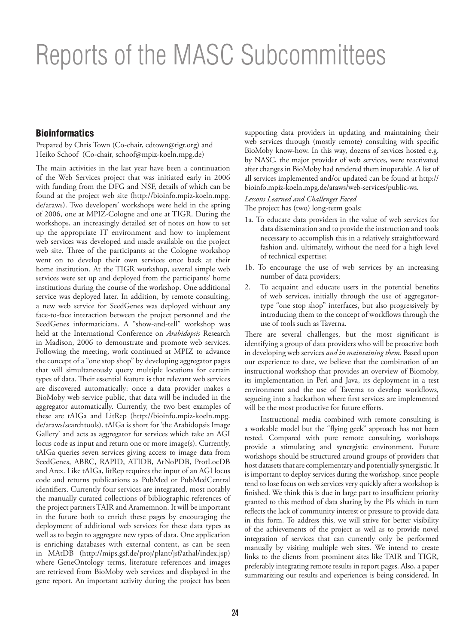# Reports of the MASC Subcommittees

## **Bioinformatics**

Prepared by Chris Town (Co-chair, cdtown@tigr.org) and Heiko Schoof (Co-chair, schoof@mpiz-koeln.mpg.de)

The main activities in the last year have been a continuation of the Web Services project that was initiated early in 2006 with funding from the DFG and NSF, details of which can be found at the project web site (http://bioinfo.mpiz-koeln.mpg. de/araws). Two developers' workshops were held in the spring of 2006, one at MPIZ-Cologne and one at TIGR. During the workshops, an increasingly detailed set of notes on how to set up the appropriate IT environment and how to implement web services was developed and made available on the project web site. Three of the participants at the Cologne workshop went on to develop their own services once back at their home institution. At the TIGR workshop, several simple web services were set up and deployed from the participants' home institutions during the course of the workshop. One additional service was deployed later. In addition, by remote consulting, a new web service for SeedGenes was deployed without any face-to-face interaction between the project personnel and the SeedGenes informaticians. A "show-and-tell" workshop was held at the International Conference on *Arabidopsis* Research in Madison, 2006 to demonstrate and promote web services. Following the meeting, work continued at MPIZ to advance the concept of a "one stop shop" by developing aggregator pages that will simultaneously query multiple locations for certain types of data. Their essential feature is that relevant web services are discovered automatically: once a data provider makes a BioMoby web service public, that data will be included in the aggregator automatically. Currently, the two best examples of these are tAIGa and LitRep (http://bioinfo.mpiz-koeln.mpg. de/araws/searchtools). tAIGa is short for 'the Arabidopsis Image Gallery' and acts as aggregator for services which take an AGI locus code as input and return one or more image(s). Currently, tAIGa queries seven services giving access to image data from SeedGenes, ABRC, RAPID, ATIDB, AtNoPDB, ProtLocDB and Arex. Like tAIGa, litRep requires the input of an AGI locus code and returns publications as PubMed or PubMedCentral identifiers. Currently four services are integrated, most notably the manually curated collections of bibliographic references of the project partners TAIR and Aramemnon. It will be important in the future both to enrich these pages by encouraging the deployment of additional web services for these data types as well as to begin to aggregate new types of data. One application is enriching databases with external content, as can be seen in MAtDB (http://mips.gsf.de/proj/plant/jsf/athal/index.jsp) where GeneOntology terms, literature references and images are retrieved from BioMoby web services and displayed in the gene report. An important activity during the project has been

supporting data providers in updating and maintaining their web services through (mostly remote) consulting with specific BioMoby know-how. In this way, dozens of services hosted e.g. by NASC, the major provider of web services, were reactivated after changes in BioMoby had rendered them inoperable. A list of all services implemented and/or updated can be found at http:// bioinfo.mpiz-koeln.mpg.de/araws/web-services/public-ws.

#### *Lessons Learned and Challenges Faced*

The project has (two) long-term goals:

- 1a. To educate data providers in the value of web services for data dissemination and to provide the instruction and tools necessary to accomplish this in a relatively straightforward fashion and, ultimately, without the need for a high level of technical expertise;
- 1b. To encourage the use of web services by an increasing number of data providers;
- 2. To acquaint and educate users in the potential benefits of web services, initially through the use of aggregatortype "one stop shop" interfaces, but also progressively by introducing them to the concept of workflows through the use of tools such as Taverna.

There are several challenges, but the most significant is identifying a group of data providers who will be proactive both in developing web services *and in maintaining them*. Based upon our experience to date, we believe that the combination of an instructional workshop that provides an overview of Biomoby, its implementation in Perl and Java, its deployment in a test environment and the use of Taverna to develop workflows, segueing into a hackathon where first services are implemented will be the most productive for future efforts.

Instructional media combined with remote consulting is a workable model but the "flying geek" approach has not been tested. Compared with pure remote consulting, workshops provide a stimulating and synergistic environment. Future workshops should be structured around groups of providers that host datasets that are complementary and potentially synergistic. It is important to deploy services during the workshop, since people tend to lose focus on web services very quickly after a workshop is finished. We think this is due in large part to insufficient priority granted to this method of data sharing by the PIs which in turn reflects the lack of community interest or pressure to provide data in this form. To address this, we will strive for better visibility of the achievements of the project as well as to provide novel integration of services that can currently only be performed manually by visiting multiple web sites. We intend to create links to the clients from prominent sites like TAIR and TIGR, preferably integrating remote results in report pages. Also, a paper summarizing our results and experiences is being considered. In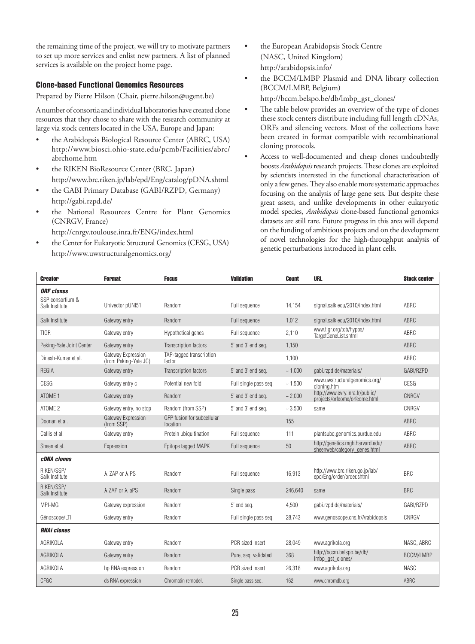the remaining time of the project, we will try to motivate partners to set up more services and enlist new partners. A list of planned services is available on the project home page.

### Clone-based Functional Genomics Resources

Prepared by Pierre Hilson (Chair, pierre.hilson@ugent.be)

A number of consortia and individual laboratories have created clone resources that they chose to share with the research community at large via stock centers located in the USA, Europe and Japan:

- the Arabidopsis Biological Resource Center (ABRC, USA) http://www.biosci.ohio-state.edu/pcmb/Facilities/abrc/ abrchome.htm
- the RIKEN BioResource Center (BRC, Japan) http://www.brc.riken.jp/lab/epd/Eng/catalog/pDNA.shtml
- the GABI Primary Database (GABI/RZPD, Germany) http://gabi.rzpd.de/
- the National Resources Centre for Plant Genomics (CNRGV, France)

http://cnrgv.toulouse.inra.fr/ENG/index.html

the Center for Eukaryotic Structural Genomics (CESG, USA) http://www.uwstructuralgenomics.org/

- the European Arabidopsis Stock Centre (NASC, United Kingdom) http://arabidopsis.info/
- the BCCM/LMBP Plasmid and DNA library collection (BCCM/LMBP, Belgium) http://bccm.belspo.be/db/lmbp\_gst\_clones/
- The table below provides an overview of the type of clones these stock centers distribute including full length cDNAs, ORFs and silencing vectors. Most of the collections have been created in format compatible with recombinational cloning protocols.
- Access to well-documented and cheap clones undoubtedly boosts *Arabidopsis* research projects. These clones are exploited by scientists interested in the functional characterization of only a few genes. They also enable more systematic approaches focusing on the analysis of large gene sets. But despite these great assets, and unlike developments in other eukaryotic model species, *Arabidopsis* clone-based functional genomics datasets are still rare. Future progress in this area will depend on the funding of ambitious projects and on the development of novel technologies for the high-throughput analysis of genetic perturbations introduced in plant cells.

| <b>Creator</b>                                          | <b>Format</b>                               | <b>Focus</b>                           | <b>Validation</b>     | <b>Count</b> | <b>URL</b>                                                       | <b>Stock center</b> |
|---------------------------------------------------------|---------------------------------------------|----------------------------------------|-----------------------|--------------|------------------------------------------------------------------|---------------------|
| <b>ORF</b> clones<br>SSP consortium &<br>Salk Institute | Univector pUNI51                            | Random                                 | Full sequence         | 14.154       | signal.salk.edu/2010/index.html                                  | <b>ABRC</b>         |
|                                                         |                                             |                                        |                       |              |                                                                  |                     |
| Salk Institute                                          | Gateway entry                               | Random                                 | Full sequence         | 1,012        | signal.salk.edu/2010/index.html                                  | ABRC                |
| <b>TIGR</b>                                             | Gateway entry                               | Hypothetical genes                     | Full sequence         | 2.110        | www.tigr.org/tdb/hypos/<br>TargetGeneList.shtml                  | ABRC                |
| Peking-Yale Joint Center                                | Gateway entry                               | Transcription factors                  | 5' and 3' end seq.    | 1,150        |                                                                  | <b>ABRC</b>         |
| Dinesh-Kumar et al.                                     | Gateway Expression<br>(from Peking-Yale JC) | TAP-tagged transcription<br>factor     |                       | 1.100        |                                                                  | ABRC                |
| <b>REGIA</b>                                            | Gateway entry                               | Transcription factors                  | 5' and 3' end seq.    | ~1,000       | qabi.rzpd.de/materials/                                          | GABI/RZPD           |
| <b>CESG</b>                                             | Gateway entry c                             | Potential new fold                     | Full single pass seq. | ~1,500       | www.uwstructuralgenomics.org/<br>cloning.htm                     | CESG                |
| ATOME 1                                                 | Gateway entry                               | Random                                 | 5' and 3' end seq.    | ~2,000       | http://www.evry.inra.fr/public/<br>projects/orfeome/orfeome.html | CNRGV               |
| ATOME 2                                                 | Gateway entry, no stop                      | Random (from SSP)                      | 5' and 3' end seq.    | ~1.500       | same                                                             | CNRGV               |
| Doonan et al.                                           | Gateway Expression<br>(from SSP)            | GFP fusion for subcellular<br>location |                       | 155          |                                                                  | ABRC                |
| Callis et al.                                           | Gateway entry                               | Protein ubiquitination                 | Full sequence         | 111          | plantsubg.genomics.purdue.edu                                    | ABRC                |
| Sheen et al.                                            | Expression                                  | Epitope tagged MAPK                    | Full sequence         | 50           | http://genetics.mgh.harvard.edu/<br>sheenweb/category genes.html | <b>ABRC</b>         |
| <b>cDNA</b> clones                                      |                                             |                                        |                       |              |                                                                  |                     |
| RIKEN/SSP/<br>Salk Institute                            | λ ZAP or λ PS                               | Random                                 | Full sequence         | 16.913       | http://www.brc.riken.go.jp/lab/<br>epd/Eng/order/order.shtml     | <b>BRC</b>          |
| RIKEN/SSP/<br>Salk Institute                            | $\lambda$ ZAP or $\lambda$ aPS              | Random                                 | Single pass           | 246.640      | same                                                             | <b>BRC</b>          |
| MPI-MG                                                  | Gateway expression                          | Random                                 | 5' end sea.           | 4.500        | qabi.rzpd.de/materials/                                          | GABI/RZPD           |
| Génoscope/LTI                                           | Gateway entry                               | Random                                 | Full single pass seq. | 28,743       | www.genoscope.cns.fr/Arabidopsis                                 | CNRGV               |
| <b>RNAi clones</b>                                      |                                             |                                        |                       |              |                                                                  |                     |
| AGRIKOLA                                                | Gateway entry                               | Random                                 | PCR sized insert      | 28.049       | www.agrikola.org                                                 | NASC, ABRC          |
| AGRIKOLA                                                | Gateway entry                               | Random                                 | Pure, seg. validated  | 368          | http://bccm.belspo.be/db/<br>Imbp gst clones/                    | BCCM/LMBP           |
| AGRIKOLA                                                | hp RNA expression                           | Random                                 | PCR sized insert      | 26.318       | www.agrikola.org                                                 | <b>NASC</b>         |
| CFGC                                                    | ds RNA expression                           | Chromatin remodel.                     | Single pass seg.      | 162          | www.chromdb.org                                                  | <b>ABRC</b>         |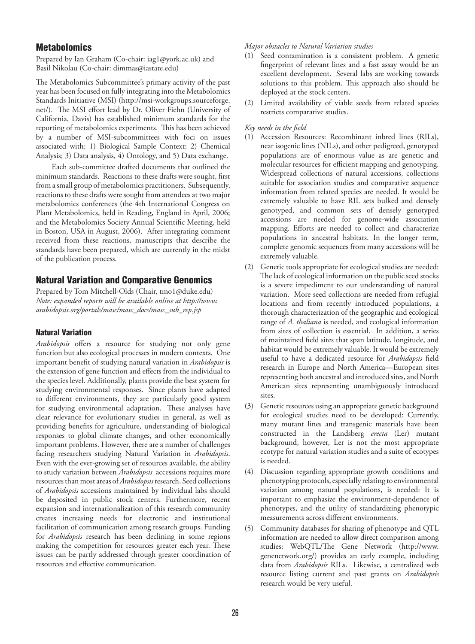## **Metabolomics**

Prepared by Ian Graham (Co-chair: iag1@york.ac.uk) and Basil Nikolau (Co-chair: dimmas@iastate.edu)

The Metabolomics Subcommittee's primary activity of the past year has been focused on fully integrating into the Metabolomics Standards Initiative (MSI) (http://msi-workgroups.sourceforge. net/). The MSI effort lead by Dr. Oliver Fiehn (University of California, Davis) has established minimum standards for the reporting of metabolomics experiments. This has been achieved by a number of MSI-subcommittees with foci on issues associated with: 1) Biological Sample Context; 2) Chemical Analysis; 3) Data analysis, 4) Ontology, and 5) Data exchange.

Each sub-committee drafted documents that outlined the minimum standards. Reactions to these drafts were sought, first from a small group of metabolomics practitioners. Subsequently, reactions to these drafts were sought from attendees at two major metabolomics conferences (the 4th International Congress on Plant Metabolomics, held in Reading, England in April, 2006; and the Metabolomics Society Annual Scientific Meeting, held in Boston, USA in August, 2006). After integrating comment received from these reactions, manuscripts that describe the standards have been prepared, which are currently in the midst of the publication process.

## Natural Variation and Comparative Genomics

Prepared by Tom Mitchell-Olds (Chair, tmo1@duke.edu) *Note: expanded reports will be available online at http://www. arabidopsis.org/portals/masc/masc\_docs/masc\_sub\_rep.jsp*

## Natural Variation

*Arabidopsis* offers a resource for studying not only gene function but also ecological processes in modern contexts. One important benefit of studying natural variation in *Arabidopsis* is the extension of gene function and effects from the individual to the species level. Additionally, plants provide the best system for studying environmental responses. Since plants have adapted to different environments, they are particularly good system for studying environmental adaptation. These analyses have clear relevance for evolutionary studies in general, as well as providing benefits for agriculture, understanding of biological responses to global climate changes, and other economically important problems. However, there are a number of challenges facing researchers studying Natural Variation in *Arabidopsis*. Even with the ever-growing set of resources available, the ability to study variation between *Arabidopsis* accessions requires more resources than most areas of *Arabidopsis* research. Seed collections of *Arabidopsis* accessions maintained by individual labs should be deposited in public stock centers. Furthermore, recent expansion and internationalization of this research community creates increasing needs for electronic and institutional facilitation of communication among research groups. Funding for *Arabidopsis* research has been declining in some regions making the competition for resources greater each year. These issues can be partly addressed through greater coordination of resources and effective communication.

*Major obstacles to Natural Variation studies*

- (1) Seed contamination is a consistent problem. A genetic fingerprint of relevant lines and a fast assay would be an excellent development. Several labs are working towards solutions to this problem. This approach also should be deployed at the stock centers.
- (2) Limited availability of viable seeds from related species restricts comparative studies.

#### *Key needs in the field*

- (1) Accession Resources: Recombinant inbred lines (RILs), near isogenic lines (NILs), and other pedigreed, genotyped populations are of enormous value as are genetic and molecular resources for efficient mapping and genotyping. Widespread collections of natural accessions, collections suitable for association studies and comparative sequence information from related species are needed. It would be extremely valuable to have RIL sets bulked and densely genotyped, and common sets of densely genotyped accessions are needed for genome-wide association mapping. Efforts are needed to collect and characterize populations in ancestral habitats. In the longer term, complete genomic sequences from many accessions will be extremely valuable.
- (2) Genetic tools appropriate for ecological studies are needed: The lack of ecological information on the public seed stocks is a severe impediment to our understanding of natural variation. More seed collections are needed from refugial locations and from recently introduced populations, a thorough characterization of the geographic and ecological range of *A. thaliana* is needed, and ecological information from sites of collection is essential. In addition, a series of maintained field sites that span latitude, longitude, and habitat would be extremely valuable. It would be extremely useful to have a dedicated resource for *Arabidopsis* field research in Europe and North America—European sites representing both ancestral and introduced sites, and North American sites representing unambiguously introduced sites.
- (3) Genetic resources using an appropriate genetic background for ecological studies need to be developed: Currently, many mutant lines and transgenic materials have been constructed in the Landsberg *erecta* (Ler) mutant background, however, Ler is not the most appropriate ecotype for natural variation studies and a suite of ecotypes is needed.
- (4) Discussion regarding appropriate growth conditions and phenotyping protocols, especially relating to environmental variation among natural populations, is needed: It is important to emphasize the environment-dependence of phenotypes, and the utility of standardizing phenotypic measurements across different environments.
- (5) Community databases for sharing of phenotype and QTL information are needed to allow direct comparison among studies: WebQTL/The Gene Network (http://www. genenetwork.org/) provides an early example, including data from *Arabidopsis* RILs. Likewise, a centralized web resource listing current and past grants on *Arabidopsis* research would be very useful.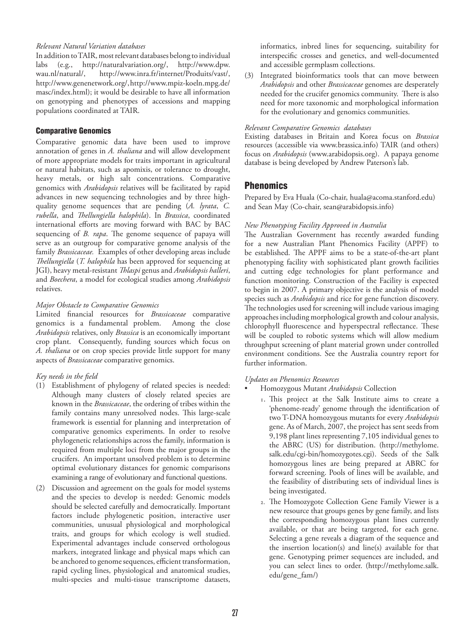### *Relevant Natural Variation databases*

In addition to TAIR, most relevant databases belong to individual labs (e.g., http://naturalvariation.org/, http://www.dpw. wau.nl/natural/, http://www.inra.fr/internet/Produits/vast/, http://www.genenetwork.org/, http://www.mpiz-koeln.mpg.de/ masc/index.html); it would be desirable to have all information on genotyping and phenotypes of accessions and mapping populations coordinated at TAIR.

#### Comparative Genomics

Comparative genomic data have been used to improve annotation of genes in *A. thaliana* and will allow development of more appropriate models for traits important in agricultural or natural habitats, such as apomixis, or tolerance to drought, heavy metals, or high salt concentrations. Comparative genomics with *Arabidopsis* relatives will be facilitated by rapid advances in new sequencing technologies and by three highquality genome sequences that are pending (*A. lyrata*, *C. rubella*, and *Thellungiella halophila*). In *Brassica*, coordinated international efforts are moving forward with BAC by BAC sequencing of *B. rapa*. The genome sequence of papaya will serve as an outgroup for comparative genome analysis of the family *Brassicaceae.* Examples of other developing areas include *Thellungiella* (*T. halophila* has been approved for sequencing at JGI), heavy metal-resistant *Thlaspi* genus and *Arabidopsis halleri*, and *Boechera*, a model for ecological studies among *Arabidopsis* relatives.

### *Major Obstacle to Comparative Genomics*

Limited financial resources for *Brassicaceae* comparative genomics is a fundamental problem. Among the close *Arabidopsis* relatives, only *Brassica* is an economically important crop plant. Consequently, funding sources which focus on *A. thaliana* or on crop species provide little support for many aspects of *Brassicaceae* comparative genomics.

## *Key needs in the field*

- (1) Establishment of phylogeny of related species is needed: Although many clusters of closely related species are known in the *Brassicaceae*, the ordering of tribes within the family contains many unresolved nodes. This large-scale framework is essential for planning and interpretation of comparative genomics experiments. In order to resolve phylogenetic relationships across the family, information is required from multiple loci from the major groups in the crucifers. An important unsolved problem is to determine optimal evolutionary distances for genomic comparisons examining a range of evolutionary and functional questions.
- (2) Discussion and agreement on the goals for model systems and the species to develop is needed: Genomic models should be selected carefully and democratically. Important factors include phylogenetic position, interactive user communities, unusual physiological and morphological traits, and groups for which ecology is well studied. Experimental advantages include conserved orthologous markers, integrated linkage and physical maps which can be anchored to genome sequences, efficient transformation, rapid cycling lines, physiological and anatomical studies, multi-species and multi-tissue transcriptome datasets,

informatics, inbred lines for sequencing, suitability for interspecific crosses and genetics, and well-documented and accessible germplasm collections.

(3) Integrated bioinformatics tools that can move between *Arabidopsis* and other *Brassicaceae* genomes are desperately needed for the crucifer genomics community. There is also need for more taxonomic and morphological information for the evolutionary and genomics communities.

#### *Relevant Comparative Genomics databases*

Existing databases in Britain and Korea focus on *Brassica* resources (accessible via www.brassica.info) TAIR (and others) focus on *Arabidopsis* (www.arabidopsis.org). A papaya genome database is being developed by Andrew Paterson's lab.

## Phenomics

Prepared by Eva Huala (Co-chair, huala@acoma.stanford.edu) and Sean May (Co-chair, sean@arabidopsis.info)

### *New Phenotyping Facility Approved in Australia*

The Australian Government has recently awarded funding for a new Australian Plant Phenomics Facility (APPF) to be established. The APPF aims to be a state-of-the-art plant phenotyping facility with sophisticated plant growth facilities and cutting edge technologies for plant performance and function monitoring. Construction of the Facility is expected to begin in 2007. A primary objective is the analysis of model species such as *Arabidopsis* and rice for gene function discovery. The technologies used for screening will include various imaging approaches including morphological growth and colour analysis, chlorophyll fluorescence and hyperspectral reflectance. These will be coupled to robotic systems which will allow medium throughput screening of plant material grown under controlled environment conditions. See the Australia country report for further information.

## *Updates on Phenomics Resources*

- Homozygous Mutant *Arabidopsis* Collection
	- 1. This project at the Salk Institute aims to create a 'phenome-ready' genome through the identification of two T-DNA homozygous mutants for every *Arabidopsis*  gene. As of March, 2007, the project has sent seeds from 9,198 plant lines representing 7,105 individual genes to the ABRC (US) for distribution. (http://methylome. salk.edu/cgi-bin/homozygotes.cgi). Seeds of the Salk homozygous lines are being prepared at ABRC for forward screening. Pools of lines will be available, and the feasibility of distributing sets of individual lines is being investigated.
	- 2. The Homozygote Collection Gene Family Viewer is a new resource that groups genes by gene family, and lists the corresponding homozygous plant lines currently available, or that are being targeted, for each gene. Selecting a gene reveals a diagram of the sequence and the insertion location(s) and line(s) available for that gene. Genotyping primer sequences are included, and you can select lines to order. (http://methylome.salk. edu/gene\_fam/)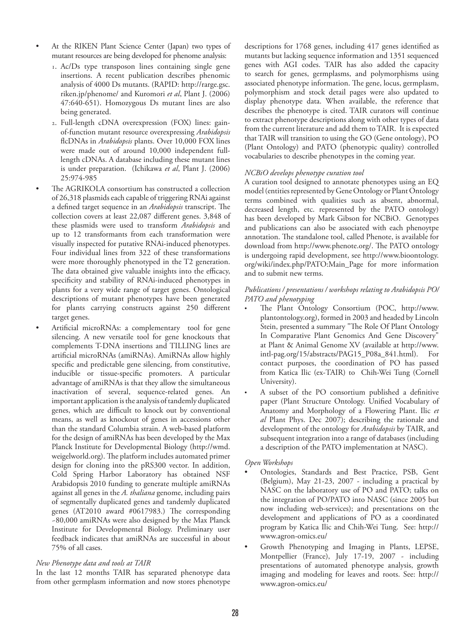- At the RIKEN Plant Science Center (Japan) two types of mutant resources are being developed for phenome analysis:
	- 1. Ac/Ds type transposon lines containing single gene insertions. A recent publication describes phenomic analysis of 4000 Ds mutants. (RAPID: http://rarge.gsc. riken.jp/phenome/ and Kuromori *et al*, Plant J. (2006) 47:640-651). Homozygous Ds mutant lines are also being generated.
	- 2. Full-length cDNA overexpression (FOX) lines: gainof-function mutant resource overexpressing *Arabidopsis*  flcDNAs in *Arabidopsis* plants. Over 10,000 FOX lines were made out of around 10,000 independent fulllength cDNAs. A database including these mutant lines is under preparation. (Ichikawa *et al*, Plant J. (2006) 25:974-985
- The AGRIKOLA consortium has constructed a collection of 26,318 plasmids each capable of triggering RNAi against a defined target sequence in an *Arabidopsis* transcript. The collection covers at least 22,087 different genes. 3,848 of these plasmids were used to transform *Arabidopsis* and up to 12 transformants from each transformation were visually inspected for putative RNAi-induced phenotypes. Four individual lines from 322 of these transformations were more thoroughly phenotyped in the T2 generation. The data obtained give valuable insights into the efficacy, specificity and stability of RNAi-induced phenotypes in plants for a very wide range of target genes. Ontological descriptions of mutant phenotypes have been generated for plants carrying constructs against 250 different target genes.
- Artificial microRNAs: a complementary tool for gene silencing. A new versatile tool for gene knockouts that complements T-DNA insertions and TILLING lines are artificial microRNAs (amiRNAs). AmiRNAs allow highly specific and predictable gene silencing, from constitutive, inducible or tissue-specific promoters. A particular advantage of amiRNAs is that they allow the simultaneous inactivation of several, sequence-related genes. An important application is the analysis of tandemly duplicated genes, which are difficult to knock out by conventional means, as well as knockout of genes in accessions other than the standard Columbia strain. A web-based platform for the design of amiRNAs has been developed by the Max Planck Institute for Developmental Biology (http://wmd. weigelworld.org). The platform includes automated primer design for cloning into the pRS300 vector. In addition, Cold Spring Harbor Laboratory has obtained NSF Arabidopsis 2010 funding to generate multiple amiRNAs against all genes in the *A. thaliana* genome, including pairs of segmentally duplicated genes and tandemly duplicated genes (AT2010 award #0617983.) The corresponding ~80,000 amiRNAs were also designed by the Max Planck Institute for Developmental Biology. Preliminary user feedback indicates that amiRNAs are successful in about 75% of all cases.

#### *New Phenotype data and tools at TAIR*

In the last 12 months TAIR has separated phenotype data from other germplasm information and now stores phenotype

descriptions for 1768 genes, including 417 genes identified as mutants but lacking sequence information and 1351 sequenced genes with AGI codes. TAIR has also added the capacity to search for genes, germplasms, and polymorphisms using associated phenotype information. The gene, locus, germplasm, polymorphism and stock detail pages were also updated to display phenotype data. When available, the reference that describes the phenotype is cited. TAIR curators will continue to extract phenotype descriptions along with other types of data from the current literature and add them to TAIR. It is expected that TAIR will transition to using the GO (Gene ontology), PO (Plant Ontology) and PATO (phenotypic quality) controlled vocabularies to describe phenotypes in the coming year.

#### *NCBiO develops phenotype curation tool*

A curation tool designed to annotate phenotypes using an EQ model (entities represented by Gene Ontology or Plant Ontology terms combined with qualities such as absent, abnormal, decreased length, etc. represented by the PATO ontology) has been developed by Mark Gibson for NCBiO. Genotypes and publications can also be associated with each phenoytpe annotation. The standalone tool, called Phenote, is available for download from http://www.phenote.org/. The PATO ontology is undergoing rapid development, see http://www.bioontology. org/wiki/index.php/PATO:Main\_Page for more information and to submit new terms.

#### *Publications / presentations / workshops relating to Arabidopsis PO/ PATO and phenotyping*

- The Plant Ontology Consortium (POC, http://www. plantontology.org), formed in 2003 and headed by Lincoln Stein, presented a summary "The Role Of Plant Ontology In Comparative Plant Genomics And Gene Discovery" at Plant & Animal Genome XV (available at http://www. intl-pag.org/15/abstracts/PAG15\_P08a\_841.html). For contact purposes, the coordination of PO has passed from Katica Ilic (ex-TAIR) to Chih-Wei Tung (Cornell University).
- A subset of the PO consortium published a definitive paper (Plant Structure Ontology. Unified Vocabulary of Anatomy and Morphology of a Flowering Plant. Ilic *et al* Plant Phys. Dec 2007); describing the rationale and development of the ontology for *Arabidopsis* by TAIR, and subsequent integration into a range of databases (including a description of the PATO implementation at NASC).

#### *Open Workshops*

- Ontologies, Standards and Best Practice, PSB, Gent (Belgium), May 21-23, 2007 - including a practical by NASC on the laboratory use of PO and PATO; talks on the integration of PO/PATO into NASC (since 2005 but now including web-services); and presentations on the development and applications of PO as a coordinated program by Katica Ilic and Chih-Wei Tung. See: http:// www.agron-omics.eu/
- Growth Phenotyping and Imaging in Plants, LEPSE, Montpellier (France), July 17-19, 2007 - including presentations of automated phenotype analysis, growth imaging and modeling for leaves and roots. See: http:// www.agron-omics.eu/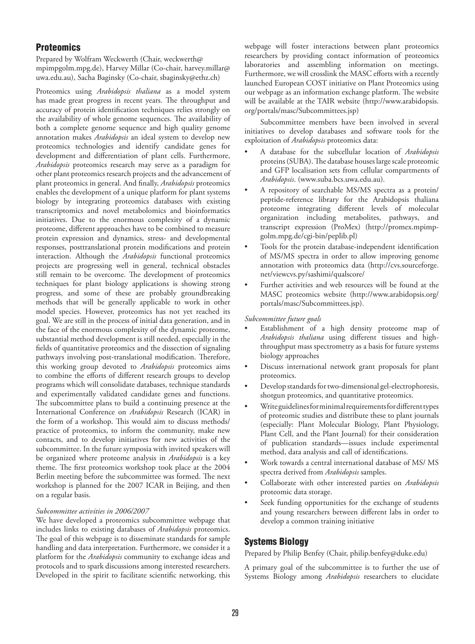## **Proteomics**

Prepared by Wolfram Weckwerth (Chair, weckwerth@ mpimpgolm.mpg.de), Harvey Millar (Co-chair, harvey.millar@ uwa.edu.au), Sacha Baginsky (Co-chair, sbaginsky@ethz.ch)

Proteomics using *Arabidopsis thaliana* as a model system has made great progress in recent years. The throughput and accuracy of protein identification techniques relies strongly on the availability of whole genome sequences. The availability of both a complete genome sequence and high quality genome annotation makes *Arabidopsis* an ideal system to develop new proteomics technologies and identify candidate genes for development and differentiation of plant cells. Furthermore, *Arabidopsis* proteomics research may serve as a paradigm for other plant proteomics research projects and the advancement of plant proteomics in general. And finally, *Arabidopsis* proteomics enables the development of a unique platform for plant systems biology by integrating proteomics databases with existing transcriptomics and novel metabolomics and bioinformatics initiatives. Due to the enormous complexity of a dynamic proteome, different approaches have to be combined to measure protein expression and dynamics, stress- and developmental responses, posttranslational protein modifications and protein interaction. Although the *Arabidopsis* functional proteomics projects are progressing well in general, technical obstacles still remain to be overcome. The development of proteomics techniques for plant biology applications is showing strong progress, and some of these are probably groundbreaking methods that will be generally applicable to work in other model species. However, proteomics has not yet reached its goal. We are still in the process of initial data generation, and in the face of the enormous complexity of the dynamic proteome, substantial method development is still needed, especially in the fields of quantitative proteomics and the dissection of signaling pathways involving post-translational modification. Therefore, this working group devoted to *Arabidopsis* proteomics aims to combine the efforts of different research groups to develop programs which will consolidate databases, technique standards and experimentally validated candidate genes and functions. The subcommittee plans to build a continuing presence at the International Conference on *Arabidopsis* Research (ICAR) in the form of a workshop. This would aim to discuss methods/ practice of proteomics, to inform the community, make new contacts, and to develop initiatives for new activities of the subcommittee. In the future symposia with invited speakers will be organized where proteome analysis in *Arabidopsis* is a key theme. The first proteomics workshop took place at the 2004 Berlin meeting before the subcommittee was formed. The next workshop is planned for the 2007 ICAR in Beijing, and then on a regular basis.

#### *Subcommittee activities in 2006/2007*

We have developed a proteomics subcommittee webpage that includes links to existing databases of *Arabidopsis* proteomics. The goal of this webpage is to disseminate standards for sample handling and data interpretation. Furthermore, we consider it a platform for the *Arabidopsis* community to exchange ideas and protocols and to spark discussions among interested researchers. Developed in the spirit to facilitate scientific networking, this webpage will foster interactions between plant proteomics researchers by providing contact information of proteomics laboratories and assembling information on meetings. Furthermore, we will crosslink the MASC efforts with a recently launched European COST initiative on Plant Proteomics using our webpage as an information exchange platform. The website will be available at the TAIR website (http://www.arabidopsis. org/portals/masc/Subcommittees.jsp)

Subcommittee members have been involved in several initiatives to develop databases and software tools for the exploitation of *Arabidopsis* proteomics data:

- A database for the subcellular location of *Arabidopsis* proteins (SUBA). The database houses large scale proteomic and GFP localisation sets from cellular compartments of *Arabidopsis*. (www.suba.bcs.uwa.edu.au).
- A repository of searchable MS/MS spectra as a protein/ peptide-reference library for the Arabidopsis thaliana proteome integrating different levels of molecular organization including metabolites, pathways, and transcript expression (ProMex) (http://promex.mpimpgolm.mpg.de/cgi-bin/peplib.pl)
- Tools for the protein database-independent identification of MS/MS spectra in order to allow improving genome annotation with proteomics data (http://cvs.sourceforge. net/viewcvs.py/sashimi/qualscore/
- Further activities and web resources will be found at the MASC proteomics website (http://www.arabidopsis.org/ portals/masc/Subcommittees.jsp).

#### *Subcommittee future goals*

- Establishment of a high density proteome map of *Arabidopsis thaliana* using different tissues and highthroughput mass spectrometry as a basis for future systems biology approaches
- Discuss international network grant proposals for plant proteomics.
- Develop standards for two-dimensional gel-electrophoresis, shotgun proteomics, and quantitative proteomics.
- Write guidelines for minimal requirements for different types of proteomic studies and distribute these to plant journals (especially: Plant Molecular Biology, Plant Physiology, Plant Cell, and the Plant Journal) for their consideration of publication standards—issues include experimental method, data analysis and call of identifications.
- Work towards a central international database of MS/ MS spectra derived from *Arabidopsis* samples.
- Collaborate with other interested parties on *Arabidopsis* proteomic data storage.
- Seek funding opportunities for the exchange of students and young researchers between different labs in order to develop a common training initiative

## Systems Biology

Prepared by Philip Benfey (Chair, philip.benfey@duke.edu)

A primary goal of the subcommittee is to further the use of Systems Biology among *Arabidopsis* researchers to elucidate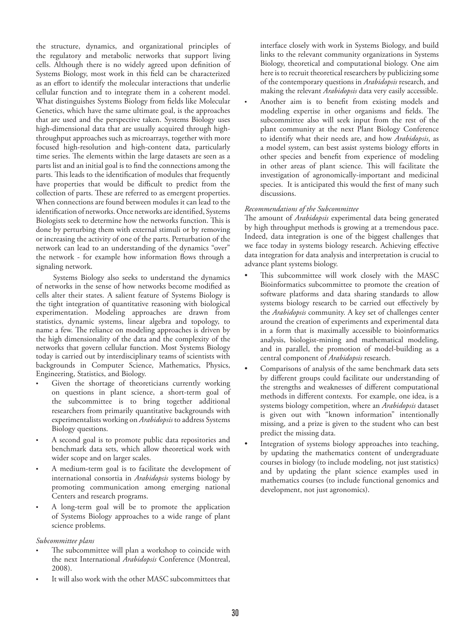the structure, dynamics, and organizational principles of the regulatory and metabolic networks that support living cells. Although there is no widely agreed upon definition of Systems Biology, most work in this field can be characterized as an effort to identify the molecular interactions that underlie cellular function and to integrate them in a coherent model. What distinguishes Systems Biology from fields like Molecular Genetics, which have the same ultimate goal, is the approaches that are used and the perspective taken. Systems Biology uses high-dimensional data that are usually acquired through highthroughput approaches such as microarrays, together with more focused high-resolution and high-content data, particularly time series. The elements within the large datasets are seen as a parts list and an initial goal is to find the connections among the parts. This leads to the identification of modules that frequently have properties that would be difficult to predict from the collection of parts. These are referred to as emergent properties. When connections are found between modules it can lead to the identification of networks. Once networks are identified, Systems Biologists seek to determine how the networks function. This is done by perturbing them with external stimuli or by removing or increasing the activity of one of the parts. Perturbation of the network can lead to an understanding of the dynamics "over" the network - for example how information flows through a signaling network.

Systems Biology also seeks to understand the dynamics of networks in the sense of how networks become modified as cells alter their states. A salient feature of Systems Biology is the tight integration of quantitative reasoning with biological experimentation. Modeling approaches are drawn from statistics, dynamic systems, linear algebra and topology, to name a few. The reliance on modeling approaches is driven by the high dimensionality of the data and the complexity of the networks that govern cellular function. Most Systems Biology today is carried out by interdisciplinary teams of scientists with backgrounds in Computer Science, Mathematics, Physics, Engineering, Statistics, and Biology.

- Given the shortage of theoreticians currently working on questions in plant science, a short-term goal of the subcommittee is to bring together additional researchers from primarily quantitative backgrounds with experimentalists working on *Arabidopsis* to address Systems Biology questions.
- A second goal is to promote public data repositories and benchmark data sets, which allow theoretical work with wider scope and on larger scales.
- A medium-term goal is to facilitate the development of international consortia in *Arabidopsis* systems biology by promoting communication among emerging national Centers and research programs.
- A long-term goal will be to promote the application of Systems Biology approaches to a wide range of plant science problems.

#### *Subcommittee plans*

- The subcommittee will plan a workshop to coincide with the next International *Arabidopsis* Conference (Montreal, 2008).
- It will also work with the other MASC subcommittees that

interface closely with work in Systems Biology, and build links to the relevant community organizations in Systems Biology, theoretical and computational biology. One aim here is to recruit theoretical researchers by publicizing some of the contemporary questions in *Arabidopsis* research, and making the relevant *Arabidopsis* data very easily accessible.

• Another aim is to benefit from existing models and modeling expertise in other organisms and fields. The subcommittee also will seek input from the rest of the plant community at the next Plant Biology Conference to identify what their needs are, and how *Arabidopsis*, as a model system, can best assist systems biology efforts in other species and benefit from experience of modeling in other areas of plant science. This will facilitate the investigation of agronomically-important and medicinal species. It is anticipated this would the first of many such discussions.

#### *Recommendations of the Subcommittee*

The amount of *Arabidopsis* experimental data being generated by high throughput methods is growing at a tremendous pace. Indeed, data integration is one of the biggest challenges that we face today in systems biology research. Achieving effective data integration for data analysis and interpretation is crucial to advance plant systems biology.

- This subcommittee will work closely with the MASC Bioinformatics subcommittee to promote the creation of software platforms and data sharing standards to allow systems biology research to be carried out effectively by the *Arabidopsis* community. A key set of challenges center around the creation of experiments and experimental data in a form that is maximally accessible to bioinformatics analysis, biologist-mining and mathematical modeling, and in parallel, the promotion of model-building as a central component of *Arabidopsis* research.
- Comparisons of analysis of the same benchmark data sets by different groups could facilitate our understanding of the strengths and weaknesses of different computational methods in different contexts. For example, one idea, is a systems biology competition, where an *Arabidopsis* dataset is given out with "known information" intentionally missing, and a prize is given to the student who can best predict the missing data.
- Integration of systems biology approaches into teaching, by updating the mathematics content of undergraduate courses in biology (to include modeling, not just statistics) and by updating the plant science examples used in mathematics courses (to include functional genomics and development, not just agronomics).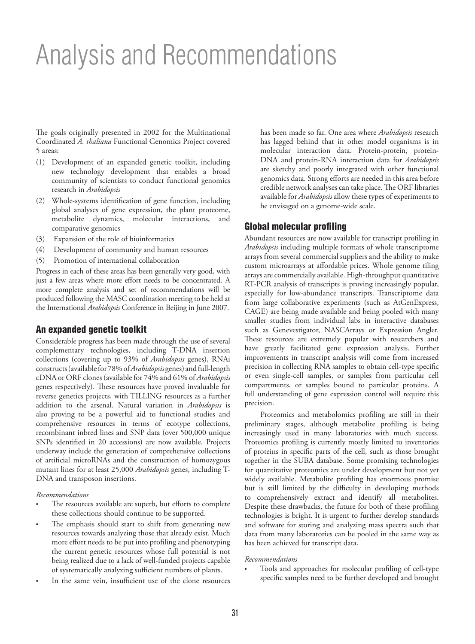# Analysis and Recommendations

The goals originally presented in 2002 for the Multinational Coordinated *A. thaliana* Functional Genomics Project covered 5 areas:

- (1) Development of an expanded genetic toolkit, including new technology development that enables a broad community of scientists to conduct functional genomics research in *Arabidopsis*
- (2) Whole-systems identification of gene function, including global analyses of gene expression, the plant proteome, metabolite dynamics, molecular interactions, and comparative genomics
- (3) Expansion of the role of bioinformatics
- (4) Development of community and human resources
- (5) Promotion of international collaboration

Progress in each of these areas has been generally very good, with just a few areas where more effort needs to be concentrated. A more complete analysis and set of recommendations will be produced following the MASC coordination meeting to be held at the International *Arabidopsis* Conference in Beijing in June 2007.

## An expanded genetic toolkit

Considerable progress has been made through the use of several complementary technologies, including T-DNA insertion collections (covering up to 93% of *Arabidopsis* genes), RNAi constructs (available for 78% of *Arabidopsis* genes) and full-length cDNA or ORF clones (available for 74% and 61% of *Arabidopsis* genes respectively). These resources have proved invaluable for reverse genetics projects, with TILLING resources as a further addition to the arsenal. Natural variation in *Arabidopsis* is also proving to be a powerful aid to functional studies and comprehensive resources in terms of ecotype collections, recombinant inbred lines and SNP data (over 500,000 unique SNPs identified in 20 accessions) are now available. Projects underway include the generation of comprehensive collections of artificial microRNAs and the construction of homozygous mutant lines for at least 25,000 *Arabidopsis* genes, including T-DNA and transposon insertions.

#### *Recommendations*

- The resources available are superb, but efforts to complete these collections should continue to be supported.
- The emphasis should start to shift from generating new resources towards analyzing those that already exist. Much more effort needs to be put into profiling and phenotyping the current genetic resources whose full potential is not being realized due to a lack of well-funded projects capable of systematically analyzing sufficient numbers of plants.
- In the same vein, insufficient use of the clone resources

has been made so far. One area where *Arabidopsis* research has lagged behind that in other model organisms is in molecular interaction data. Protein-protein, protein-DNA and protein-RNA interaction data for *Arabidopsis* are sketchy and poorly integrated with other functional genomics data. Strong efforts are needed in this area before credible network analyses can take place. The ORF libraries available for *Arabidopsis* allow these types of experiments to be envisaged on a genome-wide scale.

## Global molecular profiling

Abundant resources are now available for transcript profiling in *Arabidopsis* including multiple formats of whole transcriptome arrays from several commercial suppliers and the ability to make custom microarrays at affordable prices. Whole genome tiling arrays are commercially available. High-throughput quantitative RT-PCR analysis of transcripts is proving increasingly popular, especially for low-abundance transcripts. Transcriptome data from large collaborative experiments (such as AtGenExpress, CAGE) are being made available and being pooled with many smaller studies from individual labs in interactive databases such as Genevestigator, NASCArrays or Expression Angler. These resources are extremely popular with researchers and have greatly facilitated gene expression analysis. Further improvements in transcript analysis will come from increased precision in collecting RNA samples to obtain cell-type specific or even single-cell samples, or samples from particular cell compartments, or samples bound to particular proteins. A full understanding of gene expression control will require this precision.

Proteomics and metabolomics profiling are still in their preliminary stages, although metabolite profiling is being increasingly used in many laboratories with much success. Proteomics profiling is currently mostly limited to inventories of proteins in specific parts of the cell, such as those brought together in the SUBA database. Some promising technologies for quantitative proteomics are under development but not yet widely available. Metabolite profiling has enormous promise but is still limited by the difficulty in developing methods to comprehensively extract and identify all metabolites. Despite these drawbacks, the future for both of these profiling technologies is bright. It is urgent to further develop standards and software for storing and analyzing mass spectra such that data from many laboratories can be pooled in the same way as has been achieved for transcript data.

#### *Recommendations*

• Tools and approaches for molecular profiling of cell-type specific samples need to be further developed and brought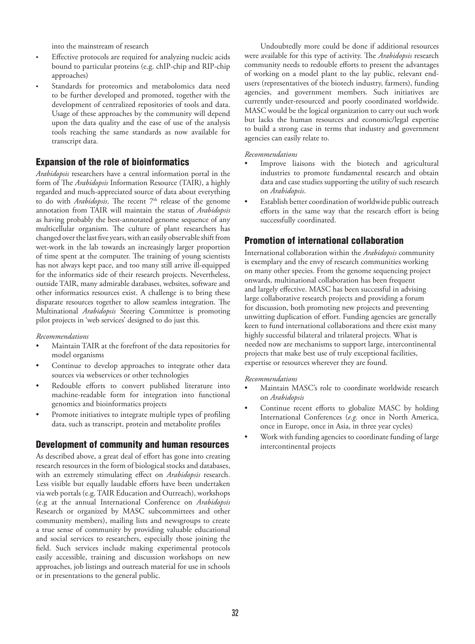into the mainstream of research

- Effective protocols are required for analyzing nucleic acids bound to particular proteins (e.g. chIP-chip and RIP-chip approaches)
- Standards for proteomics and metabolomics data need to be further developed and promoted, together with the development of centralized repositories of tools and data. Usage of these approaches by the community will depend upon the data quality and the ease of use of the analysis tools reaching the same standards as now available for transcript data.

## Expansion of the role of bioinformatics

*Arabidopsis* researchers have a central information portal in the form of The *Arabidopsis* Information Resource (TAIR), a highly regarded and much-appreciated source of data about everything to do with *Arabidopsis*. The recent 7<sup>th</sup> release of the genome annotation from TAIR will maintain the status of *Arabidopsis* as having probably the best-annotated genome sequence of any multicellular organism. The culture of plant researchers has changed over the last five years, with an easily observable shift from wet-work in the lab towards an increasingly larger proportion of time spent at the computer. The training of young scientists has not always kept pace, and too many still arrive ill-equipped for the informatics side of their research projects. Nevertheless, outside TAIR, many admirable databases, websites, software and other informatics resources exist. A challenge is to bring these disparate resources together to allow seamless integration. The Multinational *Arabidopsis* Steering Committee is promoting pilot projects in 'web services' designed to do just this.

*Recommendations*

- Maintain TAIR at the forefront of the data repositories for model organisms
- Continue to develop approaches to integrate other data sources via webservices or other technologies
- Redouble efforts to convert published literature into machine-readable form for integration into functional genomics and bioinformatics projects
- Promote initiatives to integrate multiple types of profiling data, such as transcript, protein and metabolite profiles

## Development of community and human resources

As described above, a great deal of effort has gone into creating research resources in the form of biological stocks and databases, with an extremely stimulating effect on *Arabidopsis* research. Less visible but equally laudable efforts have been undertaken via web portals (e.g. TAIR Education and Outreach), workshops (e.g at the annual International Conference on *Arabidopsis*  Research or organized by MASC subcommittees and other community members), mailing lists and newsgroups to create a true sense of community by providing valuable educational and social services to researchers, especially those joining the field. Such services include making experimental protocols easily accessible, training and discussion workshops on new approaches, job listings and outreach material for use in schools or in presentations to the general public.

Undoubtedly more could be done if additional resources were available for this type of activity. The *Arabidopsis* research community needs to redouble efforts to present the advantages of working on a model plant to the lay public, relevant endusers (representatives of the biotech industry, farmers), funding agencies, and government members. Such initiatives are currently under-resourced and poorly coordinated worldwide. MASC would be the logical organization to carry out such work but lacks the human resources and economic/legal expertise to build a strong case in terms that industry and government agencies can easily relate to.

### *Recommendations*

- Improve liaisons with the biotech and agricultural industries to promote fundamental research and obtain data and case studies supporting the utility of such research on *Arabidopsis*.
- Establish better coordination of worldwide public outreach efforts in the same way that the research effort is being successfully coordinated.

# Promotion of international collaboration

International collaboration within the *Arabidopsis* community is exemplary and the envy of research communities working on many other species. From the genome sequencing project onwards, multinational collaboration has been frequent and largely effective. MASC has been successful in advising large collaborative research projects and providing a forum for discussion, both promoting new projects and preventing unwitting duplication of effort. Funding agencies are generally keen to fund international collaborations and there exist many highly successful bilateral and trilateral projects. What is needed now are mechanisms to support large, intercontinental projects that make best use of truly exceptional facilities, expertise or resources wherever they are found.

#### *Recommendations*

- Maintain MASC's role to coordinate worldwide research on *Arabidopsis*
- Continue recent efforts to globalize MASC by holding International Conferences (*e.g.* once in North America, once in Europe, once in Asia, in three year cycles)
- Work with funding agencies to coordinate funding of large intercontinental projects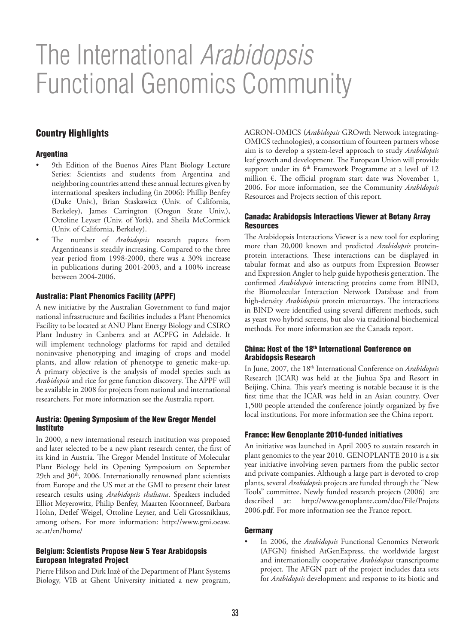# The International *Arabidopsis*  Functional Genomics Community

# Country Highlights

## **Argentina**

- 9th Edition of the Buenos Aires Plant Biology Lecture Series: Scientists and students from Argentina and neighboring countries attend these annual lectures given by international speakers including (in 2006): Phillip Benfey (Duke Univ.), Brian Staskawicz (Univ. of California, Berkeley), James Carrington (Oregon State Univ.), Ottoline Leyser (Univ. of York), and Sheila McCormick (Univ. of California, Berkeley).
- The number of *Arabidopsis* research papers from Argentineans is steadily increasing. Compared to the three year period from 1998-2000, there was a 30% increase in publications during 2001-2003, and a 100% increase between 2004-2006.

### Australia: Plant Phenomics Facility (APPF)

A new initiative by the Australian Government to fund major national infrastructure and facilities includes a Plant Phenomics Facility to be located at ANU Plant Energy Biology and CSIRO Plant Industry in Canberra and at ACPFG in Adelaide. It will implement technology platforms for rapid and detailed noninvasive phenotyping and imaging of crops and model plants, and allow relation of phenotype to genetic make-up. A primary objective is the analysis of model species such as *Arabidopsis* and rice for gene function discovery. The APPF will be available in 2008 for projects from national and international researchers. For more information see the Australia report.

### Austria: Opening Symposium of the New Gregor Mendel Institute

In 2000, a new international research institution was proposed and later selected to be a new plant research center, the first of its kind in Austria. The Gregor Mendel Institute of Molecular Plant Biology held its Opening Symposium on September 29th and 30<sup>th</sup>, 2006. Internationally renowned plant scientists from Europe and the US met at the GMI to present their latest research results using *Arabidopsis thaliana*. Speakers included Elliot Meyerowitz, Philip Benfey, Maarten Koornneef, Barbara Hohn, Detlef Weigel, Ottoline Leyser, and Ueli Grossniklaus, among others. For more information: http://www.gmi.oeaw. ac.at/en/home/

#### Belgium: Scientists Propose New 5 Year Arabidopsis European Integrated Project

Pierre Hilson and Dirk Inzè of the Department of Plant Systems Biology, VIB at Ghent University initiated a new program, AGRON-OMICS (*Arabidopsis* GROwth Network integrating-OMICS technologies), a consortium of fourteen partners whose aim is to develop a system-level approach to study *Arabidopsis*  leaf growth and development. The European Union will provide support under its  $6<sup>th</sup>$  Framework Programme at a level of 12 million €. The official program start date was November 1, 2006. For more information, see the Community *Arabidopsis* Resources and Projects section of this report.

## Canada: Arabidopsis Interactions Viewer at Botany Array **Resources**

The Arabidopsis Interactions Viewer is a new tool for exploring more than 20,000 known and predicted *Arabidopsis* proteinprotein interactions. These interactions can be displayed in tabular format and also as outputs from Expression Browser and Expression Angler to help guide hypothesis generation. The confirmed *Arabidopsis* interacting proteins come from BIND, the Biomolecular Interaction Network Database and from high-density *Arabidopsis* protein microarrays. The interactions in BIND were identified using several different methods, such as yeast two hybrid screens, but also via traditional biochemical methods. For more information see the Canada report.

#### China: Host of the 18<sup>th</sup> International Conference on Arabidopsis Research

In June, 2007, the 18th International Conference on *Arabidopsis* Research (ICAR) was held at the Jiuhua Spa and Resort in Beijing, China. This year's meeting is notable because it is the first time that the ICAR was held in an Asian country. Over 1,500 people attended the conference jointly organized by five local institutions. For more information see the China report.

#### France: New Genoplante 2010-funded initiatives

An initiative was launched in April 2005 to sustain research in plant genomics to the year 2010. GENOPLANTE 2010 is a six year initiative involving seven partners from the public sector and private companies. Although a large part is devoted to crop plants, several *Arabidopsis* projects are funded through the "New Tools" committee. Newly funded research projects (2006) are described at: http://www.genoplante.com/doc/File/Projets 2006.pdf. For more information see the France report.

#### Germany

• In 2006, the *Arabidopsis* Functional Genomics Network (AFGN) finished AtGenExpress, the worldwide largest and internationally cooperative *Arabidopsis* transcriptome project. The AFGN part of the project includes data sets for *Arabidopsis* development and response to its biotic and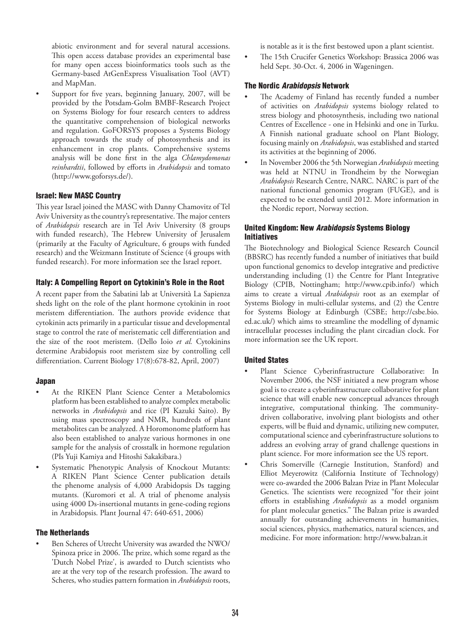abiotic environment and for several natural accessions. This open access database provides an experimental base for many open access bioinformatics tools such as the Germany-based AtGenExpress Visualisation Tool (AVT) and MapMan.

Support for five years, beginning January, 2007, will be provided by the Potsdam-Golm BMBF-Research Project on Systems Biology for four research centers to address the quantitative comprehension of biological networks and regulation. GoFORSYS proposes a Systems Biology approach towards the study of photosynthesis and its enhancement in crop plants. Comprehensive systems analysis will be done first in the alga *Chlamydomonas reinhardtii*, followed by efforts in *Arabidopsis* and tomato (http://www.goforsys.de/).

### Israel: New MASC Country

This year Israel joined the MASC with Danny Chamovitz of Tel Aviv University as the country's representative. The major centers of *Arabidopsis* research are in Tel Aviv University (8 groups with funded research), The Hebrew University of Jerusalem (primarily at the Faculty of Agriculture, 6 groups with funded research) and the Weizmann Institute of Science (4 groups with funded research). For more information see the Israel report.

### Italy: A Compelling Report on Cytokinin's Role in the Root

A recent paper from the Sabatini lab at Università La Sapienza sheds light on the role of the plant hormone cytokinin in root meristem differentiation. The authors provide evidence that cytokinin acts primarily in a particular tissue and developmental stage to control the rate of meristematic cell differentiation and the size of the root meristem. (Dello Ioio *et al.* Cytokinins determine Arabidopsis root meristem size by controlling cell differentiation. Current Biology 17(8):678-82, April, 2007)

#### Japan

- At the RIKEN Plant Science Center a Metabolomics platform has been established to analyze complex metabolic networks in *Arabidopsis* and rice (PI Kazuki Saito). By using mass spectroscopy and NMR, hundreds of plant metabolites can be analyzed. A Horomonome platform has also been established to analyze various hormones in one sample for the analysis of crosstalk in hormone regulation (PIs Yuji Kamiya and Hitoshi Sakakibara.)
- Systematic Phenotypic Analysis of Knockout Mutants: A RIKEN Plant Science Center publication details the phenome analysis of 4,000 Arabidopsis Ds tagging mutants. (Kuromori et al. A trial of phenome analysis using 4000 Ds-insertional mutants in gene-coding regions in Arabidopsis. Plant Journal 47: 640-651, 2006)

#### The Netherlands

Ben Scheres of Utrecht University was awarded the NWO/ Spinoza price in 2006. The prize, which some regard as the 'Dutch Nobel Prize', is awarded to Dutch scientists who are at the very top of the research profession. The award to Scheres, who studies pattern formation in *Arabidopsis* roots,

is notable as it is the first bestowed upon a plant scientist.

• The 15th Crucifer Genetics Workshop: Brassica 2006 was held Sept. 30-Oct. 4, 2006 in Wageningen.

### The Nordic *Arabidopsis* Network

- The Academy of Finland has recently funded a number of activities on *Arabidopsis* systems biology related to stress biology and photosynthesis, including two national Centres of Excellence - one in Helsinki and one in Turku. A Finnish national graduate school on Plant Biology, focusing mainly on *Arabidopsis*, was established and started its activities at the beginning of 2006.
- In November 2006 the 5th Norwegian *Arabidopsis* meeting was held at NTNU in Trondheim by the Norwegian *Arabidopsis* Research Centre, NARC. NARC is part of the national functional genomics program (FUGE), and is expected to be extended until 2012. More information in the Nordic report, Norway section.

### United Kingdom: New *Arabidopsis* Systems Biology Initiatives

The Biotechnology and Biological Science Research Council (BBSRC) has recently funded a number of initiatives that build upon functional genomics to develop integrative and predictive understanding including (1) the Centre for Plant Integrative Biology (CPIB, Nottingham; http://www.cpib.info/) which aims to create a virtual *Arabidopsis* root as an exemplar of Systems Biology in multi-cellular systems, and (2) the Centre for Systems Biology at Edinburgh (CSBE; http://csbe.bio. ed.ac.uk/) which aims to streamline the modelling of dynamic intracellular processes including the plant circadian clock. For more information see the UK report.

#### United States

- Plant Science Cyberinfrastructure Collaborative: In November 2006, the NSF initiated a new program whose goal is to create a cyberinfrastructure collaborative for plant science that will enable new conceptual advances through integrative, computational thinking. The communitydriven collaborative, involving plant biologists and other experts, will be fluid and dynamic, utilizing new computer, computational science and cyberinfrastructure solutions to address an evolving array of grand challenge questions in plant science. For more information see the US report.
- Chris Somerville (Carnegie Institution, Stanford) and Elliot Meyerowitz (California Institute of Technology) were co-awarded the 2006 Balzan Prize in Plant Molecular Genetics. The scientists were recognized "for their joint efforts in establishing *Arabidopsis* as a model organism for plant molecular genetics." The Balzan prize is awarded annually for outstanding achievements in humanities, social sciences, physics, mathematics, natural sciences, and medicine. For more information: http://www.balzan.it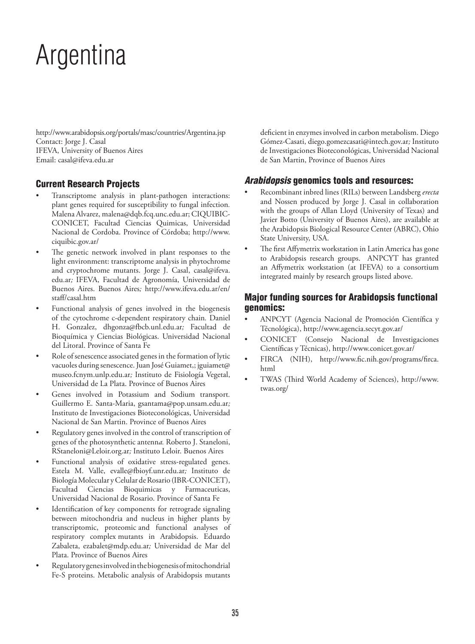# Argentina

http://www.arabidopsis.org/portals/masc/countries/Argentina.jsp Contact: Jorge J. Casal IFEVA, University of Buenos Aires Email: casal@ifeva.edu.ar

# Current Research Projects

- Transcriptome analysis in plant-pathogen interactions: plant genes required for susceptibility to fungal infection*.*  Malena Alvarez, malena@dqb.fcq.unc.edu.ar; CIQUIBIC-CONICET, Facultad Ciencias Quimicas, Universidad Nacional de Cordoba. Province of Córdoba; http://www. ciquibic.gov.ar/
- The genetic network involved in plant responses to the light environment: transcriptome analysis in phytochrome and cryptochrome mutants. Jorge J. Casal, casal@ifeva. edu.ar*;* IFEVA, Facultad de Agronomía, Universidad de Buenos Aires. Buenos Aires*;* http://www.ifeva.edu.ar/en/ staff/casal.htm
- Functional analysis of genes involved in the biogenesis of the cytochrome c-dependent respiratory chain*.* Daniel H. Gonzalez, dhgonza@fbcb.unl.edu.ar*;* Facultad de Bioquímica y Ciencias Biológicas. Universidad Nacional del Litoral. Province of Santa Fe
- Role of senescence associated genes in the formation of lytic vacuoles during senescence. Juan José Guiamet,; jguiamet@ museo.fcnym.unlp.edu.ar*;* Instituto de Fisiología Vegetal, Universidad de La Plata. Province of Buenos Aires
- Genes involved in Potassium and Sodium transport*.*  Guillermo E. Santa-Maria, gsantama@pop.unsam.edu.ar*;*  Instituto de Investigaciones Bioteconológicas, Universidad Nacional de San Martin. Province of Buenos Aires
- Regulatory genes involved in the control of transcription of genes of the photosynthetic antenn*a.* Roberto J. Staneloni, RStaneloni@Leloir.org.ar*;* Instituto Leloir. Buenos Aires
- Functional analysis of oxidative stress-regulated genes. Estela M. Valle, evalle@fbioyf.unr.edu.ar*;* Instituto de Biología Molecular y Celular de Rosario (IBR-CONICET), Facultad Ciencias Bioquimicas y Farmaceuticas, Universidad Nacional de Rosario. Province of Santa Fe
- Identification of key components for retrograde signaling between mitochondria and nucleus in higher plants by transcriptomic, proteomic and functional analyses of respiratory complex mutants in Arabidopsis. Eduardo Zabaleta, ezabalet@mdp.edu.ar*;* Universidad de Mar del Plata. Province of Buenos Aires
- Regulatory genes involved in the biogenesis of mitochondrial Fe-S proteins. Metabolic analysis of Arabidopsis mutants

deficient in enzymes involved in carbon metabolism. Diego Gómez-Casati, diego.gomezcasati@intech.gov.ar*;* Instituto de Investigaciones Bioteconológicas, Universidad Nacional de San Martin, Province of Buenos Aires

## *Arabidopsis* genomics tools and resources:

- Recombinant inbred lines (RILs) between Landsberg *erecta* and Nossen produced by Jorge J. Casal in collaboration with the groups of Allan Lloyd (University of Texas) and Javier Botto (University of Buenos Aires), are available at the Arabidopsis Biological Resource Center (ABRC), Ohio State University, USA.
- The first Affymetrix workstation in Latin America has gone to Arabidopsis research groups. ANPCYT has granted an Affymetrix workstation (at IFEVA) to a consortium integrated mainly by research groups listed above.

## Major funding sources for Arabidopsis functional genomics:

- ANPCYT (Agencia Nacional de Promoción Científica y Técnológica), http://www.agencia.secyt.gov.ar/
- CONICET (Consejo Nacional de Investigaciones Científicas y Técnicas), http://www.conicet.gov.ar/
- FIRCA (NIH), http://www.fic.nih.gov/programs/firca. html
- TWAS (Third World Academy of Sciences), http://www. twas.org/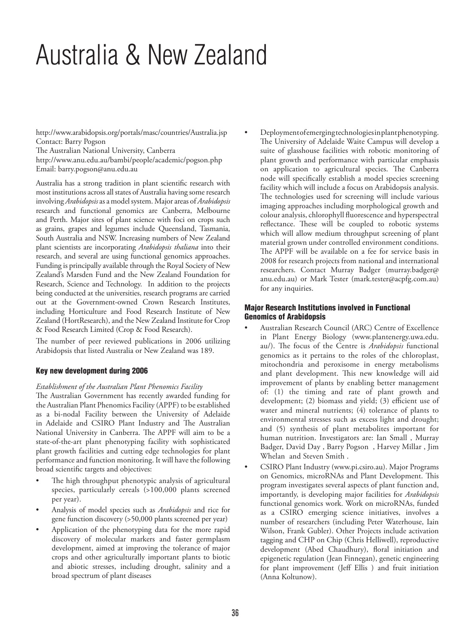# Australia & New Zealand

http://www.arabidopsis.org/portals/masc/countries/Australia.jsp Contact: Barry Pogson The Australian National University, Canberra

http://www.anu.edu.au/bambi/people/academic/pogson.php Email: barry.pogson@anu.edu.au

Australia has a strong tradition in plant scientific research with most institutions across all states of Australia having some research involving *Arabidopsis* as a model system. Major areas of *Arabidopsis* research and functional genomics are Canberra, Melbourne and Perth. Major sites of plant science with foci on crops such as grains, grapes and legumes include Queensland, Tasmania, South Australia and NSW. Increasing numbers of New Zealand plant scientists are incorporating *Arabidopsis thaliana* into their research, and several are using functional genomics approaches. Funding is principally available through the Royal Society of New Zealand's Marsden Fund and the New Zealand Foundation for Research, Science and Technology. In addition to the projects being conducted at the universities, research programs are carried out at the Government-owned Crown Research Institutes, including Horticulture and Food Research Institute of New Zealand (HortResearch), and the New Zealand Institute for Crop & Food Research Limited (Crop & Food Research).

The number of peer reviewed publications in 2006 utilizing Arabidopsis that listed Australia or New Zealand was 189.

## Key new development during 2006

## *Establishment of the Australian Plant Phenomics Facility*

The Australian Government has recently awarded funding for the Australian Plant Phenomics Facility (APPF) to be established as a bi-nodal Facility between the University of Adelaide in Adelaide and CSIRO Plant Industry and The Australian National University in Canberra. The APPF will aim to be a state-of-the-art plant phenotyping facility with sophisticated plant growth facilities and cutting edge technologies for plant performance and function monitoring. It will have the following broad scientific targets and objectives:

- The high throughput phenotypic analysis of agricultural species, particularly cereals (>100,000 plants screened per year).
- Analysis of model species such as *Arabidopsis* and rice for gene function discovery (>50,000 plants screened per year)
- Application of the phenotyping data for the more rapid discovery of molecular markers and faster germplasm development, aimed at improving the tolerance of major crops and other agriculturally important plants to biotic and abiotic stresses, including drought, salinity and a broad spectrum of plant diseases

• Deployment of emerging technologies in plant phenotyping. The University of Adelaide Waite Campus will develop a suite of glasshouse facilities with robotic monitoring of plant growth and performance with particular emphasis on application to agricultural species. The Canberra node will specifically establish a model species screening facility which will include a focus on Arabidopsis analysis. The technologies used for screening will include various imaging approaches including morphological growth and colour analysis, chlorophyll fluorescence and hyperspectral reflectance. These will be coupled to robotic systems which will allow medium throughput screening of plant material grown under controlled environment conditions. The APPF will be available on a fee for service basis in 2008 for research projects from national and international researchers. Contact Murray Badger (murray.badger@ anu.edu.au) or Mark Tester (mark.tester@acpfg.com.au) for any inquiries.

### Major Research Institutions involved in Functional Genomics of Arabidopsis

- Australian Research Council (ARC) Centre of Excellence in Plant Energy Biology (www.plantenergy.uwa.edu. au/). The focus of the Centre is *Arabidopsis* functional genomics as it pertains to the roles of the chloroplast, mitochondria and peroxisome in energy metabolisms and plant development. This new knowledge will aid improvement of plants by enabling better management of: (1) the timing and rate of plant growth and development; (2) biomass and yield; (3) efficient use of water and mineral nutrients; (4) tolerance of plants to environmental stresses such as excess light and drought; and (5) synthesis of plant metabolites important for human nutrition. Investigators are: Ian Small , Murray Badger, David Day , Barry Pogson , Harvey Millar , Jim Whelan and Steven Smith .
- CSIRO Plant Industry (www.pi.csiro.au). Major Programs on Genomics, microRNAs and Plant Development. This program investigates several aspects of plant function and, importantly, is developing major facilities for *Arabidopsis*  functional genomics work. Work on microRNAs, funded as a CSIRO emerging science initiatives, involves a number of researchers (including Peter Waterhouse, Iain Wilson, Frank Gubler). Other Projects include activation tagging and CHP on Chip (Chris Helliwell), reproductive development (Abed Chaudhury), floral initiation and epigenetic regulation (Jean Finnegan), genetic engineering for plant improvement (Jeff Ellis ) and fruit initiation (Anna Koltunow).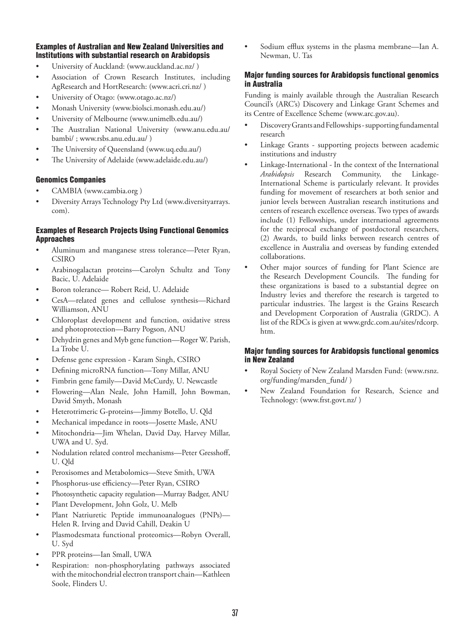## Examples of Australian and New Zealand Universities and Institutions with substantial research on Arabidopsis

- University of Auckland: (www.auckland.ac.nz/ )
- Association of Crown Research Institutes, including AgResearch and HortResearch: (www.acri.cri.nz/ )
- University of Otago: (www.otago.ac.nz/)
- Monash University (www.biolsci.monash.edu.au/)
- University of Melbourne (www.unimelb.edu.au/)
- The Australian National University (www.anu.edu.au/ bambi/ ; www.rsbs.anu.edu.au/ )
- The University of Queensland (www.uq.edu.au/)
- The University of Adelaide (www.adelaide.edu.au/)

### Genomics Companies

- CAMBIA (www.cambia.org)
- Diversity Arrays Technology Pty Ltd (www.diversityarrays. com).

### Examples of Research Projects Using Functional Genomics Approaches

- Aluminum and manganese stress tolerance—Peter Ryan, CSIRO
- Arabinogalactan proteins—Carolyn Schultz and Tony Bacic, U. Adelaide
- Boron tolerance— Robert Reid, U. Adelaide
- CesA—related genes and cellulose synthesis—Richard Williamson, ANU
- Chloroplast development and function, oxidative stress and photoprotection—Barry Pogson, ANU
- Dehydrin genes and Myb gene function—Roger W. Parish, La Trobe U.
- Defense gene expression Karam Singh, CSIRO
- Defining microRNA function—Tony Millar, ANU
- Fimbrin gene family—David McCurdy, U. Newcastle
- Flowering—Alan Neale, John Hamill, John Bowman, David Smyth, Monash
- Heterotrimeric G-proteins—Jimmy Botello, U. Qld
- Mechanical impedance in roots—Josette Masle, ANU
- Mitochondria—Jim Whelan, David Day, Harvey Millar, UWA and U. Syd.
- Nodulation related control mechanisms—Peter Gresshoff, U. Qld
- Peroxisomes and Metabolomics—Steve Smith, UWA
- Phosphorus-use efficiency—Peter Ryan, CSIRO
- Photosynthetic capacity regulation—Murray Badger, ANU
- Plant Development, John Golz, U. Melb
- Plant Natriuretic Peptide immunoanalogues (PNPs)— Helen R. Irving and David Cahill, Deakin U
- Plasmodesmata functional proteomics—Robyn Overall, U. Syd
- PPR proteins—Ian Small, UWA
- Respiration: non-phosphorylating pathways associated with the mitochondrial electron transport chain—Kathleen Soole, Flinders U.

Sodium efflux systems in the plasma membrane—Ian A. Newman, U. Tas

### Major funding sources for Arabidopsis functional genomics in Australia

Funding is mainly available through the Australian Research Council's (ARC's) Discovery and Linkage Grant Schemes and its Centre of Excellence Scheme (www.arc.gov.au).

- Discovery Grants and Fellowships supporting fundamental research
- Linkage Grants supporting projects between academic institutions and industry
- Linkage-International In the context of the International *Arabidopsis* Research Community, the Linkage-International Scheme is particularly relevant. It provides funding for movement of researchers at both senior and junior levels between Australian research institutions and centers of research excellence overseas. Two types of awards include (1) Fellowships, under international agreements for the reciprocal exchange of postdoctoral researchers, (2) Awards, to build links between research centres of excellence in Australia and overseas by funding extended collaborations.
- Other major sources of funding for Plant Science are the Research Development Councils. The funding for these organizations is based to a substantial degree on Industry levies and therefore the research is targeted to particular industries. The largest is the Grains Research and Development Corporation of Australia (GRDC). A list of the RDCs is given at www.grdc.com.au/sites/rdcorp. htm.

### Major funding sources for Arabidopsis functional genomics in New Zealand

- Royal Society of New Zealand Marsden Fund: (www.rsnz. org/funding/marsden\_fund/ )
- New Zealand Foundation for Research, Science and Technology: (www.frst.govt.nz/ )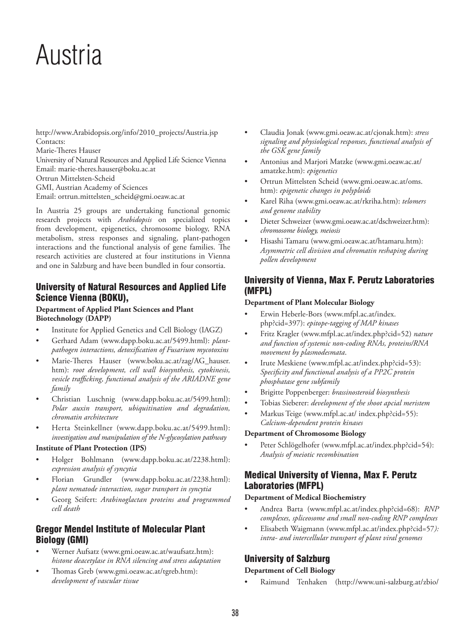# Austria

http://www.Arabidopsis.org/info/2010\_projects/Austria.jsp Contacts: Marie-Theres Hauser University of Natural Resources and Applied Life Science Vienna Email: marie-theres.hauser@boku.ac.at Ortrun Mittelsten-Scheid GMI, Austrian Academy of Sciences Email: ortrun.mittelsten\_scheid@gmi.oeaw.ac.at

In Austria 25 groups are undertaking functional genomic research projects with *Arabidopsis* on specialized topics from development, epigenetics, chromosome biology, RNA metabolism, stress responses and signaling, plant-pathogen interactions and the functional analysis of gene families. The research activities are clustered at four institutions in Vienna and one in Salzburg and have been bundled in four consortia.

# University of Natural Resources and Applied Life Science Vienna (BOKU),

### **Department of Applied Plant Sciences and Plant Biotechnology (DAPP)**

- Institute for Applied Genetics and Cell Biology (IAGZ)
- Gerhard Adam (www.dapp.boku.ac.at/5499.html): *plantpathogen interactions, detoxification of Fusarium mycotoxins*
- Marie-Theres Hauser (www.boku.ac.at/zag/AG hauser. htm): *root development, cell wall biosynthesis, cytokinesis, vesicle trafficking, functional analysis of the ARIADNE gene family*
- Christian Luschnig (www.dapp.boku.ac.at/5499.html): *Polar auxin transport, ubiquitination and degradation, chromatin architecture*
- Herta Steinkellner (www.dapp.boku.ac.at/5499.html): *investigation and manipulation of the N-glycosylation pathway*

## **Institute of Plant Protection (IPS)**

- Holger Bohlmann (www.dapp.boku.ac.at/2238.html): *expression analysis of syncytia*
- Florian Grundler (www.dapp.boku.ac.at/2238.html): *plant nematode interaction, sugar transport in syncytia*
- Georg Seifert: *Arabinoglactan proteins and programmed cell death*

# Gregor Mendel Institute of Molecular Plant Biology (GMI)

- Werner Aufsatz (www.gmi.oeaw.ac.at/waufsatz.htm): *histone deacetylase in RNA silencing and stress adaptation*
- Thomas Greb (www.gmi.oeaw.ac.at/tgreb.htm): *development of vascular tissue*
- Claudia Jonak (www.gmi.oeaw.ac.at/cjonak.htm): *stress signaling and physiological responses, functional analysis of the GSK gene family*
- Antonius and Marjori Matzke (www.gmi.oeaw.ac.at/ amatzke.htm): *epigenetics*
- Ortrun Mittelsten Scheid (www.gmi.oeaw.ac.at/oms. htm): *epigenetic changes in polyploids*
- Karel Riha (www.gmi.oeaw.ac.at/rkriha.htm): *telomers and genome stability*
- Dieter Schweizer (www.gmi.oeaw.ac.at/dschweizer.htm): *chromosome biology, meiosis*
- Hisashi Tamaru (www.gmi.oeaw.ac.at/htamaru.htm): *Asymmetric cell division and chromatin reshaping during pollen development*

# University of Vienna, Max F. Perutz Laboratories (MFPL)

## **Department of Plant Molecular Biology**

- Erwin Heberle-Bors (www.mfpl.ac.at/index. php?cid=397): *epitope-tagging of MAP kinases*
- Fritz Kragler (www.mfpl.ac.at/index.php?cid=52) *nature and function of systemic non-coding RNAs, proteins/RNA movement by plasmodesmata*.
- Irute Meskiene (www.mfpl.ac.at/index.php?cid=53): *Specificity and functional analysis of a PP2C protein phosphatase gene subfamily*
- Brigitte Poppenberger: *brassinosteroid biosynthesis*
- Tobias Sieberer: *development of the shoot apcial meristem*
- Markus Teige (www.mfpl.ac.at/ index.php?cid=55): *Calcium-dependent protein kinases*

## **Department of Chromosome Biology**

Peter Schlögelhofer (www.mfpl.ac.at/index.php?cid=54): *Analysis of meiotic recombination*

# Medical University of Vienna, Max F. Perutz Laboratories (MFPL)

## **Department of Medical Biochemistry**

- Andrea Barta (www.mfpl.ac.at/index.php?cid=68): *RNP complexes, spliceosome and small non-coding RNP complexes*
- Elisabeth Waigmann (www.mfpl.ac.at/index.php?cid=57*): intra- and intercellular transport of plant viral genomes*

# University of Salzburg

## **Department of Cell Biology**

• Raimund Tenhaken (http://www.uni-salzburg.at/zbio/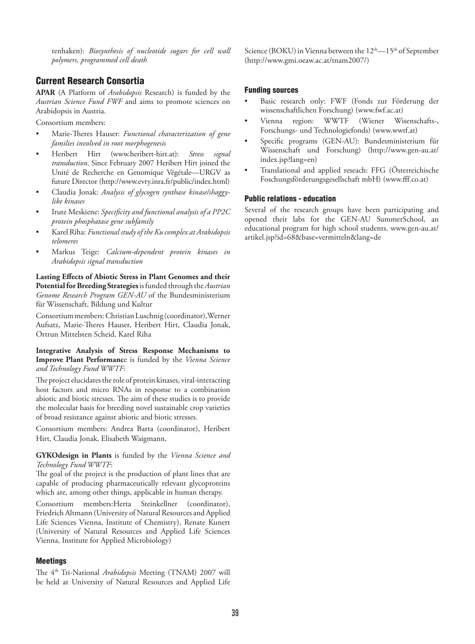tenhaken): *Biosynthesis of nucleotide sugars for cell wall polymers, programmed cell death*

## Current Research Consortia

**APAR** (A Platform of *Arabidopsis* Research) is funded by the *Austrian Science Fund FWF* and aims to promote sciences on Arabidopsis in Austria.

Consortium members:

- Marie-Theres Hauser: *Functional characterization of gene families involved in root morphogenesis*
- Heribert Hirt (www.heribert-hirt.at): *Stress signal transduction*. Since February 2007 Heribert Hirt joined the Unité de Recherche en Genomique Végétale—URGV as future Director (http://www.evry.inra.fr/public/index.html)
- Claudia Jonak: *Analysis of glycogen synthase kinase/shaggylike kinases*
- Irute Meskiene: *Specificity and functional analysis of a PP2C protein phosphatase gene subfamily*
- Karel Riha: *Functional study of the Ku complex at Arabidopsis telomeres*
- Markus Teige: *Calcium-dependent protein kinases in Arabidopsis signal transduction*

**Lasting Effects of Abiotic Stress in Plant Genomes and their Potential for Breeding Strategies** isfunded through the *Austrian Genome Research Program GEN-AU* of the Bundesministerium für Wissenschaft, Bildung und Kultur

Consortium members: Christian Luschnig (coordinator),Werner Aufsatz, Marie-Theres Hauser, Heribert Hirt, Claudia Jonak, Ortrun Mittelsten Scheid, Karel Riha

**Integrative Analysis of Stress Response Mechanisms to Improve Plant Performanc**e is funded by the *Vienna Science and Technology Fund WWTF*:

The project elucidates the role of protein kinases, viral-interacting host factors and micro RNAs in response to a combination abiotic and biotic stresses. The aim of these studies is to provide the molecular basis for breeding novel sustainable crop varieties of broad resistance against abiotic and biotic stresses.

Consortium members: Andrea Barta (coordinator), Heribert Hirt, Claudia Jonak, Elisabeth Waigmann,

**GYKOdesign in Plants** is funded by the *Vienna Science and Technology Fund WWTF*:

The goal of the project is the production of plant lines that are capable of producing pharmaceutically relevant glycoproteins which are, among other things, applicable in human therapy.

Consortium members:Herta Steinkellner (coordinator), Friedrich Altmann (University of Natural Resources and Applied Life Sciences Vienna, Institute of Chemistry), Renate Kunert (University of Natural Resources and Applied Life Sciences Vienna, Institute for Applied Microbiology)

#### Meetings

The 4th Tri-National *Arabidopsis* Meeting (TNAM) 2007 will be held at University of Natural Resources and Applied Life Science (BOKU) in Vienna between the 12<sup>th</sup>—15<sup>th</sup> of September (http://www.gmi.oeaw.ac.at/tnam2007/)

#### Funding sources

- Basic research only: FWF (Fonds zur Förderung der wissenschaftlichen Forschung) (www.fwf.ac.at)
- Vienna region: WWTF (Wiener Wisenschafts-, Forschungs- und Technologiefonds) (www.wwtf.at)
- Specific programs (GEN-AU): Bundesministerium für Wissenschaft und Forschung) (http://www.gen-au.at/ index.jsp?lang=en)
- Translational and applied reseach: FFG (Österreichische Foschungsförderungsgesellschaft mbH) (www.fff.co.at)

### Public relations - education

Several of the research groups have been participating and opened their labs for the GEN-AU SummerSchool, an educational program for high school students. www.gen-au.at/ artikel.jsp?id=68&base=vermitteln&lang=de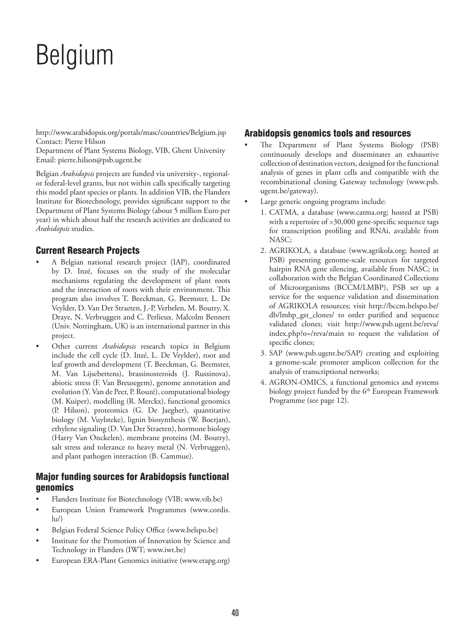# Belgium

http://www.arabidopsis.org/portals/masc/countries/Belgium.jsp Contact: Pierre Hilson

Department of Plant Systems Biology, VIB, Ghent University Email: pierre.hilson@psb.ugent.be

Belgian *Arabidopsis* projects are funded via university-, regionalor federal-level grants, but not within calls specifically targeting this model plant species or plants. In addition VIB, the Flanders Institute for Biotechnology, provides significant support to the Department of Plant Systems Biology (about 5 million Euro per year) in which about half the research activities are dedicated to *Arabidopsis* studies.

# Current Research Projects

- A Belgian national research project (IAP), coordinated by D. Inzé, focuses on the study of the molecular mechanisms regulating the development of plant roots and the interaction of roots with their environment. This program also involves T. Beeckman, G. Beemster, L. De Veylder, D. Van Der Straeten, J.-P. Verbelen, M. Boutry, X. Draye, N. Verbruggen and C. Perlieux. Malcolm Bennett (Univ. Nottingham, UK) is an international partner in this project.
- Other current *Arabidopsis* research topics in Belgium include the cell cycle (D. Inzé, L. De Veylder), root and leaf growth and development (T. Beeckman, G. Beemster, M. Van Lijsebettens), brassinosteroids (J. Russinova), abiotic stress (F. Van Breusegem), genome annotation and evolution (Y. Van de Peer, P. Rouzé), computational biology (M. Kuiper), modelling (R. Merckx), functional genomics (P. Hilson), proteomics (G. De Jaegher), quantitative biology (M. Vuylsteke), lignin biosynthesis (W. Boerjan), ethylene signaling (D. Van Der Straeten), hormone biology (Harry Van Onckelen), membrane proteins (M. Boutry), salt stress and tolerance to heavy metal (N. Verbruggen), and plant pathogen interaction (B. Cammue).

# Major funding sources for Arabidopsis functional genomics

- Flanders Institute for Biotechnology (VIB; www.vib.be)
- European Union Framework Programmes (www.cordis.  $\ln$
- Belgian Federal Science Policy Office (www.belspo.be)
- Institute for the Promotion of Innovation by Science and Technology in Flanders (IWT; www.iwt.be)
- European ERA-Plant Genomics initiative (www.erapg.org)

# Arabidopsis genomics tools and resources

- The Department of Plant Systems Biology (PSB) continuously develops and disseminates an exhaustive collection of destination vectors, designed for the functional analysis of genes in plant cells and compatible with the recombinational cloning Gateway technology (www.psb. ugent.be/gateway).
- Large generic ongoing programs include:
	- 1. CATMA, a database (www.catma.org; hosted at PSB) with a repertoire of >30,000 gene-specific sequence tags for transcription profiling and RNAi, available from NASC;
	- 2. AGRIKOLA, a database (www.agrikola.org; hosted at PSB) presenting genome-scale resources for targeted hairpin RNA gene silencing, available from NASC; in collaboration with the Belgian Coordinated Collections of Microorganisms (BCCM/LMBP), PSB set up a service for the sequence validation and dissemination of AGRIKOLA resources; visit http://bccm.belspo.be/ db/lmbp\_gst\_clones/ to order purified and sequence validated clones; visit http://www.psb.ugent.be/reva/ index.php?o=/reva/main to request the validation of specific clones;
	- 3. SAP (www.psb.ugent.be/SAP) creating and exploiting a genome-scale promoter amplicon collection for the analysis of transcriptional networks;
	- 4. AGRON-OMICS, a functional genomics and systems biology project funded by the 6<sup>th</sup> European Framework Programme (see page 12).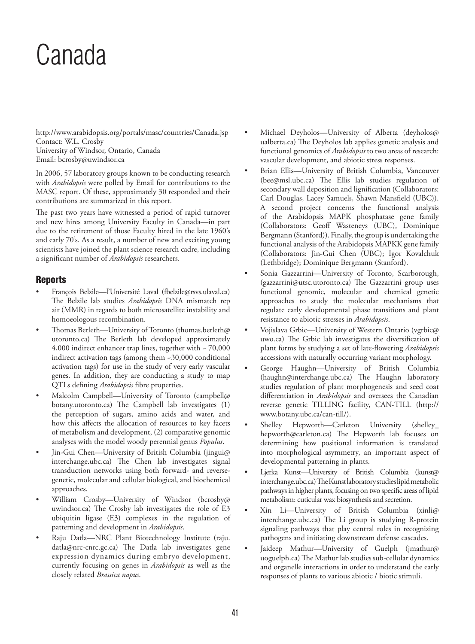# Canada

http://www.arabidopsis.org/portals/masc/countries/Canada.jsp Contact: W.L. Crosby University of Windsor, Ontario, Canada Email: bcrosby@uwindsor.ca

In 2006, 57 laboratory groups known to be conducting research with *Arabidopsis* were polled by Email for contributions to the MASC report. Of these, approximately 30 responded and their contributions are summarized in this report.

The past two years have witnessed a period of rapid turnover and new hires among University Faculty in Canada—in part due to the retirement of those Faculty hired in the late 1960's and early 70's. As a result, a number of new and exciting young scientists have joined the plant science research cadre, including a significant number of *Arabidopsis* researchers.

## **Reports**

- François Belzile*—*l'Université Laval (fbelzile@rsvs.ulaval.ca) The Belzile lab studies *Arabidopsis* DNA mismatch rep air (MMR) in regards to both microsatellite instability and homoeologous recombination.
- Thomas Berleth—University of Toronto (thomas.berleth@ utoronto.ca) The Berleth lab developed approximately 4,000 indirect enhancer trap lines, together with ~ 70,000 indirect activation tags (among them ~30,000 conditional activation tags) for use in the study of very early vascular genes. In addition, they are conducting a study to map QTLs defining *Arabidopsis* fibre properties.
- Malcolm Campbell—University of Toronto (campbell@ botany.utoronto.ca) The Campbell lab investigates (1) the perception of sugars, amino acids and water, and how this affects the allocation of resources to key facets of metabolism and development, (2) comparative genomic analyses with the model woody perennial genus *Populus*.
- Jin-Gui Chen—University of British Columbia (jingui@ interchange.ubc.ca) The Chen lab investigates signal transduction networks using both forward- and reversegenetic, molecular and cellular biological, and biochemical approaches.
- William Crosby—University of Windsor (bcrosby@ uwindsor.ca) The Crosby lab investigates the role of E3 ubiquitin ligase (E3) complexes in the regulation of patterning and development in *Arabidopsis*.
- Raju Datla—NRC Plant Biotechnology Institute (raju. datla@nrc-cnrc.gc.ca) The Datla lab investigates gene expression dynamics during embryo development, currently focusing on genes in *Arabidopsis* as well as the closely related *Brassica napus*.
- Michael Deyholos-University of Alberta (deyholos@ ualberta.ca) The Deyholos lab applies genetic analysis and functional genomics of *Arabidopsis* to two areas of research: vascular development, and abiotic stress responses.
- Brian Ellis—University of British Columbia, Vancouver (bee@msl.ubc.ca) The Ellis lab studies regulation of secondary wall deposition and lignification (Collaborators: Carl Douglas, Lacey Samuels, Shawn Mansfield (UBC)). A second project concerns the functional analysis of the Arabidopsis MAPK phosphatase gene family (Collaborators: Geoff Wasteneys (UBC), Dominique Bergmann (Stanford)). Finally, the group is undertaking the functional analysis of the Arabidopsis MAPKK gene family (Collaborators: Jin-Gui Chen (UBC); Igor Kovalchuk (Lethbridge); Dominique Bergmann (Stanford).
- Sonia Gazzarrini-University of Toronto, Scarborough, (gazzarrini@utsc.utoronto.ca) The Gazzarrini group uses functional genomic, molecular and chemical genetic approaches to study the molecular mechanisms that regulate early developmental phase transitions and plant resistance to abiotic stresses in *Arabidopsis*.
- Vojislava Grbic—University of Western Ontario (vgrbic@ uwo.ca) The Grbic lab investigates the diversification of plant forms by studying a set of late-flowering *Arabidopsis* accessions with naturally occurring variant morphology.
- George Haughn—University of British Columbia (haughn@interchange.ubc.ca) The Haughn laboratory studies regulation of plant morphogenesis and seed coat differentiation in *Arabidopsis* and oversees the Canadian reverse genetic TILLING facility, CAN-TILL (http:// www.botany.ubc.ca/can-till/).
- Shelley Hepworth—Carleton University (shelley hepworth@carleton.ca) The Hepworth lab focuses on determining how positional information is translated into morphological asymmetry, an important aspect of developmental patterning in plants.
- Ljerka Kunst-University of British Columbia (kunst@ interchange.ubc.ca) The Kunst laboratory studies lipid metabolic pathways in higher plants, focusing on two specific areas of lipid metabolism: cuticular wax biosynthesis and secretion.
- Xin Li—University of British Columbia (xinli@ interchange.ubc.ca) The Li group is studying R-protein signaling pathways that play central roles in recognizing pathogens and initiating downstream defense cascades.
- Jaideep Mathur-University of Guelph (jmathur@ uoguelph.ca) The Mathur lab studies sub-cellular dynamics and organelle interactions in order to understand the early responses of plants to various abiotic / biotic stimuli.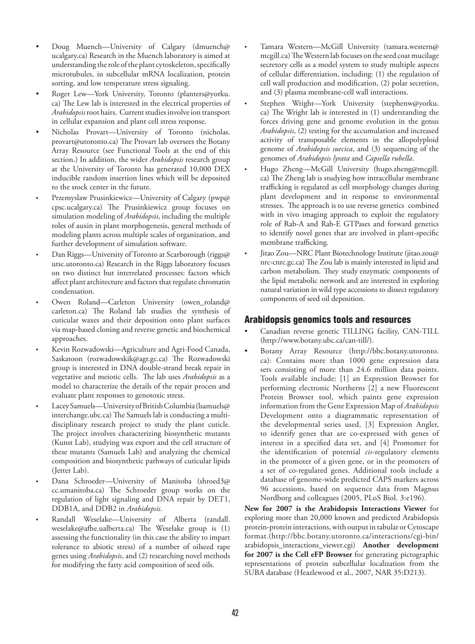- Doug Muench—University of Calgary (dmuench@ ucalgary.ca) Research in the Muench laboratory is aimed at understanding the role of the plant cytoskeleton, specifically microtubules, in subcellular mRNA localization, protein sorting, and low temperature stress signaling.
- Roger Lew-York University, Toronto (planters@yorku. ca) The Lew lab is interested in the electrical properties of *Arabidopsis* root hairs. Current studies involve ion transport in cellular expansion and plant cell stress response.
- Nicholas Provart-University of Toronto (nicholas. provart@utoronto.ca) The Provart lab oversees the Botany Array Resource (see Functional Tools at the end of this section.) In addition, the wider *Arabidopsis* research group at the University of Toronto has generated 10,000 DEX inducible random insertion lines which will be deposited to the stock center in the future.
- Przemyslaw Prusinkiewicz—University of Calgary (pwp@ cpsc.ucalgary.ca) The Prusinkiewicz group focuses on simulation modeling of *Arabidopsis*, including the multiple roles of auxin in plant morphogenesis, general methods of modeling plants across multiple scales of organization, and further development of simulation software.
- Dan Riggs—University of Toronto at Scarborough (riggs@ utsc.utoronto.ca) Research in the Riggs laboratory focuses on two distinct but interrelated processes: factors which affect plant architecture and factors that regulate chromatin condensation.
- Owen Roland—Carleton University (owen\_roland@ carleton.ca) The Roland lab studies the synthesis of cuticular waxes and their deposition onto plant surfaces via map-based cloning and reverse genetic and biochemical approaches.
- Kevin Rozwadowski—Agriculture and Agri-Food Canada, Saskatoon (rozwadowskik@agr.gc.ca) The Rozwadowski group is interested in DNA double-strand break repair in vegetative and meiotic cells. The lab uses *Arabidopsis* as a model to characterize the details of the repair process and evaluate plant responses to genotoxic stress.
- Lacey Samuels—University of British Columbia (lsamuels@ interchange.ubc.ca) The Samuels lab is conducting a multidisciplinary research project to study the plant cuticle. The project involves characterizing biosynthetic mutants (Kunst Lab), studying wax export and the cell structure of these mutants (Samuels Lab) and analyzing the chemical composition and biosynthetic pathways of cuticular lipids (Jetter Lab).
- Dana Schroeder—University of Manitoba (shroed3@ cc.umanitoba.ca) The Schroeder group works on the regulation of light signaling and DNA repair by DET1, DDB1A, and DDB2 in *Arabidopsis*.
- Randall Weselake—University of Alberta (randall. weselake@afhe.ualberta.ca) The Weselake group is (1) assessing the functionality (in this case the ability to impart tolerance to abiotic stress) of a number of oilseed rape genes using *Arabidopsis*, and (2) researching novel methods for modifying the fatty acid composition of seed oils.
- Tamara Western—McGill University (tamara.western@ mcgill.ca) The Western lab focuses on the seed coat mucilage secretory cells as a model system to study multiple aspects of cellular differentiation, including: (1) the regulation of cell wall production and modification, (2) polar secretion, and (3) plasma membrane-cell wall interactions.
- Stephen Wright-York University (stephenw@yorku. ca) The Wright lab is interested in (1) understanding the forces driving gene and genome evolution in the genus *Arabidopsis*, (2) testing for the accumulation and increased activity of transposable elements in the allopolyploid genome of *Arabidopsis suecica*, and (3) sequencing of the genomes of *Arabidopsis lyrata* and *Capsella rubella*.
- Hugo Zheng—McGill University (hugo.zheng@mcgill. ca) The Zheng lab is studying how intracellular membrane trafficking is regulated as cell morphology changes during plant development and in response to environmental stresses. The approach is to use reverse genetics combined with in vivo imaging approach to exploit the regulatory role of Rab-A and Rab-E GTPases and forward genetics to identify novel genes that are involved in plant-specific membrane trafficking.
- Jitao Zou—NRC Plant Biotechnology Institute (jitao.zou@ nrc-cnrc.gc.ca) The Zou lab is mainly interested in lipid and carbon metabolism. They study enzymatic components of the lipid metabolic network and are interested in exploring natural variation in wild type accessions to dissect regulatory components of seed oil deposition.

## Arabidopsis genomics tools and resources

- Canadian reverse genetic TILLING facility, CAN-TILL (http://www.botany.ubc.ca/can-till/).
- Botany Array Resource (http://bbc.botany.utoronto. ca): Contains more than 1000 gene expression data sets consisting of more than 24.6 million data points. Tools available include: [1] an Expression Browser for performing electronic Northerns [2] a new Fluorescent Protein Browser tool, which paints gene expression information from the Gene Expression Map of *Arabidopsis* Development onto a diagrammatic representation of the developmental series used, [3] Expression Angler, to identify genes that are co-expressed with genes of interest in a specified data set, and [4] Promomer for the identification of potential *cis*-regulatory elements in the promoter of a given gene, or in the promoters of a set of co-regulated genes. Additional tools include a database of genome-wide predicted CAPS markers across 96 accessions, based on sequence data from Magnus Nordborg and colleagues (2005, PLoS Biol. 3:e196).

**New for 2007 is the Arabidopsis Interactions Viewer** for exploring more than 20,000 known and predicted Arabidopsis protein-protein interactions, with output in tabular or Cytoscape format.(http://bbc.botany.utoronto.ca/interactions/cgi-bin/ arabidopsis\_interactions\_viewer.cgi) **Another development for 2007 is the Cell eFP Browser** for generating pictographic representations of protein subcellular localization from the SUBA database (Heazlewood et al., 2007, NAR 35:D213).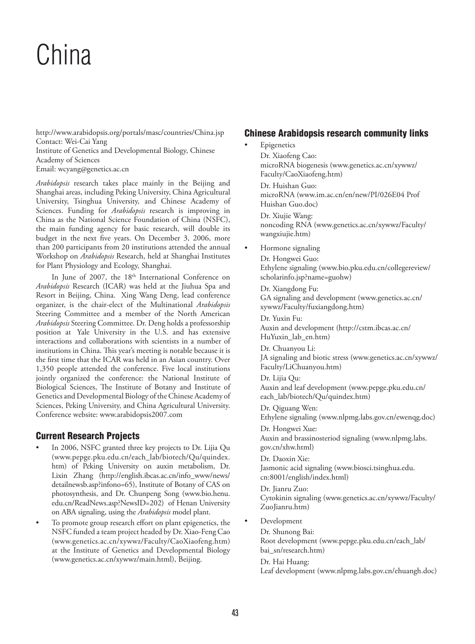# China

http://www.arabidopsis.org/portals/masc/countries/China.jsp Contact: Wei-Cai Yang Institute of Genetics and Developmental Biology, Chinese Academy of Sciences Email: wcyang@genetics.ac.cn

*Arabidopsis* research takes place mainly in the Beijing and Shanghai areas, including Peking University, China Agricultural University, Tsinghua University, and Chinese Academy of Sciences. Funding for *Arabidopsis* research is improving in China as the National Science Foundation of China (NSFC), the main funding agency for basic research, will double its budget in the next five years. On December 3, 2006, more than 200 participants from 20 institutions attended the annual Workshop on *Arabidopsis* Research, held at Shanghai Institutes for Plant Physiology and Ecology, Shanghai.

In June of 2007, the 18<sup>th</sup> International Conference on *Arabidopsis* Research (ICAR) was held at the Jiuhua Spa and Resort in Beijing, China. Xing Wang Deng, lead conference organizer, is the chair-elect of the Multinational *Arabidopsis*  Steering Committee and a member of the North American *Arabidopsis* Steering Committee. Dr. Deng holds a professorship position at Yale University in the U.S. and has extensive interactions and collaborations with scientists in a number of institutions in China. This year's meeting is notable because it is the first time that the ICAR was held in an Asian country. Over 1,350 people attended the conference. Five local institutions jointly organized the conference: the National Institute of Biological Sciences, The Institute of Botany and Institute of Genetics and Developmental Biology of the Chinese Academy of Sciences, Peking University, and China Agricultural University. Conference website: www.arabidopsis2007.com

# Current Research Projects

- In 2006, NSFC granted three key projects to Dr. Lijia Qu (www.pepge.pku.edu.cn/each\_lab/biotech/Qu/quindex. htm) of Peking University on auxin metabolism, Dr. Lixin Zhang (http://english.ibcas.ac.cn/info\_www/news/ detailnewsb.asp?infono=65), Institute of Botany of CAS on photosynthesis, and Dr. Chunpeng Song (www.bio.henu. edu.cn/ReadNews.asp?NewsID=202) of Henan University on ABA signaling, using the *Arabidopsis* model plant.
- To promote group research effort on plant epigenetics, the NSFC funded a team project headed by Dr. Xiao-Feng Cao (www.genetics.ac.cn/xywwz/Faculty/CaoXiaofeng.htm) at the Institute of Genetics and Developmental Biology (www.genetics.ac.cn/xywwz/main.html), Beijing.

## Chinese Arabidopsis research community links

- **Epigenetics** Dr. Xiaofeng Cao: microRNA biogenesis (www.genetics.ac.cn/xywwz/ Faculty/CaoXiaofeng.htm) Dr. Huishan Guo: microRNA (www.im.ac.cn/en/new/PI/026E04 Prof Huishan Guo.doc) Dr. Xiujie Wang: noncoding RNA (www.genetics.ac.cn/xywwz/Faculty/ wangxiujie.htm) • Hormone signaling Dr. Hongwei Guo: Ethylene signaling (www.bio.pku.edu.cn/collegereview/ scholarinfo.jsp?name=guohw) Dr. Xiangdong Fu: GA signaling and development (www.genetics.ac.cn/ xywwz/Faculty/fuxiangdong.htm) Dr. Yuxin Fu: Auxin and development (http://cstm.ibcas.ac.cn/ HuYuxin\_lab\_en.htm) Dr. Chuanyou Li: JA signaling and biotic stress (www.genetics.ac.cn/xywwz/ Faculty/LiChuanyou.htm)
	- Dr. Lijia Qu: Auxin and leaf development (www.pepge.pku.edu.cn/ each\_lab/biotech/Qu/quindex.htm)

Dr. Qiguang Wen: Ethylene signaling (www.nlpmg.labs.gov.cn/ewenqg.doc) Dr. Hongwei Xue:

Auxin and brassinosteriod signaling (www.nlpmg.labs. gov.cn/xhw.html)

Dr. Daoxin Xie: Jasmonic acid signaling (www.biosci.tsinghua.edu. cn:8001/english/index.html)

Dr. Jianru Zuo: Cytokinin signaling (www.genetics.ac.cn/xywwz/Faculty/ ZuoJianru.htm)

• Development

Dr. Shunong Bai:

Root development (www.pepge.pku.edu.cn/each\_lab/ bai\_sn/research.htm)

Dr. Hai Huang:

Leaf development (www.nlpmg.labs.gov.cn/ehuangh.doc)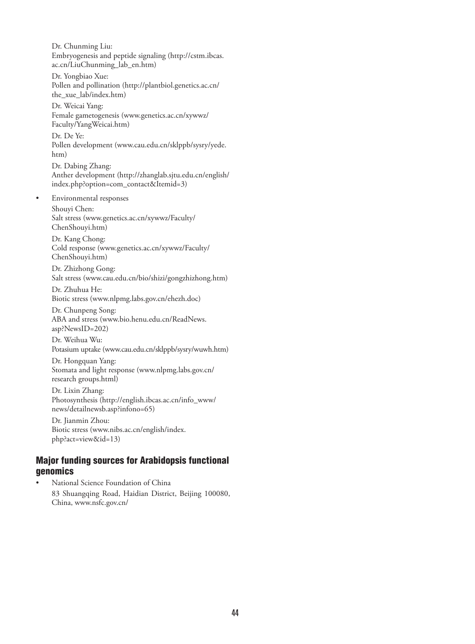Dr. Chunming Liu: Embryogenesis and peptide signaling (http://cstm.ibcas. ac.cn/LiuChunming\_lab\_en.htm)

Dr. Yongbiao Xue: Pollen and pollination (http://plantbiol.genetics.ac.cn/ the xue lab/index.htm)

Dr. Weicai Yang: Female gametogenesis (www.genetics.ac.cn/xywwz/ Faculty/YangWeicai.htm)

Dr. De Ye: Pollen development (www.cau.edu.cn/sklppb/sysry/yede. htm)

Dr. Dabing Zhang: Anther development (http://zhanglab.sjtu.edu.cn/english/ index.php?option=com\_contact&Itemid=3)

• Environmental responses Shouyi Chen: Salt stress (www.genetics.ac.cn/xywwz/Faculty/ ChenShouyi.htm)

Dr. Kang Chong: Cold response (www.genetics.ac.cn/xywwz/Faculty/ ChenShouyi.htm)

Dr. Zhizhong Gong: Salt stress (www.cau.edu.cn/bio/shizi/gongzhizhong.htm)

Dr. Zhuhua He: Biotic stress (www.nlpmg.labs.gov.cn/ehezh.doc)

Dr. Chunpeng Song: ABA and stress (www.bio.henu.edu.cn/ReadNews. asp?NewsID=202)

Dr. Weihua Wu: Potasium uptake (www.cau.edu.cn/sklppb/sysry/wuwh.htm)

Dr. Hongquan Yang: Stomata and light response (www.nlpmg.labs.gov.cn/ research groups.html)

Dr. Lixin Zhang: Photosynthesis (http://english.ibcas.ac.cn/info\_www/ news/detailnewsb.asp?infono=65)

Dr. Jianmin Zhou: Biotic stress (www.nibs.ac.cn/english/index. php?act=view&id=13)

# Major funding sources for Arabidopsis functional genomics

• National Science Foundation of China 83 Shuangqing Road, Haidian District, Beijing 100080, China, www.nsfc.gov.cn/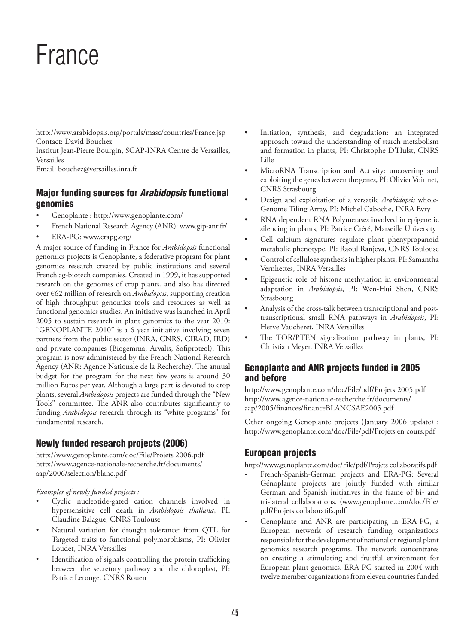# France

http://www.arabidopsis.org/portals/masc/countries/France.jsp Contact: David Bouchez

Institut Jean-Pierre Bourgin, SGAP-INRA Centre de Versailles, Versailles

Email: bouchez@versailles.inra.fr

# Major funding sources for *Arabidopsis* functional genomics

- Genoplante : http://www.genoplante.com/
- French National Research Agency (ANR): www.gip-anr.fr/
- ERA-PG: www.erapg.org/

A major source of funding in France for *Arabidopsis* functional genomics projects is Genoplante, a federative program for plant genomics research created by public institutions and several French ag-biotech companies. Created in 1999, it has supported research on the genomes of crop plants, and also has directed over €62 million of research on *Arabidopsis*, supporting creation of high throughput genomics tools and resources as well as functional genomics studies. An initiative was launched in April 2005 to sustain research in plant genomics to the year 2010: "GENOPLANTE 2010" is a 6 year initiative involving seven partners from the public sector (INRA, CNRS, CIRAD, IRD) and private companies (Biogemma, Arvalis, Sofiproteol). This program is now administered by the French National Research Agency (ANR: Agence Nationale de la Recherche). The annual budget for the program for the next few years is around 30 million Euros per year. Although a large part is devoted to crop plants, several *Arabidopsis* projects are funded through the "New Tools" committee. The ANR also contributes significantly to funding *Arabidopsis* research through its "white programs" for fundamental research.

# Newly funded research projects (2006)

http://www.genoplante.com/doc/File/Projets 2006.pdf http://www.agence-nationale-recherche.fr/documents/ aap/2006/selection/blanc.pdf

*Examples of newly funded projects :*

- Cyclic nucleotide-gated cation channels involved in hypersensitive cell death in *Arabidopsis thaliana*, PI: Claudine Balague, CNRS Toulouse
- Natural variation for drought tolerance: from QTL for Targeted traits to functional polymorphisms, PI: Olivier Loudet, INRA Versailles
- Identification of signals controlling the protein trafficking between the secretory pathway and the chloroplast, PI: Patrice Lerouge, CNRS Rouen
- Initiation, synthesis, and degradation: an integrated approach toward the understanding of starch metabolism and formation in plants, PI: Christophe D'Hulst, CNRS Lille
- MicroRNA Transcription and Activity: uncovering and exploiting the genes between the genes, PI: Olivier Voinnet, CNRS Strasbourg
- Design and exploitation of a versatile *Arabidopsis* whole-Genome Tiling Array, PI: Michel Caboche, INRA Evry
- RNA dependent RNA Polymerases involved in epigenetic silencing in plants, PI: Patrice Crété, Marseille University
- Cell calcium signatures regulate plant phenypropanoid metabolic phenotype, PI: Raoul Ranjeva, CNRS Toulouse
- Control of cellulose synthesis in higher plants, PI: Samantha Vernhettes, INRA Versailles
- Epigenetic role of histone methylation in environmental adaptation in *Arabidopsis*, PI: Wen-Hui Shen, CNRS Strasbourg
- Analysis of the cross-talk between transcriptional and posttranscriptional small RNA pathways in *Arabidopsis*, PI: Herve Vaucheret, INRA Versailles
- The TOR/PTEN signalization pathway in plants, PI: Christian Meyer, INRA Versailles

# Genoplante and ANR projects funded in 2005 and before

http://www.genoplante.com/doc/File/pdf/Projets 2005.pdf http://www.agence-nationale-recherche.fr/documents/ aap/2005/finances/financeBLANCSAE2005.pdf

Other ongoing Genoplante projects (January 2006 update) : http://www.genoplante.com/doc/File/pdf/Projets en cours.pdf

## European projects

http://www.genoplante.com/doc/File/pdf/Projets collaboratifs.pdf

- French-Spanish-German projects and ERA-PG: Several Génoplante projects are jointly funded with similar German and Spanish initiatives in the frame of bi- and tri-lateral collaborations. (www.genoplante.com/doc/File/ pdf/Projets collaboratifs.pdf
- Génoplante and ANR are participating in ERA-PG, a European network of research funding organizations responsible for the development of national or regional plant genomics research programs. The network concentrates on creating a stimulating and fruitful environment for European plant genomics. ERA-PG started in 2004 with twelve member organizations from eleven countries funded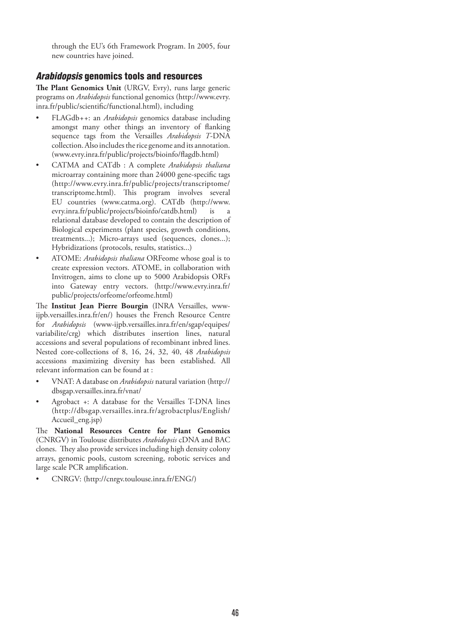through the EU's 6th Framework Program. In 2005, four new countries have joined.

# *Arabidopsis* genomics tools and resources

**The Plant Genomics Unit** (URGV, Evry), runs large generic programs on *Arabidopsis* functional genomics (http://www.evry. inra.fr/public/scientific/functional.html), including

- FLAGdb*++*: an *Arabidopsis* genomics database including amongst many other things an inventory of flanking sequence tags from the Versailles *Arabidopsis T*-DNA collection. Also includes the rice genome and its annotation. (www.evry.inra.fr/public/projects/bioinfo/flagdb.html)
- CATMA and CATdb : A complete *Arabidopsis thaliana* microarray containing more than 24000 gene-specific tags (http://www.evry.inra.fr/public/projects/transcriptome/ transcriptome.html). This program involves several EU countries (www.catma.org). CATdb (http://www. evry.inra.fr/public/projects/bioinfo/catdb.html) is a relational database developed to contain the description of Biological experiments (plant species, growth conditions, treatments...); Micro-arrays used (sequences, clones...); Hybridizations (protocols, results, statistics...)
- ATOME: *Arabidopsis thaliana* ORFeome whose goal is to create expression vectors. ATOME, in collaboration with Invitrogen, aims to clone up to 5000 Arabidopsis ORFs into Gateway entry vectors. (http://www.evry.inra.fr/ public/projects/orfeome/orfeome.html)

The **Institut Jean Pierre Bourgin** (INRA Versailles, wwwijpb.versailles.inra.fr/en/) houses the French Resource Centre for *Arabidopsis* (www-ijpb.versailles.inra.fr/en/sgap/equipes/ variabilite/crg) which distributes insertion lines, natural accessions and several populations of recombinant inbred lines. Nested core-collections of 8, 16, 24, 32, 40, 48 *Arabidopsis* accessions maximizing diversity has been established. All relevant information can be found at :

- VNAT: A database on *Arabidopsis* natural variation (http:// dbsgap.versailles.inra.fr/vnat/
- Agrobact +: A database for the Versailles T-DNA lines (http://dbsgap.versailles.inra.fr/agrobactplus/English/ Accueil\_eng.jsp)

The **National Resources Centre for Plant Genomics** (CNRGV) in Toulouse distributes *Arabidopsis* cDNA and BAC clones. They also provide services including high density colony arrays, genomic pools, custom screening, robotic services and large scale PCR amplification.

• CNRGV: (http://cnrgv.toulouse.inra.fr/ENG/)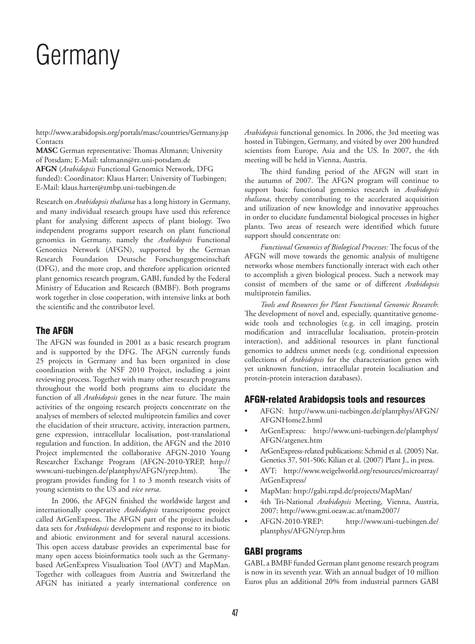# Germany

http://www.arabidopsis.org/portals/masc/countries/Germany.jsp Contacts

**MASC** German representative: Thomas Altmann; University of Potsdam; E-Mail: taltmann@rz.uni-potsdam.de **AFGN** (*Arabidopsis* Functional Genomics Network, DFG funded): Coordinator: Klaus Harter; University of Tuebingen; E-Mail: klaus.harter@zmbp.uni-tuebingen.de

Research on *Arabidopsis thaliana* has a long history in Germany, and many individual research groups have used this reference plant for analysing different aspects of plant biology. Two independent programs support research on plant functional genomics in Germany, namely the *Arabidopsis* Functional Genomics Network (AFGN), supported by the German Research Foundation Deutsche Forschungsgemeinschaft (DFG), and the more crop, and therefore application oriented plant genomics research program, GABI, funded by the Federal Ministry of Education and Research (BMBF). Both programs work together in close cooperation, with intensive links at both the scientific and the contributor level.

# The AFGN

The AFGN was founded in 2001 as a basic research program and is supported by the DFG. The AFGN currently funds 25 projects in Germany and has been organized in close coordination with the NSF 2010 Project, including a joint reviewing process. Together with many other research programs throughout the world both programs aim to elucidate the function of all *Arabidopsis* genes in the near future. The main activities of the ongoing research projects concentrate on the analyses of members of selected multiprotein families and cover the elucidation of their structure, activity, interaction partners, gene expression, intracellular localisation, post-translational regulation and function. In addition, the AFGN and the 2010 Project implemented the collaborative AFGN-2010 Young Researcher Exchange Program (AFGN-2010-YREP, http:// www.uni-tuebingen.de/plantphys/AFGN/yrep.htm). The program provides funding for 1 to 3 month research visits of young scientists to the US and *vice versa*.

In 2006, the AFGN finished the worldwide largest and internationally cooperative *Arabidopsis* transcriptome project called AtGenExpress. The AFGN part of the project includes data sets for *Arabidopsis* development and response to its biotic and abiotic environment and for several natural accessions. This open access database provides an experimental base for many open access bioinformatics tools such as the Germanybased AtGenExpress Visualisation Tool (AVT) and MapMan. Together with colleagues from Austria and Switzerland the AFGN has initiated a yearly international conference on

*Arabidopsis* functional genomics. In 2006, the 3rd meeting was hosted in Tübingen, Germany, and visited by over 200 hundred scientists from Europe, Asia and the US. In 2007, the 4th meeting will be held in Vienna, Austria.

The third funding period of the AFGN will start in the autumn of 2007. The AFGN program will continue to support basic functional genomics research in *Arabidopsis thaliana*, thereby contributing to the accelerated acquisition and utilization of new knowledge and innovative approaches in order to elucidate fundamental biological processes in higher plants. Two areas of research were identified which future support should concentrate on:

*Functional Genomics of Biological Processes:* The focus of the AFGN will move towards the genomic analysis of multigene networks whose members functionally interact with each other to accomplish a given biological process. Such a network may consist of members of the same or of different *Arabidopsis* multiprotein families.

*Tools and Resources for Plant Functional Genomic Research*: The development of novel and, especially, quantitative genomewide tools and technologies (e.g. in cell imaging, protein modification and intracellular localisation, protein-protein interaction), and additional resources in plant functional genomics to address unmet needs (e.g. conditional expression collections of *Arabidopsis* for the characterisation genes with yet unknown function, intracellular protein localisation and protein-protein interaction databases).

## AFGN-related Arabidopsis tools and resources

- AFGN: http://www.uni-tuebingen.de/plantphys/AFGN/ AFGNHome2.html
- AtGenExpress: http://www.uni-tuebingen.de/plantphys/ AFGN/atgenex.htm
- AtGenExpress-related publications: Schmid et al. (2005) Nat. Genetics 37, 501-506; Kilian et al. (2007) Plant J., in press.
- AVT: http://www.weigelworld.org/resources/microarray/ AtGenExpress/
- MapMan: http://gabi.rzpd.de/projects/MapMan/
- 4th Tri-National *Arabidopsis* Meeting, Vienna, Austria, 2007: http://www.gmi.oeaw.ac.at/tnam2007/
- AFGN-2010-YREP: http://www.uni-tuebingen.de/ plantphys/AFGN/yrep.htm

## GABI programs

GABI, a BMBF funded German plant genome research program is now in its seventh year. With an annual budget of 10 million Euros plus an additional 20% from industrial partners GABI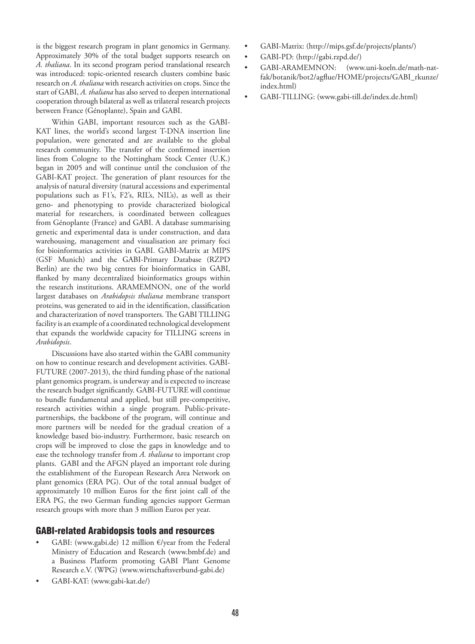is the biggest research program in plant genomics in Germany. Approximately 30% of the total budget supports research on *A. thaliana*. In its second program period translational research was introduced: topic-oriented research clusters combine basic research on *A. thaliana* with research activities on crops. Since the start of GABI, *A. thaliana* has also served to deepen international cooperation through bilateral as well as trilateral research projects between France (Génoplante), Spain and GABI.

Within GABI, important resources such as the GABI-KAT lines, the world's second largest T-DNA insertion line population, were generated and are available to the global research community. The transfer of the confirmed insertion lines from Cologne to the Nottingham Stock Center (U.K.) began in 2005 and will continue until the conclusion of the GABI-KAT project. The generation of plant resources for the analysis of natural diversity (natural accessions and experimental populations such as F1's, F2's, RIL's, NIL's), as well as their geno- and phenotyping to provide characterized biological material for researchers, is coordinated between colleagues from Génoplante (France) and GABI. A database summarising genetic and experimental data is under construction, and data warehousing, management and visualisation are primary foci for bioinformatics activities in GABI. GABI-Matrix at MIPS (GSF Munich) and the GABI-Primary Database (RZPD Berlin) are the two big centres for bioinformatics in GABI, flanked by many decentralized bioinformatics groups within the research institutions. ARAMEMNON, one of the world largest databases on *Arabidopsis thaliana* membrane transport proteins, was generated to aid in the identification, classification and characterization of novel transporters. The GABI TILLING facility is an example of a coordinated technological development that expands the worldwide capacity for TILLING screens in *Arabidopsis*.

Discussions have also started within the GABI community on how to continue research and development activities. GABI-FUTURE (2007-2013), the third funding phase of the national plant genomics program, is underway and is expected to increase the research budget significantly. GABI-FUTURE will continue to bundle fundamental and applied, but still pre-competitive, research activities within a single program. Public-privatepartnerships, the backbone of the program, will continue and more partners will be needed for the gradual creation of a knowledge based bio-industry. Furthermore, basic research on crops will be improved to close the gaps in knowledge and to ease the technology transfer from *A. thaliana* to important crop plants. GABI and the AFGN played an important role during the establishment of the European Research Area Network on plant genomics (ERA PG). Out of the total annual budget of approximately 10 million Euros for the first joint call of the ERA PG, the two German funding agencies support German research groups with more than 3 million Euros per year.

## GABI-related Arabidopsis tools and resources

- GABI: (www.gabi.de) 12 million  $\epsilon$ /year from the Federal Ministry of Education and Research (www.bmbf.de) and a Business Platform promoting GABI Plant Genome Research e.V. (WPG) (www.wirtschaftsverbund-gabi.de)
- GABI-KAT: (www.gabi-kat.de/)
- GABI-Matrix: (http://mips.gsf.de/projects/plants/)
- GABI-PD: (http://gabi.rzpd.de/)
- GABI-ARAMEMNON: (www.uni-koeln.de/math-natfak/botanik/bot2/agflue/HOME/projects/GABI\_rkunze/ index.html)
- GABI-TILLING: (www.gabi-till.de/index.de.html)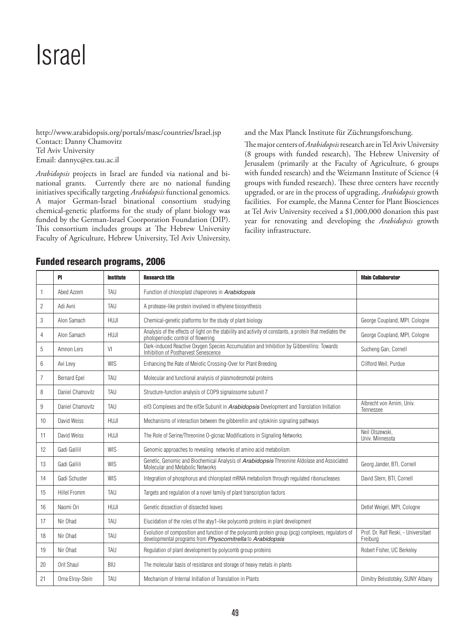# Israel

http://www.arabidopsis.org/portals/masc/countries/Israel.jsp Contact: Danny Chamovitz Tel Aviv University Email: dannyc@ex.tau.ac.il

*Arabidopsis* projects in Israel are funded via national and binational grants. Currently there are no national funding initiatives specifically targeting *Arabidopsis* functional genomics. A major German-Israel binational consortium studying chemical-genetic platforms for the study of plant biology was funded by the German-Israel Coorporation Foundation (DIP). This consortium includes groups at The Hebrew University Faculty of Agriculture, Hebrew University, Tel Aviv University,

and the Max Planck Institute für Züchtungsforschung.

The major centers of *Arabidopsis* research are in Tel Aviv University (8 groups with funded research), The Hebrew University of Jerusalem (primarily at the Faculty of Agriculture, 6 groups with funded research) and the Weizmann Institute of Science (4 groups with funded research). These three centers have recently upgraded, or are in the process of upgrading, *Arabidopsis* growth facilities. For example, the Manna Center for Plant Biosciences at Tel Aviv University received a \$1,000,000 donation this past year for renovating and developing the *Arabidopsis* growth facility infrastructure.

|                | <b>PI</b>           | <b>Institute</b> | <b>Research title</b>                                                                                                                                           | <b>Main Collaborator</b>                         |
|----------------|---------------------|------------------|-----------------------------------------------------------------------------------------------------------------------------------------------------------------|--------------------------------------------------|
| 1              | Abed Azzem          | TAU              | Function of chloroplast chaperones in Arabidopsis                                                                                                               |                                                  |
| $\overline{2}$ | Adi Avni            | TAU              | A protease-like protein involved in ethylene biosynthesis                                                                                                       |                                                  |
| 3              | Alon Samach         | <b>HUJI</b>      | Chemical-genetic platforms for the study of plant biology                                                                                                       | George Coupland, MPI, Cologne                    |
| $\overline{4}$ | Alon Samach         | HUJI             | Analysis of the effects of light on the stability and activity of constants, a protein that mediates the<br>photoperiodic control of flowering                  | George Coupland, MPI, Cologne                    |
| 5              | Amnon Lers          | VI               | Dark-induced Reactive Oxygen Species Accumulation and Inhibition by Gibberellins: Towards Inhibition of Postharvest Senescence                                  | Sucheng Gan, Cornell                             |
| 6              | Avi Levy            | <b>WIS</b>       | Enhancing the Rate of Meiotic Crossing-Over for Plant Breeding                                                                                                  | Clifford Weil, Purdue                            |
| $\overline{7}$ | <b>Bernard Epel</b> | TAU              | Molecular and functional analysis of plasmodesmotal proteins                                                                                                    |                                                  |
| 8              | Daniel Chamovitz    | TAU              | Structure-function analysis of COP9 signalosome subunit 7                                                                                                       |                                                  |
| 9              | Daniel Chamovitz    | TAU              | eif3 Complexes and the eif3e Subunit in Arabidopsis Development and Translation Initiation                                                                      | Albrecht von Arnim, Univ.<br>Tennessee           |
| 10             | David Weiss         | <b>HUJI</b>      | Mechanisms of interaction between the gibberellin and cytokinin signaling pathways                                                                              |                                                  |
| 11             | David Weiss         | <b>HUJI</b>      | The Role of Serine/Threonine O-glcnac Modifications in Signaling Networks                                                                                       | Neil Olszewski.<br>Univ. Minnesota               |
| 12             | Gadi Galilil        | WIS              | Genomic approaches to revealing networks of amino acid metabolism                                                                                               |                                                  |
| 13             | Gadi Gallili        | <b>WIS</b>       | Genetic, Genomic and Biochemical Analysis of Arabidopsis Threonine Aldolase and Associated<br>Molecular and Metabolic Networks                                  | Georg Jander, BTI, Cornell                       |
| 14             | Gadi Schuster       | <b>WIS</b>       | Integration of phosphorus and chloroplast mRNA metabolism through regulated ribonucleases                                                                       | David Stern, BTI, Cornell                        |
| 15             | <b>Hillel Fromm</b> | TAU              | Targets and regulation of a novel family of plant transcription factors                                                                                         |                                                  |
| 16             | Naomi Ori           | <b>HUJI</b>      | Genetic dissection of dissected leaves                                                                                                                          | Detlef Weigel, MPI, Cologne                      |
| 17             | Nir Ohad            | TAU              | Elucidation of the roles of the atyy1-like polycomb proteins in plant development                                                                               |                                                  |
| 18             | Nir Ohad            | TAU              | Evolution of composition and function of the polycomb protein group (pcg) complexes, regulators of<br>developmental programs from Physcomitrella to Arabidopsis | Prof. Dr. Ralf Reski, - Universitaet<br>Freiburg |
| 19             | Nir Ohad            | TAU              | Regulation of plant development by polycomb group proteins                                                                                                      | Robert Fisher, UC Berkeley                       |
| 20             | Orit Shaul          | BIU              | The molecular basis of resistance and storage of heavy metals in plants                                                                                         |                                                  |
| 21             | Orna Elroy-Stein    | TAU              | Mechanism of Internal Initiation of Translation in Plants                                                                                                       | Dimitry Belostotsky, SUNY Albany                 |

## Funded research programs, 2006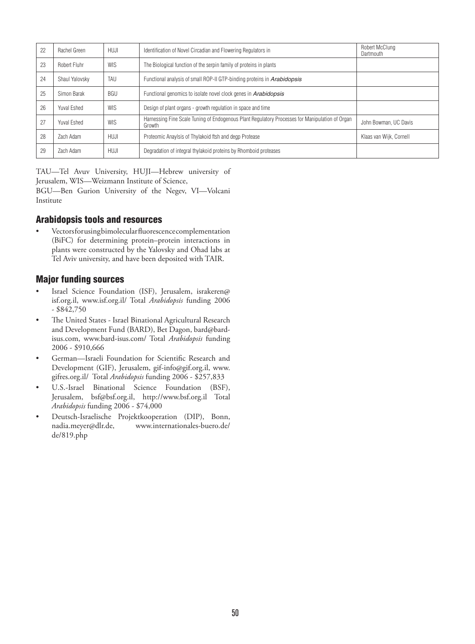| 22 | Rachel Green       | <b>HUJI</b> | Identification of Novel Circadian and Flowering Regulators in                                             | Robert McClung<br>Dartmouth |
|----|--------------------|-------------|-----------------------------------------------------------------------------------------------------------|-----------------------------|
| 23 | Robert Fluhr       | <b>WIS</b>  | The Biological function of the serpin family of proteins in plants                                        |                             |
| 24 | Shaul Yalovsky     | TAU         | Functional analysis of small ROP-II GTP-binding proteins in Arabidopsis                                   |                             |
| 25 | Simon Barak        | <b>BGU</b>  | Functional genomics to isolate novel clock genes in Arabidopsis                                           |                             |
| 26 | Yuval Eshed        | <b>WIS</b>  | Design of plant organs - growth regulation in space and time                                              |                             |
| 27 | <b>Yuval Eshed</b> | <b>WIS</b>  | Harnessing Fine Scale Tuning of Endogenous Plant Regulatory Processes for Manipulation of Organ<br>Growth | John Bowman, UC Davis       |
| 28 | Zach Adam          | HUJI        | Proteomic Anaylsis of Thylakoid ftsh and degp Protease                                                    | Klaas van Wijk, Cornell     |
| 29 | Zach Adam          | HUJI        | Degradation of integral thylakoid proteins by Rhomboid proteases                                          |                             |

TAU—Tel Avuv University, HUJI—Hebrew university of Jerusalem, WIS—Weizmann Institute of Science,

BGU—Ben Gurion University of the Negev, VI—Volcani Institute

## Arabidopsis tools and resources

• Vectors for using bimolecular fluorescence complementation (BiFC) for determining protein–protein interactions in plants were constructed by the Yalovsky and Ohad labs at Tel Aviv university, and have been deposited with TAIR.

## Major funding sources

- Israel Science Foundation (ISF), Jerusalem, israkeren@ isf.org.il, www.isf.org.il/ Total *Arabidopsis* funding 2006 - \$842,750
- The United States Israel Binational Agricultural Research and Development Fund (BARD), Bet Dagon, bard@bardisus.com, www.bard-isus.com/ Total *Arabidopsis* funding 2006 - \$910,666
- German-Israeli Foundation for Scientific Research and Development (GIF), Jerusalem, gif-info@gif.org.il, www. gifres.org.il/ Total *Arabidopsis* funding 2006 - \$257,833
- U.S.-Israel Binational Science Foundation (BSF), Jerusalem, bsf@bsf.org.il, http://www.bsf.org.il Total *Arabidopsis* funding 2006 - \$74,000
- Deutsch-Israelische Projektkooperation (DIP), Bonn, www.internationales-buero.de/ de/819.php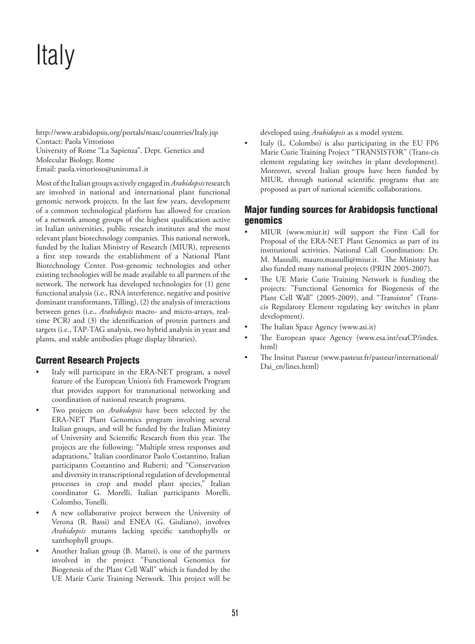# Italy

http://www.arabidopsis.org/portals/masc/countries/Italy.jsp Contact: Paola Vittorioso University of Rome "La Sapienza", Dept. Genetics and Molecular Biology, Rome Email: paola.vittorioso@uniroma1.it

Most of the Italian groups actively engaged in *Arabidopsis* research are involved in national and international plant functional genomic network projects. In the last few years, development of a common technological platform has allowed for creation of a network among groups of the highest qualification active in Italian universities, public research institutes and the most relevant plant biotechnology companies. This national network, funded by the Italian Ministry of Research (MIUR), represents a first step towards the establishment of a National Plant Biotechnology Center. Post-genomic technologies and other existing technologies will be made available to all partners of the network. The network has developed technologies for (1) gene functional analysis (i.e., RNA interference, negative and positive dominant transformants, Tilling), (2) the analysis of interactions between genes (i.e., *Arabidopsis* macro- and micro-arrays, realtime PCR) and (3) the identification of protein partners and targets (i.e., TAP-TAG analysis, two hybrid analysis in yeast and plants, and stable antibodies phage display libraries).

## Current Research Projects

- Italy will participate in the ERA-NET program, a novel feature of the European Union's 6th Framework Program that provides support for transnational networking and coordination of national research programs.
- Two projects on *Arabidopsis* have been selected by the ERA-NET Plant Genomics program involving several Italian groups, and will be funded by the Italian Ministry of University and Scientific Research from this year. The projects are the following: "Multiple stress responses and adaptations," Italian coordinator Paolo Costantino, Italian participants Costantino and Ruberti; and "Conservation and diversity in transcriptional regulation of developmental processes in crop and model plant species," Italian coordinator G. Morelli, Italian participants Morelli, Colombo, Tonelli.
- A new collaborative project between the University of Verona (R. Bassi) and ENEA (G. Giuliano), involves *Arabidopsis* mutants lacking specific xanthophylls or xanthophyll groups.
- Another Italian group (B. Mattei), is one of the partners involved in the project "Functional Genomics for Biogenesis of the Plant Cell Wall" which is funded by the UE Marie Curie Training Network. This project will be

developed using *Arabidopsis* as a model system.

Italy (L. Colombo) is also participating in the EU FP6 Marie Curie Training Project "TRANSISTOR" (Trans-cis element regulating key switches in plant development). Moreover, several Italian groups have been funded by MIUR, through national scientific programs that are proposed as part of national scientific collaborations.

## Major funding sources for Arabidopsis functional genomics

- MIUR (www.miur.it) will support the First Call for Proposal of the ERA-NET Plant Genomics as part of its institutional activities. National Call Coordination: Dr. M. Massulli, mauro.massulli@miur.it. The Ministry has also funded many national projects (PRIN 2005-2007).
- The UE Marie Curie Training Network is funding the projects: "Functional Genomics for Biogenesis of the Plant Cell Wall" (2005-2009), and "Transistor" (Transcis Regulatory Element regulating key switches in plant development).
- The Italian Space Agency (www.asi.it)
- The European space Agency (www.esa.int/esaCP/index. html)
- The Insitut Pasteur (www.pasteur.fr/pasteur/international/ Dai en/lines.html)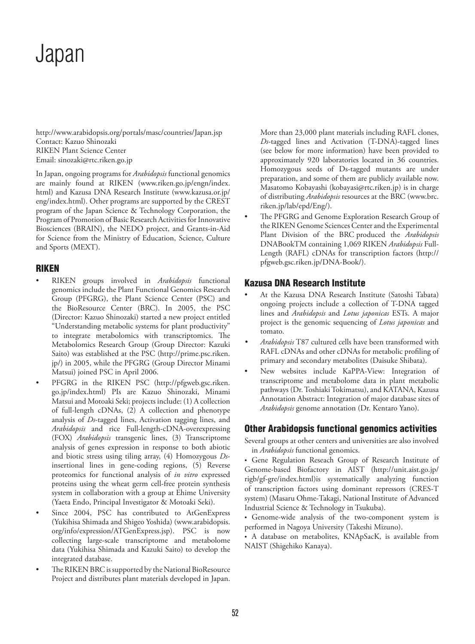# Japan

http://www.arabidopsis.org/portals/masc/countries/Japan.jsp Contact: Kazuo Shinozaki RIKEN Plant Science Center Email: sinozaki@rtc.riken.go.jp

In Japan, ongoing programs for *Arabidopsis* functional genomics are mainly found at RIKEN (www.riken.go.jp/engn/index. html) and Kazusa DNA Research Institute (www.kazusa.or.jp/ eng/index.html). Other programs are supported by the CREST program of the Japan Science & Technology Corporation, the Program of Promotion of Basic Research Activities for Innovative Biosciences (BRAIN), the NEDO project, and Grants-in-Aid for Science from the Ministry of Education, Science, Culture and Sports (MEXT).

## RIKEN

- RIKEN groups involved in *Arabidopsis* functional genomics include the Plant Functional Genomics Research Group (PFGRG), the Plant Science Center (PSC) and the BioResource Center (BRC). In 2005, the PSC (Director: Kazuo Shinozaki) started a new project entitled "Understanding metabolic systems for plant productivity" to integrate metabolomics with transcriptomics. The Metabolomics Research Group (Group Director: Kazuki Saito) was established at the PSC (http://prime.psc.riken. jp/) in 2005, while the PFGRG (Group Director Minami Matsui) joined PSC in April 2006.
- PFGRG in the RIKEN PSC (http://pfgweb.gsc.riken. go.jp/index.html) PIs are Kazuo Shinozaki, Minami Matsui and Motoaki Seki; projects include: (1) A collection of full-length cDNAs, (2) A collection and phenotype analysis of *Ds*-tagged lines, Activation tagging lines, and *Arabidopsis* and rice Full-length-cDNA-overexpressing (FOX) *Arabidopsis* transgenic lines, (3) Transcriptome analysis of genes expression in response to both abiotic and biotic stress using tiling array, (4) Homozygous *Ds*insertional lines in gene-coding regions, (5) Reverse proteomics for functional analysis of *in vitro* expressed proteins using the wheat germ cell-free protein synthesis system in collaboration with a group at Ehime University (Yaeta Endo, Principal Investigator & Motoaki Seki).
- Since 2004, PSC has contributed to AtGenExpress (Yukihisa Shimada and Shigeo Yoshida) (www.arabidopsis. org/info/expression/ATGenExpress.jsp). PSC is now collecting large-scale transcriptome and metabolome data (Yukihisa Shimada and Kazuki Saito) to develop the integrated database.
- The RIKEN BRC is supported by the National BioResource Project and distributes plant materials developed in Japan.

More than 23,000 plant materials including RAFL clones, *Ds*-tagged lines and Activation (T-DNA)-tagged lines (see below for more information) have been provided to approximately 920 laboratories located in 36 countries. Homozygous seeds of Ds-tagged mutants are under preparation, and some of them are publicly available now. Masatomo Kobayashi (kobayasi@rtc.riken.jp) is in charge of distributing *Arabidopsis* resources at the BRC (www.brc. riken.jp/lab/epd/Eng/).

The PFGRG and Genome Exploration Research Group of the RIKEN Genome Sciences Center and the Experimental Plant Division of the BRC produced the *Arabidopsis*  DNABookTM containing 1,069 RIKEN *Arabidopsis* Full-Length (RAFL) cDNAs for transcription factors (http:// pfgweb.gsc.riken.jp/DNA-Book/).

# Kazusa DNA Research Institute

- At the Kazusa DNA Research Institute (Satoshi Tabata) ongoing projects include a collection of T-DNA tagged lines and *Arabidopsis* and *Lotus japonicas* ESTs. A major project is the genomic sequencing of *Lotus japonicas* and tomato.
- *• Arabidopsis* T87 cultured cells have been transformed with RAFL cDNAs and other cDNAs for metabolic profiling of primary and secondary metabolites (Daisuke Shibata).
- New websites include KaPPA-View: Integration of transcriptome and metabolome data in plant metabolic pathways (Dr. Toshiaki Tokimatsu), and KATANA, Kazusa Annotation Abstract: Integration of major database sites of *Arabidopsis* genome annotation (Dr. Kentaro Yano).

# Other Arabidopsis functional genomics activities

Several groups at other centers and universities are also involved in *Arabidopsis* functional genomics.

• Gene Regulation Reseach Group of Research Institute of Genome-based Biofactory in AIST (http://unit.aist.go.jp/ rigb/gf-gre/index.html)is systematically analyzing function of transcription factors using dominant repressors (CRES-T system) (Masaru Ohme-Takagi, National Institute of Advanced Industrial Science & Technology in Tsukuba).

• Genome-wide analysis of the two-component system is performed in Nagoya University (Takeshi Mizuno).

• A database on metabolites, KNApSacK, is available from NAIST (Shigehiko Kanaya).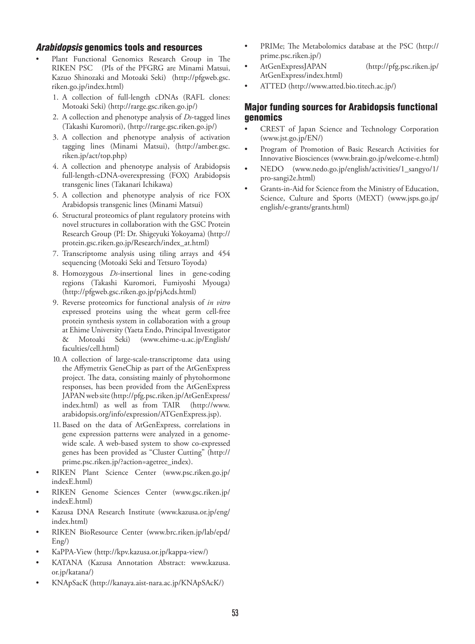## *Arabidopsis* genomics tools and resources

- Plant Functional Genomics Research Group in The RIKEN PSC (PIs of the PFGRG are Minami Matsui, Kazuo Shinozaki and Motoaki Seki) (http://pfgweb.gsc. riken.go.jp/index.html)
	- 1. A collection of full-length cDNAs (RAFL clones: Motoaki Seki) (http://rarge.gsc.riken.go.jp/)
	- 2. A collection and phenotype analysis of *Ds*-tagged lines (Takashi Kuromori), (http://rarge.gsc.riken.go.jp/)
	- 3. A collection and phenotype analysis of activation tagging lines (Minami Matsui), (http://amber.gsc. riken.jp/act/top.php)
	- 4. A collection and phenotype analysis of Arabidopsis full-length-cDNA-overexpressing (FOX) Arabidopsis transgenic lines (Takanari Ichikawa)
	- 5. A collection and phenotype analysis of rice FOX Arabidopsis transgenic lines (Minami Matsui)
	- 6. Structural proteomics of plant regulatory proteins with novel structures in collaboration with the GSC Protein Research Group (PI: Dr. Shigeyuki Yokoyama) (http:// protein.gsc.riken.go.jp/Research/index\_at.html)
	- 7. Transcriptome analysis using tiling arrays and 454 sequencing (Motoaki Seki and Tetsuro Toyoda)
	- 8. Homozygous *Ds*-insertional lines in gene-coding regions (Takashi Kuromori, Fumiyoshi Myouga) (http://pfgweb.gsc.riken.go.jp/pjAcds.html)
	- 9. Reverse proteomics for functional analysis of *in vitro* expressed proteins using the wheat germ cell-free protein synthesis system in collaboration with a group at Ehime University (Yaeta Endo, Principal Investigator & Motoaki Seki) (www.ehime-u.ac.jp/English/ faculties/cell.html)
	- 10.A collection of large-scale-transcriptome data using the Affymetrix GeneChip as part of the AtGenExpress project. The data, consisting mainly of phytohormone responses, has been provided from the AtGenExpress JAPAN web site (http://pfg.psc.riken.jp/AtGenExpress/ index.html) as well as from TAIR (http://www. arabidopsis.org/info/expression/ATGenExpress.jsp).
	- 11.Based on the data of AtGenExpress, correlations in gene expression patterns were analyzed in a genomewide scale. A web-based system to show co-expressed genes has been provided as "Cluster Cutting" (http:// prime.psc.riken.jp/?action=agetree\_index).
- RIKEN Plant Science Center (www.psc.riken.go.jp/ indexE.html)
- RIKEN Genome Sciences Center (www.gsc.riken.jp/ indexE.html)
- Kazusa DNA Research Institute (www.kazusa.or.jp/eng/ index.html)
- RIKEN BioResource Center (www.brc.riken.jp/lab/epd/ Eng/)
- KaPPA-View (http://kpv.kazusa.or.jp/kappa-view/)
- KATANA (Kazusa Annotation Abstract: www.kazusa. or.jp/katana/)
- KNApSacK (http://kanaya.aist-nara.ac.jp/KNApSAcK/)
- PRIMe; The Metabolomics database at the PSC (http:// prime.psc.riken.jp/)
- AtGenExpressJAPAN (http://pfg.psc.riken.jp/ AtGenExpress/index.html)
- ATTED (http://www.atted.bio.titech.ac.jp/)

## Major funding sources for Arabidopsis functional genomics

- CREST of Japan Science and Technology Corporation (www.jst.go.jp/EN/)
- Program of Promotion of Basic Research Activities for Innovative Biosciences (www.brain.go.jp/welcome-e.html)
- NEDO (www.nedo.go.jp/english/activities/1\_sangyo/1/ pro-sangi2e.html)
- Grants-in-Aid for Science from the Ministry of Education, Science, Culture and Sports (MEXT) (www.jsps.go.jp/ english/e-grants/grants.html)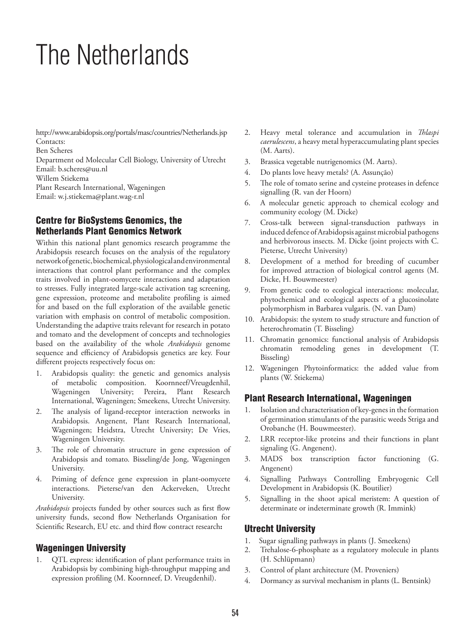# The Netherlands

http://www.arabidopsis.org/portals/masc/countries/Netherlands.jsp Contacts:

Ben Scheres

Department od Molecular Cell Biology, University of Utrecht Email: b.scheres@uu.nl

Willem Stiekema

Plant Research International, Wageningen

Email: w.j.stiekema@plant.wag-r.nl

# Centre for BioSystems Genomics, the Netherlands Plant Genomics Network

Within this national plant genomics research programme the Arabidopsis research focuses on the analysis of the regulatory network of genetic, biochemical, physiological and environmental interactions that control plant performance and the complex traits involved in plant-oomycete interactions and adaptation to stresses. Fully integrated large-scale activation tag screening, gene expression, proteome and metabolite profiling is aimed for and based on the full exploration of the available genetic variation with emphasis on control of metabolic composition. Understanding the adaptive traits relevant for research in potato and tomato and the development of concepts and technologies based on the availability of the whole *Arabidopsis* genome sequence and efficiency of Arabidopsis genetics are key. Four different projects respectively focus on:

- 1. Arabidopsis quality: the genetic and genomics analysis of metabolic composition. Koornneef/Vreugdenhil, Wageningen University; Pereira, Plant Research International, Wageningen; Smeekens, Utrecht University.
- 2. The analysis of ligand-receptor interaction networks in Arabidopsis. Angenent, Plant Research International, Wageningen; Heidstra, Utrecht University; De Vries, Wageningen University.
- 3. The role of chromatin structure in gene expression of Arabidopsis and tomato. Bisseling/de Jong, Wageningen University.
- 4. Priming of defence gene expression in plant-oomycete interactions. Pieterse/van den Ackerveken, Utrecht University.

*Arabidopsis* projects funded by other sources such as first flow university funds, second flow Netherlands Organisation for Scientific Research, EU etc. and third flow contract research**:**

# Wageningen University

1. QTL express: identification of plant performance traits in Arabidopsis by combining high-throughput mapping and expression profiling (M. Koornneef, D. Vreugdenhil).

- 2. Heavy metal tolerance and accumulation in *Thlaspi caerulescens*, a heavy metal hyperaccumulating plant species (M. Aarts).
- 3. Brassica vegetable nutrigenomics (M. Aarts).
- 4. Do plants love heavy metals? (A. Assunção)
- 5. The role of tomato serine and cysteine proteases in defence signalling (R. van der Hoorn)
- 6. A molecular genetic approach to chemical ecology and community ecology (M. Dicke)
- 7. Cross-talk between signal-transduction pathways in induced defence of Arabidopsis against microbial pathogens and herbivorous insects. M. Dicke (joint projects with C. Pieterse, Utrecht University)
- 8. Development of a method for breeding of cucumber for improved attraction of biological control agents (M. Dicke, H. Bouwmeester)
- 9. From genetic code to ecological interactions: molecular, phytochemical and ecological aspects of a glucosinolate polymorphism in Barbarea vulgaris. (N. van Dam)
- 10. Arabidopsis: the system to study structure and function of heterochromatin (T. Bisseling)
- 11. Chromatin genomics: functional analysis of Arabidopsis chromatin remodeling genes in development (T. Bisseling)
- 12. Wageningen Phytoinformatics: the added value from plants (W. Stiekema)

# Plant Research International, Wageningen

- 1. Isolation and characterisation of key-genes in the formation of germination stimulants of the parasitic weeds Striga and Orobanche (H. Bouwmeester).
- 2. LRR receptor-like proteins and their functions in plant signaling (G. Angenent).
- 3. MADS box transcription factor functioning (G. Angenent)
- 4. Signalling Pathways Controlling Embryogenic Cell Development in Arabidopsis (K. Boutilier)
- 5. Signalling in the shoot apical meristem: A question of determinate or indeterminate growth (R. Immink)

# Utrecht University

- 1. Sugar signalling pathways in plants (J. Smeekens)
- 2. Trehalose-6-phosphate as a regulatory molecule in plants (H. Schlüpmann)
- 3. Control of plant architecture (M. Proveniers)
- 4. Dormancy as survival mechanism in plants (L. Bentsink)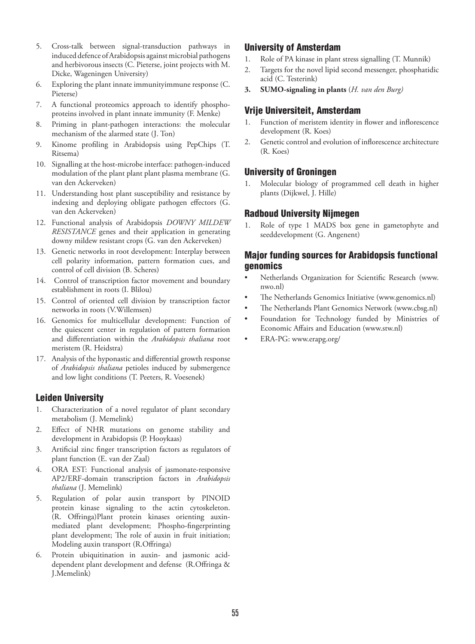- 5. Cross-talk between signal-transduction pathways in induced defence of Arabidopsis against microbial pathogens and herbivorous insects (C. Pieterse, joint projects with M. Dicke, Wageningen University)
- 6. Exploring the plant innate immunityimmune response (C. Pieterse)
- 7. A functional proteomics approach to identify phosphoproteins involved in plant innate immunity (F. Menke)
- 8. Priming in plant-pathogen interactions: the molecular mechanism of the alarmed state (J. Ton)
- 9. Kinome profiling in Arabidopsis using PepChips (T. Ritsema)
- 10. Signalling at the host-microbe interface: pathogen-induced modulation of the plant plant plant plasma membrane (G. van den Ackerveken)
- 11. Understanding host plant susceptibility and resistance by indexing and deploying obligate pathogen effectors (G. van den Ackerveken)
- 12. Functional analysis of Arabidopsis *DOWNY MILDEW RESISTANCE* genes and their application in generating downy mildew resistant crops (G. van den Ackerveken)
- 13. Genetic networks in root development: Interplay between cell polarity information, pattern formation cues, and control of cell division (B. Scheres)
- 14. Control of transcription factor movement and boundary establishment in roots (I. Blilou)
- 15. Control of oriented cell division by transcription factor networks in roots (V.Willemsen)
- 16. Genomics for multicellular development: Function of the quiescent center in regulation of pattern formation and differentiation within the *Arabidopsis thaliana* root meristem (R. Heidstra)
- 17. Analysis of the hyponastic and differential growth response of *Arabidopsis thaliana* petioles induced by submergence and low light conditions (T. Peeters, R. Voesenek)

# Leiden University

- 1. Characterization of a novel regulator of plant secondary metabolism (J. Memelink)
- 2. Effect of NHR mutations on genome stability and development in Arabidopsis (P. Hooykaas)
- 3. Artificial zinc finger transcription factors as regulators of plant function (E. van der Zaal)
- 4. ORA EST: Functional analysis of jasmonate-responsive AP2/ERF-domain transcription factors in *Arabidopsis thaliana* (J. Memelink)
- 5. Regulation of polar auxin transport by PINOID protein kinase signaling to the actin cytoskeleton. (R. Offringa)Plant protein kinases orienting auxinmediated plant development; Phospho-fingerprinting plant development; The role of auxin in fruit initiation; Modeling auxin transport (R.Offringa)
- 6. Protein ubiquitination in auxin- and jasmonic aciddependent plant development and defense (R.Offringa & J.Memelink)

# University of Amsterdam

- 1. Role of PA kinase in plant stress signalling (T. Munnik)
- 2. Targets for the novel lipid second messenger, phosphatidic acid (C. Testerink)
- **3. SUMO-signaling in plants** (*H. van den Burg)*

## Vrije Universiteit, Amsterdam

- 1. Function of meristem identity in flower and inflorescence development (R. Koes)
- 2. Genetic control and evolution of inflorescence architecture (R. Koes)

## University of Groningen

1. Molecular biology of programmed cell death in higher plants (Dijkwel, J. Hille)

## Radboud University Nijmegen

1. Role of type 1 MADS box gene in gametophyte and seeddevelopment (G. Angenent)

## Major funding sources for Arabidopsis functional genomics

- Netherlands Organization for Scientific Research (www. nwo.nl)
- The Netherlands Genomics Initiative (www.genomics.nl)
- The Netherlands Plant Genomics Network (www.cbsg.nl)
- Foundation for Technology funded by Ministries of Economic Affairs and Education (www.stw.nl)
- ERA-PG: www.erapg.org/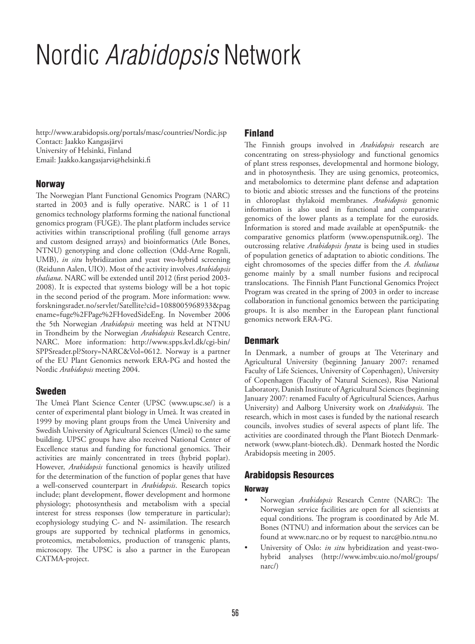# Nordic *Arabidopsis* Network

http://www.arabidopsis.org/portals/masc/countries/Nordic.jsp Contact: Jaakko Kangasjärvi University of Helsinki, Finland Email: Jaakko.kangasjarvi@helsinki.fi

## Norway

The Norwegian Plant Functional Genomics Program (NARC) started in 2003 and is fully operative. NARC is 1 of 11 genomics technology platforms forming the national functional genomics program (FUGE). The plant platform includes service activities within transcriptional profiling (full genome arrays and custom designed arrays) and bioinformatics (Atle Bones, NTNU) genotyping and clone collection (Odd-Arne Rognli, UMB), *in situ* hybridization and yeast two-hybrid screening (Reidunn Aalen, UIO). Most of the activity involves *Arabidopsis thaliana*. NARC will be extended until 2012 (first period 2003- 2008). It is expected that systems biology will be a hot topic in the second period of the program. More information: www. forskningsradet.no/servlet/Satellite?cid=1088005968933&pag ename=fuge%2FPage%2FHovedSideEng. In November 2006 the 5th Norwegian *Arabidopsis* meeting was held at NTNU in Trondheim by the Norwegian *Arabidopsis* Research Centre, NARC. More information: http://www.spps.kvl.dk/cgi-bin/ SPPSreader.pl?Story=NARC&Vol=0612. Norway is a partner of the EU Plant Genomics network ERA-PG and hosted the Nordic *Arabidopsis* meeting 2004.

## Sweden

The Umeå Plant Science Center (UPSC (www.upsc.se/) is a center of experimental plant biology in Umeå. It was created in 1999 by moving plant groups from the Umeå University and Swedish University of Agricultural Sciences (Umeå) to the same building. UPSC groups have also received National Center of Excellence status and funding for functional genomics. Their activities are mainly concentrated in trees (hybrid poplar). However, *Arabidopsis* functional genomics is heavily utilized for the determination of the function of poplar genes that have a well-conserved counterpart in *Arabidopsis*. Research topics include; plant development, flower development and hormone physiology; photosynthesis and metabolism with a special interest for stress responses (low temperature in particular); ecophysiology studying C- and N- assimilation. The research groups are supported by technical platforms in genomics, proteomics, metabolomics, production of transgenic plants, microscopy. The UPSC is also a partner in the European CATMA-project.

## Finland

The Finnish groups involved in *Arabidopsis* research are concentrating on stress-physiology and functional genomics of plant stress responses, developmental and hormone biology, and in photosynthesis. They are using genomics, proteomics, and metabolomics to determine plant defense and adaptation to biotic and abiotic stresses and the functions of the proteins in chloroplast thylakoid membranes. *Arabidopsis* genomic information is also used in functional and comparative genomics of the lower plants as a template for the eurosids. Information is stored and made available at openSputnik- the comparative genomics platform (www.opensputnik.org). The outcrossing relative *Arabidopsis lyrata* is being used in studies of population genetics of adaptation to abiotic conditions. The eight chromosomes of the species differ from the *A. thaliana* genome mainly by a small number fusions and reciprocal translocations. The Finnish Plant Functional Genomics Project Program was created in the spring of 2003 in order to increase collaboration in functional genomics between the participating groups. It is also member in the European plant functional genomics network ERA-PG.

## Denmark

In Denmark, a number of groups at The Veterinary and Agricultural University (beginning January 2007: renamed Faculty of Life Sciences, University of Copenhagen), University of Copenhagen (Faculty of Natural Sciences), Risø National Laboratory, Danish Institute of Agricultural Sciences (beginning January 2007: renamed Faculty of Agricultural Sciences, Aarhus University) and Aalborg University work on *Arabidopsis*. The research, which in most cases is funded by the national research councils, involves studies of several aspects of plant life. The activities are coordinated through the Plant Biotech Denmarknetwork (www.plant-biotech.dk). Denmark hosted the Nordic Arabidopsis meeting in 2005.

# Arabidopsis Resources

## **Norway**

- Norwegian *Arabidopsis* Research Centre (NARC): The Norwegian service facilities are open for all scientists at equal conditions. The program is coordinated by Atle M. Bones (NTNU) and information about the services can be found at www.narc.no or by request to narc@bio.ntnu.no
- University of Oslo: *in situ* hybridization and yeast-twohybrid analyses (http://www.imbv.uio.no/mol/groups/ narc/)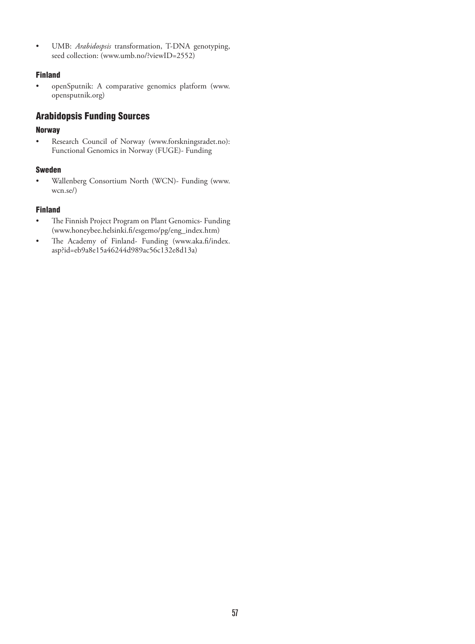• UMB: *Arabidospsis* transformation, T-DNA genotyping, seed collection: (www.umb.no/?viewID=2552)

## Finland

• openSputnik: A comparative genomics platform (www. opensputnik.org)

# Arabidopsis Funding Sources

## Norway

• Research Council of Norway (www.forskningsradet.no): Functional Genomics in Norway (FUGE)- Funding

## Sweden

• Wallenberg Consortium North (WCN)- Funding (www. wcn.se/)

## Finland

- The Finnish Project Program on Plant Genomics- Funding (www.honeybee.helsinki.fi/esgemo/pg/eng\_index.htm)
- The Academy of Finland- Funding (www.aka.fi/index. asp?id=eb9a8e15a46244d989ac56c132e8d13a)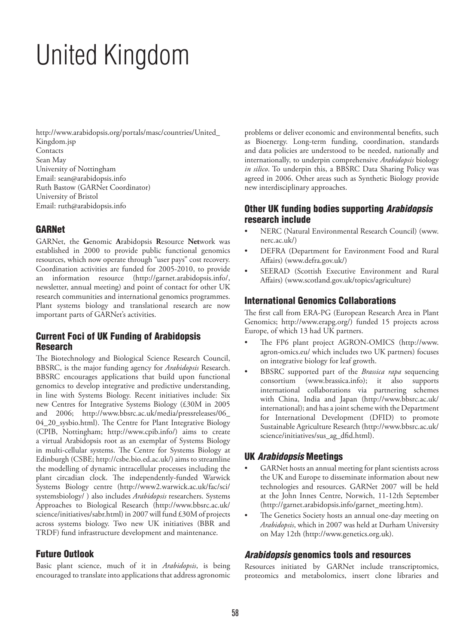# United Kingdom

http://www.arabidopsis.org/portals/masc/countries/United\_ Kingdom.jsp **Contacts** Sean May University of Nottingham Email: sean@arabidopsis.info Ruth Bastow (GARNet Coordinator) University of Bristol Email: ruth@arabidopsis.info

# GARNet

GARNet, the **G**enomic **A**rabidopsis **R**esource **Net**work was established in 2000 to provide public functional genomics resources, which now operate through "user pays" cost recovery. Coordination activities are funded for 2005-2010, to provide an information resource (http://garnet.arabidopsis.info/, newsletter, annual meeting) and point of contact for other UK research communities and international genomics programmes. Plant systems biology and translational research are now important parts of GARNet's activities.

## Current Foci of UK Funding of Arabidopsis Research

The Biotechnology and Biological Science Research Council, BBSRC, is the major funding agency for *Arabidopsis* Research. BBSRC encourages applications that build upon functional genomics to develop integrative and predictive understanding, in line with Systems Biology. Recent initiatives include: Six new Centres for Integrative Systems Biology (£30M in 2005 and 2006; http://www.bbsrc.ac.uk/media/pressreleases/06\_ 04\_20\_sysbio.html). The Centre for Plant Integrative Biology (CPIB, Nottingham; http://www.cpib.info/) aims to create a virtual Arabidopsis root as an exemplar of Systems Biology in multi-cellular systems. The Centre for Systems Biology at Edinburgh (CSBE; http://csbe.bio.ed.ac.uk/) aims to streamline the modelling of dynamic intracellular processes including the plant circadian clock. The independently-funded Warwick Systems Biology centre (http://www2.warwick.ac.uk/fac/sci/ systemsbiology/ ) also includes *Arabidopsis* researchers. Systems Approaches to Biological Research (http://www.bbsrc.ac.uk/ science/initiatives/sabr.html) in 2007 will fund £30M of projects across systems biology. Two new UK initiatives (BBR and TRDF) fund infrastructure development and maintenance.

## Future Outlook

Basic plant science, much of it in *Arabidopsis*, is being encouraged to translate into applications that address agronomic

problems or deliver economic and environmental benefits, such as Bioenergy. Long-term funding, coordination, standards and data policies are understood to be needed, nationally and internationally, to underpin comprehensive *Arabidopsis* biology *in silico*. To underpin this, a BBSRC Data Sharing Policy was agreed in 2006. Other areas such as Synthetic Biology provide new interdisciplinary approaches.

# Other UK funding bodies supporting *Arabidopsis* research include

- NERC (Natural Environmental Research Council) (www. nerc.ac.uk/)
- DEFRA (Department for Environment Food and Rural Affairs) (www.defra.gov.uk/)
- SEERAD (Scottish Executive Environment and Rural Affairs) (www.scotland.gov.uk/topics/agriculture)

## International Genomics Collaborations

The first call from ERA-PG (European Research Area in Plant Genomics; http://www.erapg.org/) funded 15 projects across Europe, of which 13 had UK partners.

- The FP6 plant project AGRON-OMICS (http://www. agron-omics.eu/ which includes two UK partners) focuses on integrative biology for leaf growth.
- BBSRC supported part of the *Brassica rapa* sequencing consortium (www.brassica.info); it also supports international collaborations via partnering schemes with China, India and Japan (http://www.bbsrc.ac.uk/ international); and has a joint scheme with the Department for International Development (DFID) to promote Sustainable Agriculture Research (http://www.bbsrc.ac.uk/ science/initiatives/sus\_ag\_dfid.html).

# UK *Arabidopsis* Meetings

- GARNet hosts an annual meeting for plant scientists across the UK and Europe to disseminate information about new technologies and resources. GARNet 2007 will be held at the John Innes Centre, Norwich, 11-12th September (http://garnet.arabidopsis.info/garnet\_meeting.htm).
- The Genetics Society hosts an annual one-day meeting on *Arabidopsis*, which in 2007 was held at Durham University on May 12th (http://www.genetics.org.uk).

# *Arabidopsis* genomics tools and resources

Resources initiated by GARNet include transcriptomics, proteomics and metabolomics, insert clone libraries and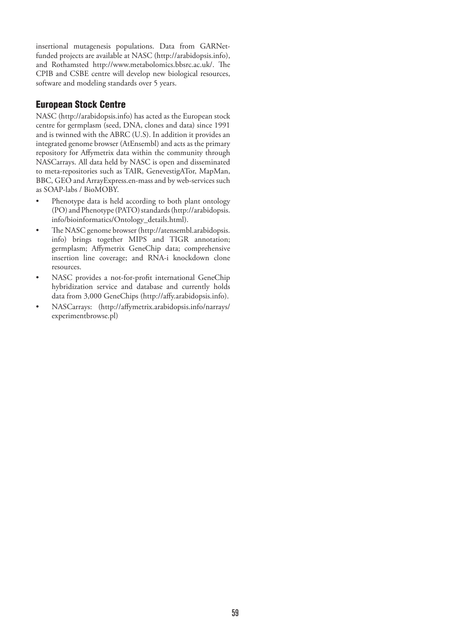insertional mutagenesis populations. Data from GARNetfunded projects are available at NASC (http://arabidopsis.info), and Rothamsted http://www.metabolomics.bbsrc.ac.uk/. The CPIB and CSBE centre will develop new biological resources, software and modeling standards over 5 years.

## European Stock Centre

NASC (http://arabidopsis.info) has acted as the European stock centre for germplasm (seed, DNA, clones and data) since 1991 and is twinned with the ABRC (U.S). In addition it provides an integrated genome browser (AtEnsembl) and acts as the primary repository for Affymetrix data within the community through NASCarrays. All data held by NASC is open and disseminated to meta-repositories such as TAIR, GenevestigATor, MapMan, BBC, GEO and ArrayExpress.en-mass and by web-services such as SOAP-labs / BioMOBY.

- Phenotype data is held according to both plant ontology (PO) and Phenotype (PATO) standards (http://arabidopsis. info/bioinformatics/Ontology\_details.html).
- The NASC genome browser (http://atensembl.arabidopsis. info) brings together MIPS and TIGR annotation; germplasm; Affymetrix GeneChip data; comprehensive insertion line coverage; and RNA-i knockdown clone resources.
- NASC provides a not-for-profit international GeneChip hybridization service and database and currently holds data from 3,000 GeneChips (http://affy.arabidopsis.info).
- NASCarrays: (http://affymetrix.arabidopsis.info/narrays/ experimentbrowse.pl)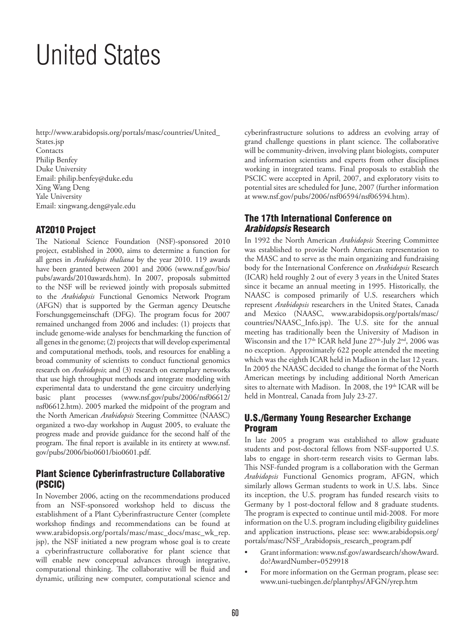# United States

http://www.arabidopsis.org/portals/masc/countries/United\_ States.jsp **Contacts** Philip Benfey Duke University Email: philip.benfey@duke.edu Xing Wang Deng Yale University Email: xingwang.deng@yale.edu

# AT2010 Project

The National Science Foundation (NSF)-sponsored 2010 project, established in 2000, aims to determine a function for all genes in *Arabidopsis thaliana* by the year 2010. 119 awards have been granted between 2001 and 2006 (www.nsf.gov/bio/ pubs/awards/2010awards.htm). In 2007, proposals submitted to the NSF will be reviewed jointly with proposals submitted to the *Arabidopsis* Functional Genomics Network Program (AFGN) that is supported by the German agency Deutsche Forschungsgemeinschaft (DFG). The program focus for 2007 remained unchanged from 2006 and includes: (1) projects that include genome-wide analyses for benchmarking the function of all genes in the genome; (2) projects that will develop experimental and computational methods, tools, and resources for enabling a broad community of scientists to conduct functional genomics research on *Arabidopsis*; and (3) research on exemplary networks that use high throughput methods and integrate modeling with experimental data to understand the gene circuitry underlying basic plant processes (www.nsf.gov/pubs/2006/nsf06612/ nsf06612.htm). 2005 marked the midpoint of the program and the North American *Arabidopsis* Steering Committee (NAASC) organized a two-day workshop in August 2005, to evaluate the progress made and provide guidance for the second half of the program. The final report is available in its entirety at www.nsf. gov/pubs/2006/bio0601/bio0601.pdf.

# Plant Science Cyberinfrastructure Collaborative (PSCIC)

In November 2006, acting on the recommendations produced from an NSF-sponsored workshop held to discuss the establishment of a Plant Cyberinfrastructure Center (complete workshop findings and recommendations can be found at www.arabidopsis.org/portals/masc/masc\_docs/masc\_wk\_rep. jsp), the NSF initiated a new program whose goal is to create a cyberinfrastructure collaborative for plant science that will enable new conceptual advances through integrative, computational thinking. The collaborative will be fluid and dynamic, utilizing new computer, computational science and

cyberinfrastructure solutions to address an evolving array of grand challenge questions in plant science. The collaborative will be community-driven, involving plant biologists, computer and information scientists and experts from other disciplines working in integrated teams. Final proposals to establish the PSCIC were accepted in April, 2007, and exploratory visits to potential sites are scheduled for June, 2007 (further information at www.nsf.gov/pubs/2006/nsf06594/nsf06594.htm).

# The 17th International Conference on *Arabidopsis* Research

In 1992 the North American *Arabidopsis* Steering Committee was established to provide North American representation to the MASC and to serve as the main organizing and fundraising body for the International Conference on *Arabidopsis* Research (ICAR) held roughly 2 out of every 3 years in the United States since it became an annual meeting in 1995. Historically, the NAASC is composed primarily of U.S. researchers which represent *Arabidopsis* researchers in the United States, Canada and Mexico (NAASC, www.arabidopsis.org/portals/masc/ countries/NAASC\_Info.jsp). The U.S. site for the annual meeting has traditionally been the University of Madison in Wisconsin and the  $17<sup>th</sup>$  ICAR held June  $27<sup>th</sup>$ -July  $2<sup>nd</sup>$ , 2006 was no exception. Approximately 622 people attended the meeting which was the eighth ICAR held in Madison in the last 12 years. In 2005 the NAASC decided to change the format of the North American meetings by including additional North American sites to alternate with Madison. In 2008, the 19th ICAR will be held in Montreal, Canada from July 23-27.

## U.S./Germany Young Researcher Exchange Program

In late 2005 a program was established to allow graduate students and post-doctoral fellows from NSF-supported U.S. labs to engage in short-term research visits to German labs. This NSF-funded program is a collaboration with the German *Arabidopsis* Functional Genomics program, AFGN, which similarly allows German students to work in U.S. labs. Since its inception, the U.S. program has funded research visits to Germany by 1 post-doctoral fellow and 8 graduate students. The program is expected to continue until mid-2008. For more information on the U.S. program including eligibility guidelines and application instructions, please see: www.arabidopsis.org/ portals/masc/NSF\_Arabidopsis\_research\_program.pdf

- Grant information: www.nsf.gov/awardsearch/showAward. do?AwardNumber=0529918
- For more information on the German program, please see: www.uni-tuebingen.de/plantphys/AFGN/yrep.htm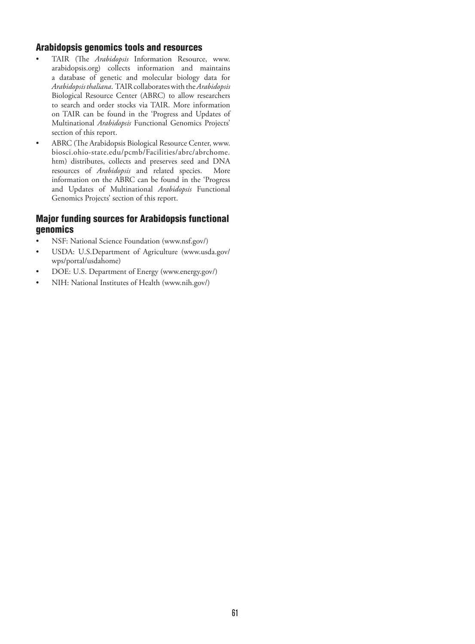## Arabidopsis genomics tools and resources

- TAIR (The *Arabidopsis* Information Resource, www. arabidopsis.org) collects information and maintains a database of genetic and molecular biology data for *Arabidopsis thaliana*. TAIR collaborates with the *Arabidopsis* Biological Resource Center (ABRC) to allow researchers to search and order stocks via TAIR. More information on TAIR can be found in the 'Progress and Updates of Multinational *Arabidopsis* Functional Genomics Projects' section of this report.
- ABRC (The Arabidopsis Biological Resource Center, www. biosci.ohio-state.edu/pcmb/Facilities/abrc/abrchome. htm) distributes, collects and preserves seed and DNA resources of *Arabidopsis* and related species. More information on the ABRC can be found in the 'Progress and Updates of Multinational *Arabidopsis* Functional Genomics Projects' section of this report.

# Major funding sources for Arabidopsis functional genomics

- NSF: National Science Foundation (www.nsf.gov/)
- USDA: U.S.Department of Agriculture (www.usda.gov/ wps/portal/usdahome)
- DOE: U.S. Department of Energy (www.energy.gov/)
- NIH: National Institutes of Health (www.nih.gov/)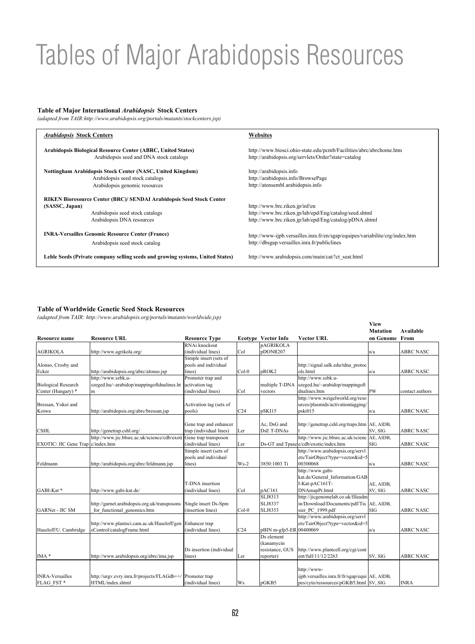# Tables of Major Arabidopsis Resources

#### **Table of Major International** *Arabidopsis* **Stock Centers**

*(adapted from TAIR:http://www.arabidopsis.org/portals/mutants/stockcenters.jsp)*

| <b>Arabidopsis Stock Centers</b>                                                                                                                              | Websites                                                                                                                                           |
|---------------------------------------------------------------------------------------------------------------------------------------------------------------|----------------------------------------------------------------------------------------------------------------------------------------------------|
| Arabidopsis Biological Resource Center (ABRC, United States)                                                                                                  | http://www.biosci.ohio-state.edu/pcmb/Facilities/abrc/abrchome.htm                                                                                 |
| Arabidopsis seed and DNA stock catalogs                                                                                                                       | http://arabidopsis.org/servlets/Order?state=catalog                                                                                                |
| Nottingham Arabidopsis Stock Center (NASC, United Kingdom)                                                                                                    | http://arabidopsis.info                                                                                                                            |
| Arabidopsis seed stock catalogs                                                                                                                               | http://arabidopsis.info/BrowsePage                                                                                                                 |
| Arabidopsis genomic resources                                                                                                                                 | http://atensembl.arabidopsis.info                                                                                                                  |
| <b>RIKEN Bioresource Center (BRC)/ SENDAI Arabidopsis Seed Stock Center</b><br>(SASSC, Japan)<br>Arabidopsis seed stock catalogs<br>Arabidopsis DNA resources | http://www.brc.riken.jp/inf/en<br>http://www.brc.riken.jp/lab/epd/Eng/catalog/seed.shtml<br>http://www.brc.riken.jp/lab/epd/Eng/catalog/pDNA.shtml |
| <b>INRA-Versailles Genomic Resource Center (France)</b>                                                                                                       | http://www-ijpb.versailles.inra.fr/en/sgap/equipes/variabilite/crg/index.htm                                                                       |
| Arabidopsis seed stock catalog                                                                                                                                | http://dbsgap.versailles.inra.fr/publiclines                                                                                                       |
| Lehle Seeds (Private company selling seeds and growing systems, United States)                                                                                | http://www.arabidopsis.com/main/cat/!ct seat.html                                                                                                  |

#### **Table of Worldwide Genetic Seed Stock Resources**

*(adapted from TAIR: http://www.arabidopsis.org/portals/mutants/worldwide.jsp)*

|                                     |                                                           |                          |                 |                            |                                                | <b>View</b>     |                  |
|-------------------------------------|-----------------------------------------------------------|--------------------------|-----------------|----------------------------|------------------------------------------------|-----------------|------------------|
|                                     |                                                           |                          |                 |                            |                                                | <b>Mutation</b> | <b>Available</b> |
| <b>Resource name</b>                | <b>Resource URL</b>                                       | <b>Resource Type</b>     |                 | <b>Ecotype Vector Info</b> | <b>Vector URL</b>                              | on Genome From  |                  |
|                                     |                                                           | RNAi knockout            |                 | <b>pAGRIKOLA</b>           |                                                |                 |                  |
| <b>AGRIKOLA</b>                     | http://www.agrikola.org/                                  | (individual lines)       | Col             | pDONR207                   |                                                | n/a             | <b>ABRC NASC</b> |
|                                     |                                                           | Simple insert (sets of   |                 |                            |                                                |                 |                  |
| Alonso, Crosby and                  |                                                           | pools and individual     |                 |                            | http://signal.salk.edu/tdna protoc             |                 |                  |
| Ecker                               | http://arabidopsis.org/abrc/alonso.jsp                    | lines)                   | $Col-0$         | pROK2                      | ols.html                                       | n/a             | <b>ABRC NASC</b> |
|                                     | http://www.szbk.u-                                        | Promoter trap and        |                 |                            | http://www.szbk.u-                             |                 |                  |
| <b>Biological Research</b>          | szeged.hu/~arabidop/mappingoftdnalines.ht                 | activation tag           |                 | multiple T-DNA             | szeged.hu/~arabidop/mappingoft                 |                 |                  |
| Center (Hungary) *                  | m                                                         | (individual lines)       | Col             | vectors                    | dnalines.htm                                   | pw              | contact authors  |
|                                     |                                                           |                          |                 |                            | http://www.weigelworld.org/reso                |                 |                  |
| Bressan, Yokoi and                  |                                                           | Activation tag (sets of  |                 |                            | urces/plasmids/activationtagging/              |                 |                  |
| Koiwa                               | http://arabidopsis.org/abrc/bressan.jsp                   | pools)                   | C <sub>24</sub> | pSKI15                     | pski015                                        | n/a             | <b>ABRC NASC</b> |
|                                     |                                                           |                          |                 |                            |                                                |                 |                  |
|                                     |                                                           | Gene trap and enhancer   |                 | Ac, DsG and                | http://genetrap.cshl.org/traps.htm AE, AIDB,   |                 |                  |
| <b>CSHL</b>                         | http://genetrap.cshl.org/                                 | trap (individual lines)  | Ler             | DsE T-DNAs                 |                                                | SV, SIG         | <b>ABRC NASC</b> |
|                                     | http://www.jic.bbsrc.ac.uk/science/cdb/exoti              | Gene trap transposon     |                 |                            | http://www.jic.bbsrc.ac.uk/scienc AE, AIDB,    |                 |                  |
| EXOTIC/ JIC Gene Trap   c/index.htm |                                                           | (individual lines)       | Ler             |                            | Ds-GT and Tpasele/cdb/exotic/index.htm         | SIG             | <b>ABRC NASC</b> |
|                                     |                                                           | Simple insert (sets of   |                 |                            | http://www.arabidopsis.org/servl               |                 |                  |
|                                     |                                                           | pools and individual     |                 |                            | ets/TairObject?type=vector&id=5                |                 |                  |
| Feldmann                            | http://arabidopsis.org/abrc/feldmann.jsp                  | lines)                   | $Ws-2$          | 3850:1003 Ti               | 00300068                                       | n/a             | <b>ABRC NASC</b> |
|                                     |                                                           |                          |                 |                            | http://www.gabi-                               |                 |                  |
|                                     |                                                           |                          |                 |                            | kat.de/General Information/GAB                 |                 |                  |
|                                     |                                                           | T-DNA insertion          |                 |                            | I-Kat-pAC161T-                                 | AE, AIDB,       |                  |
| GABI-Kat*                           | http://www.gabi-kat.de/                                   | (individual lines)       | Col             | pAC161                     | DNAmapPr.html                                  | SV, SIG         | <b>ABRC NASC</b> |
|                                     |                                                           |                          |                 | SLJ8313                    | http://jicgenomelab.co.uk/fileadm              |                 |                  |
|                                     | http://garnet.arabidopsis.org.uk/transposons              | Single insert Ds-Spm     |                 | SLJ8337                    | in/Download/Documents/pdf/Tis                  | AE, AIDB,       |                  |
| <b>GARNet - JIC SM</b>              | for functional genomics.htm                               | (insertion lines)        | $Col-0$         | SLJ8353                    | sier PC 1999.pdf                               | SIG             | <b>ABRC NASC</b> |
|                                     |                                                           |                          |                 |                            | http://www.arabidopsis.org/servl               |                 |                  |
|                                     | http://www.plantsci.cam.ac.uk/Haseloff/gen Enhancer trap  |                          |                 |                            | ets/TairObject?type=vector&id=5                |                 |                  |
| Haseloff/U. Cambridge               | eControl/catalogFrame.html                                | (individual lines)       | C <sub>24</sub> | pBIN m-gfp5-ER 00400069    |                                                | n/a             | <b>ABRC NASC</b> |
|                                     |                                                           |                          |                 | Ds element                 |                                                |                 |                  |
|                                     |                                                           |                          |                 | (kanamycin                 |                                                |                 |                  |
|                                     |                                                           | Ds insertion (individual |                 | resistance, GUS            | http://www.plantcell.org/cgi/cont              |                 |                  |
| $IMA*$                              | http://www.arabidopsis.org/abrc/ima.jsp                   | lines)                   | Ler             | reporter)                  | ent/full/11/12/2263                            | SV, SIG         | <b>ABRC NASC</b> |
|                                     |                                                           |                          |                 |                            |                                                |                 |                  |
|                                     |                                                           |                          |                 |                            | http://www-                                    |                 |                  |
| <b>INRA-Versailles</b>              | http://urgv.evry.inra.fr/projects/FLAGdb++/ Promoter trap |                          |                 |                            | ijpb.versailles.inra.fr/fr/sgap/equi AE, AIDB, |                 |                  |
| FLAG FST*                           | HTML/index.shtml                                          | (individual lines)       | Ws              | pGKB5                      | pes/cyto/ressources/pGKB5.html SV, SIG         |                 | <b>INRA</b>      |
|                                     |                                                           |                          |                 |                            |                                                |                 |                  |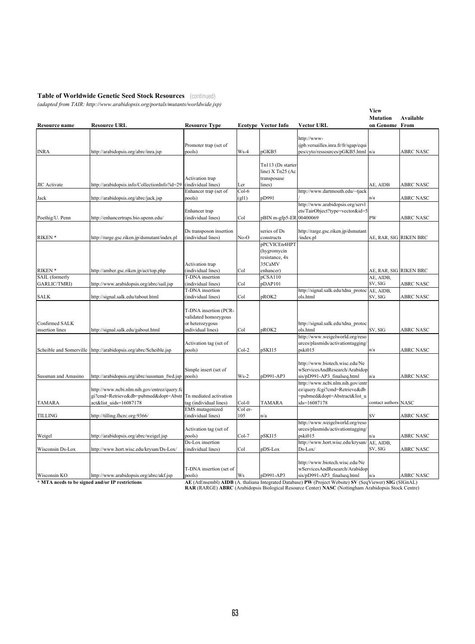#### **Table of Worldwide Genetic Seed Stock Resources**  (continued)

*(adapted from TAIR: http://www.arabidopsis.org/portals/mutants/worldwide.jsp)*

| Resource name                          | <b>Resource URL</b>                                                                                           | <b>Resource Type</b>                                                                  |                | <b>Ecotype Vector Info</b>                                           | <b>Vector URL</b>                                                                                                 | <b>View</b><br><b>Mutation</b><br>on Genome From | Available        |
|----------------------------------------|---------------------------------------------------------------------------------------------------------------|---------------------------------------------------------------------------------------|----------------|----------------------------------------------------------------------|-------------------------------------------------------------------------------------------------------------------|--------------------------------------------------|------------------|
| <b>INRA</b>                            | http://arabidopsis.org/abrc/inra.jsp                                                                          | Promoter trap (set of<br>pools)                                                       | $Ws-4$         | pGKB5                                                                | http://www-<br>ijpb.versailles.inra.fr/fr/sgap/equi<br>pes/cyto/ressources/pGKB5.html  n/a                        |                                                  | ABRC NASC        |
| <b>JIC</b> Activate                    | http://arabidopsis.info/CollectionInfo?id=29                                                                  | Activation trap<br>(individual lines)<br>Enhancer trap (set of                        | Ler<br>Col-6   | Tn113 (Ds starter<br>line) X Tn25 (Ac<br>transposase<br>lines)       | http://www.dartmouth.edu/~tjack                                                                                   | AE, AIDB                                         | <b>ABRC NASC</b> |
| Jack                                   | http://arabidopsis.org/abrc/jack.jsp                                                                          | pools)                                                                                | (g 1)          | pD991                                                                |                                                                                                                   | n/a                                              | ABRC NASC        |
| Poethig/U. Penn                        | http://enhancertraps.bio.upenn.edu/                                                                           | Enhancer trap<br>(individual lines)                                                   | Col            | pBIN m-gfp5-ER 00400069                                              | http://www.arabidopsis.org/servl<br>ets/TairObject?type=vector&id=5                                               | PW                                               | <b>ABRC NASC</b> |
| RIKEN <sup>*</sup>                     | http://rarge.gsc.riken.jp/dsmutant/index.pl                                                                   | Ds transposon insertion<br>(individual lines)                                         | No-O           | series of Ds<br>constructs                                           | http://rarge.gsc.riken.jp/dsmutant<br>index.pl                                                                    | AE, RAR, SIG  RIKEN BRC                          |                  |
| RIKEN <sup>*</sup>                     | http://amber.gsc.riken.jp/act/top.php                                                                         | Activation trap<br>(individual lines)                                                 | Col            | pPCVICEn4HPT<br>(hygromycin<br>resistance, 4x<br>35CaMV<br>enhancer) |                                                                                                                   | AE, RAR, SIG RIKEN BRC                           |                  |
| SAIL (formerly<br><b>GARLIC/TMRI</b> ) | http://www.arabidopsis.org/abrc/sail.jsp                                                                      | T-DNA insertion<br>(individual lines)                                                 | Col            | pCSA110<br>pDAP101                                                   |                                                                                                                   | AE, AIDB,<br>SV, SIG                             | <b>ABRC NASC</b> |
|                                        |                                                                                                               | T-DNA insertion                                                                       |                |                                                                      | http://signal.salk.edu/tdna protoc                                                                                | AE, AIDB,                                        |                  |
| <b>SALK</b>                            | http://signal.salk.edu/tabout.html                                                                            | (individual lines)                                                                    | Col            | pROK2                                                                | ols.html                                                                                                          | SV, SIG                                          | <b>ABRC NASC</b> |
| Confirmed SALK<br>insertion lines      | http://signal.salk.edu/gabout.html                                                                            | T-DNA insertion (PCR-<br>validated homozygous<br>or heterozygous<br>individual lines) | Col            | pROK2                                                                | http://signal.salk.edu/tdna protoc<br>ols.html                                                                    | SV, SIG                                          | <b>ABRC NASC</b> |
|                                        | Scheible and Somerville   http://arabidopsis.org/abrc/Scheible.jsp                                            | Activation tag (set of<br>pools)                                                      | $Col-2$        | pSKI15                                                               | http://www.weigelworld.org/reso<br>urces/plasmids/activationtagging/<br>pski015                                   | n/a                                              | <b>ABRC NASC</b> |
| Sussman and Amasino                    | http://arabidopsis.org/abrc/sussman fwd.jsp pools)                                                            | Simple insert (set of                                                                 | $Ws-2$         | pD991-AP3                                                            | http://www.biotech.wisc.edu/Ne<br>wServicesAndResearch/Arabidop<br>sis/pD991-AP3 finalseq.html                    | n/a                                              | ABRC NASC        |
| <b>TAMARA</b>                          | http://www.ncbi.nlm.nih.gov/entrez/query.fc<br>gi?cmd=Retrieve&db=pubmed&dopt=Abstr<br>act&list uids=16087178 | Tn mediated activation<br>tag (individual lines)                                      | $Col-0$        | <b>TAMARA</b>                                                        | http://www.ncbi.nlm.nih.gov/entr<br>ez/query.fcgi?cmd=Retrieve&db<br>=pubmed&dopt=Abstract&list u<br>ids=16087178 | contact authors NASC                             |                  |
| <b>TILLING</b>                         | http://tilling.fhcrc.org:9366/                                                                                | <b>EMS</b> mutagenized<br>(individual lines)                                          | Col er-<br>105 | n/a                                                                  |                                                                                                                   | SV                                               | <b>ABRC NASC</b> |
| Weigel                                 | http://arabidopsis.org/abrc/weigel.jsp                                                                        | Activation tag (set of<br>pools)                                                      | Col-7          | pSKI15                                                               | http://www.weigelworld.org/reso<br>urces/plasmids/activationtagging/<br>pski015                                   | n/a                                              | <b>ABRC NASC</b> |
| Wisconsin Ds-Lox                       | http://www.hort.wisc.edu/krysan/Ds-Lox/                                                                       | Ds-Lox insertion<br>(individual lines)                                                | Col            | pDS-Lox                                                              | http://www.hort.wisc.edu/krysan/<br>Ds-Lox/                                                                       | AE, AIDB,<br>SV, SIG                             | <b>ABRC NASC</b> |
| Wisconsin KO                           | http://www.arabidopsis.org/abrc/akf.jsp                                                                       | T-DNA insertion (set of<br>pools)                                                     | Ws             | pD991-AP3                                                            | http://www.biotech.wisc.edu/Ne<br>wServicesAndResearch/Arabidop<br>sis/pD991-AP3 finalseq.html                    | n/a                                              | <b>ABRC NASC</b> |
|                                        |                                                                                                               |                                                                                       |                |                                                                      |                                                                                                                   |                                                  |                  |

\* MTA needs to be signed and/or IP restrictions <br>RAR (RARGE) ABRC (Arabidopsis Biological Resource Center) NASC (Nottingham Arabidopsis Stock Centre)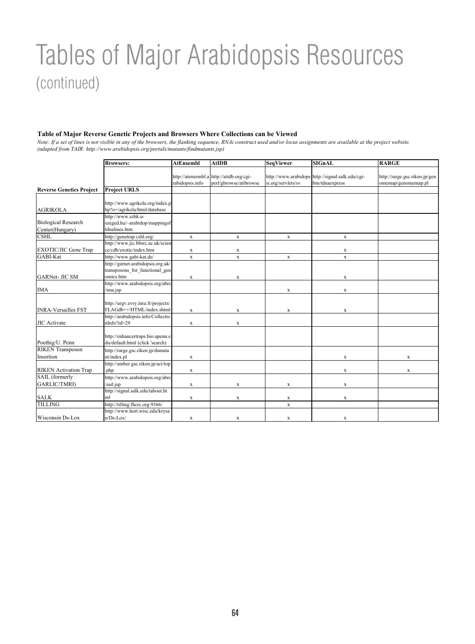# Tables of Major Arabidopsis Resources (continued)

#### **Table of Major Reverse Genetic Projects and Browsers Where Collections can be Viewed**

*Note: If a set of lines is not visible in any of the browsers, the flanking sequence, RNAi construct used and/or locus assignments are available at the project website. (adapted from TAIR: http://www.arabidopsis.org/portals/mutants/findmutants.jsp)*

|                                 | <b>Browsers:</b>                   | <b>AtEnsembl</b> | <b>AtIDB</b>                             | <b>SeqViewer</b>   | <b>SIGnAL</b>                                    | <b>RARGE</b>                  |
|---------------------------------|------------------------------------|------------------|------------------------------------------|--------------------|--------------------------------------------------|-------------------------------|
|                                 |                                    |                  |                                          |                    |                                                  |                               |
|                                 |                                    |                  | http://atensembl.a http://atidb.org/cgi- |                    | http://www.arabidops http://signal.salk.edu/cgi- | http://rarge.gsc.riken.jp/gen |
|                                 |                                    | rabidopsis.info  | perl/gbrowse/atibrowse                   | is.org/servlets/sv | bin/tdnaexpress                                  | omemap/genomemap.pl           |
| <b>Reverse Genetics Project</b> | <b>Project URLS</b>                |                  |                                          |                    |                                                  |                               |
|                                 |                                    |                  |                                          |                    |                                                  |                               |
|                                 | http://www.agrikola.org/index.p    |                  |                                          |                    |                                                  |                               |
| <b>AGRIKOLA</b>                 | hp?o=/agrikola/html/database       |                  |                                          |                    |                                                  |                               |
|                                 | http://www.szbk.u-                 |                  |                                          |                    |                                                  |                               |
| <b>Biological Research</b>      | szeged.hu/~arabidop/mappingof      |                  |                                          |                    |                                                  |                               |
| Center(Hungary)                 | tdnalines.htm                      |                  |                                          |                    |                                                  |                               |
| <b>CSHL</b>                     | http://genetrap.cshl.org/          | $\mathbf x$      | $\mathbf X$                              | $\mathbf x$        | $\mathbf X$                                      |                               |
|                                 | http://www.jic.bbsrc.ac.uk/scien   |                  |                                          |                    |                                                  |                               |
| <b>EXOTIC/JIC Gene Trap</b>     | ce/cdb/exotic/index.htm            | X                | $\mathbf X$                              |                    | $\mathbf x$                                      |                               |
| GABI-Kat                        | http://www.gabi-kat.de/            | $\mathbf x$      | $\mathbf x$                              | $\mathbf X$        | $\mathbf x$                                      |                               |
|                                 | http://garnet.arabidopsis.org.uk/  |                  |                                          |                    |                                                  |                               |
|                                 | transposons for functional gen     |                  |                                          |                    |                                                  |                               |
| <b>GARNet- JIC SM</b>           | omics.htm                          | X                | $\mathbf X$                              |                    | X                                                |                               |
|                                 | http://www.arabidopsis.org/abrc    |                  |                                          |                    |                                                  |                               |
| <b>IMA</b>                      | /ima.jsp                           |                  |                                          | $\mathbf X$        | $\mathbf X$                                      |                               |
|                                 |                                    |                  |                                          |                    |                                                  |                               |
|                                 | http://urgv.evry.inra.fr/projects/ |                  |                                          |                    |                                                  |                               |
| <b>INRA-Versailles FST</b>      | FLAGdb++/HTML/index.shtml          | X                | X                                        | X                  | $\mathbf x$                                      |                               |
|                                 | http://arabidopsis.info/Collectio  |                  |                                          |                    |                                                  |                               |
| <b>JIC</b> Activate             | nInfo?id=29                        | X                | $\mathbf X$                              |                    |                                                  |                               |
|                                 |                                    |                  |                                          |                    |                                                  |                               |
|                                 | http://enhancertraps.bio.upenn.e   |                  |                                          |                    |                                                  |                               |
| Poethig/U. Penn                 | du/default.html (click 'search)    |                  |                                          |                    |                                                  |                               |
| <b>RIKEN Transposon</b>         | http://rarge.gsc.riken.jp/dsmuta   |                  |                                          |                    |                                                  |                               |
| Insertion                       | nt/index.pl                        | X                |                                          |                    | X                                                | X                             |
|                                 | http://amber.gsc.riken.jp/act/top  |                  |                                          |                    |                                                  |                               |
| <b>RIKEN</b> Activation Trap    | .php                               | X                |                                          |                    | X                                                | $\mathbf x$                   |
| SAIL (formerly                  | http://www.arabidopsis.org/abrc    |                  |                                          |                    |                                                  |                               |
| GARLIC/TMRI)                    | /sail.jsp                          | X                | $\mathbf x$                              | $\mathbf x$        | $\mathbf x$                                      |                               |
|                                 | http://signal.salk.edu/tabout.ht   |                  |                                          |                    |                                                  |                               |
| <b>SALK</b>                     | ml                                 | X                | $\mathbf x$                              | $\mathbf x$        | $\mathbf x$                                      |                               |
| <b>TILLING</b>                  | http://tilling.fhcrc.org:9366/     |                  |                                          | $\mathbf x$        |                                                  |                               |
|                                 | http://www.hort.wisc.edu/krysa     |                  |                                          |                    |                                                  |                               |
| Wisconsin Ds-Lox                | $n/Ds$ -Lox/                       | X                | $\mathbf X$                              | $\mathbf x$        | X                                                |                               |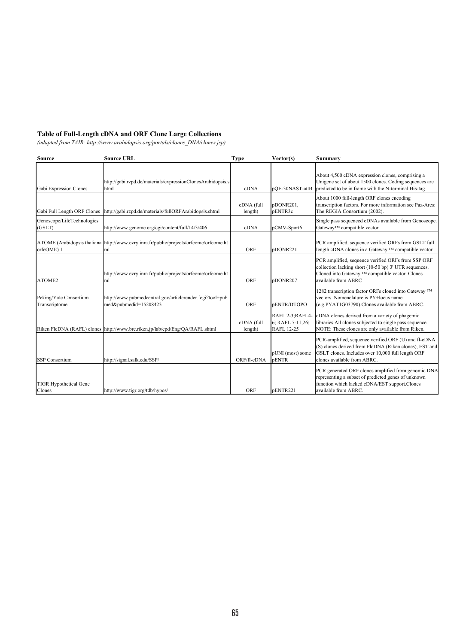### **Table of Full-Length cDNA and ORF Clone Large Collections**

*(adapted from TAIR: http://www.arabidopsis.org/portals/clones\_DNA/clones.jsp)*

| <b>Source</b>                           | <b>Source URL</b>                                                                            | Type                  | Vector(s)                                                 | <b>Summary</b>                                                                                                                                                                                     |
|-----------------------------------------|----------------------------------------------------------------------------------------------|-----------------------|-----------------------------------------------------------|----------------------------------------------------------------------------------------------------------------------------------------------------------------------------------------------------|
| Gabi Expression Clones                  | http://gabi.rzpd.de/materials/expressionClonesArabidopsis.s<br>html                          | cDNA                  | pQE-30NAST-attB                                           | About 4,500 cDNA expression clones, comprising a<br>Unigene set of about 1500 clones. Coding sequences are<br>predicted to be in frame with the N-terminal His-tag.                                |
| Gabi Full Length ORF Clones             | http://gabi.rzpd.de/materials/fullORFArabidopsis.shtml                                       | cDNA (full<br>length) | pDONR201,<br>pENTR3c                                      | About 1000 full-length ORF clones encoding<br>transcription factors. For more information see Paz-Ares:<br>The REGIA Consortium (2002).                                                            |
| Genoscope/LifeTechnologies<br>(GSLT)    | http://www.genome.org/cgi/content/full/14/3/406                                              | cDNA                  | pCMV-Sport6                                               | Single pass sequenced cDNAs available from Genoscope.<br>Gateway™ compatible vector.                                                                                                               |
| orfeOME) 1                              | ATOME (Arabidopsis thaliana http://www.evry.inra.fr/public/projects/orfeome/orfeome.ht<br>ml | ORF                   | pDONR221                                                  | PCR amplified, sequence verified ORFs from GSLT full<br>length cDNA clones in a Gateway ™ compatible vector.                                                                                       |
| ATOME2                                  | http://www.evry.inra.fr/public/projects/orfeome/orfeome.ht<br>ml                             | ORF                   | pDONR207                                                  | PCR amplified, sequence verified ORFs from SSP ORF<br>collection lacking short (10-50 bp) 3' UTR sequences.<br>Cloned into Gateway ™ compatible vector. Clones<br>available from ABRC              |
| Peking/Yale Consortium<br>Transcriptome | http://www.pubmedcentral.gov/articlerender.fcgi?tool=pub<br>med&pubmedid=15208423            | ORF                   | pENTR/DTOPO                                               | 1282 transcription factor ORFs cloned into Gateway ™<br>vectors. Nomenclature is PY+locus name<br>(e.g.PYAT1G03790).Clones available from ABRC.                                                    |
|                                         | Riken FlcDNA (RAFL) clones http://www.brc.riken.jp/lab/epd/Eng/QA/RAFL.shtml                 | cDNA (full<br>length) | RAFL 2-3; RAFL4-<br>6; RAFL 7-11,26;<br><b>RAFL 12-25</b> | cDNA clones derived from a variety of phagemid<br>libraries. All clones subjected to single pass sequence.<br>NOTE: These clones are only available from Riken.                                    |
| <b>SSP</b> Consortium                   | http://signal.salk.edu/SSP/                                                                  | ORF/fl-cDNA           | pUNI (most) some<br>pENTR                                 | PCR-amplified, sequence verified ORF (U) and fl-cDNA<br>(S) clones derived from FlcDNA (Riken clones), EST and<br>GSLT clones. Includes over 10,000 full length ORF<br>clones available from ABRC. |
| <b>TIGR Hypothetical Gene</b><br>Clones | http://www.tigr.org/tdb/hypos/                                                               | <b>ORF</b>            | pENTR221                                                  | PCR generated ORF clones amplified from genomic DNA<br>representing a subset of predicted genes of unknown<br>function which lacked cDNA/EST support.Clones<br>available from ABRC.                |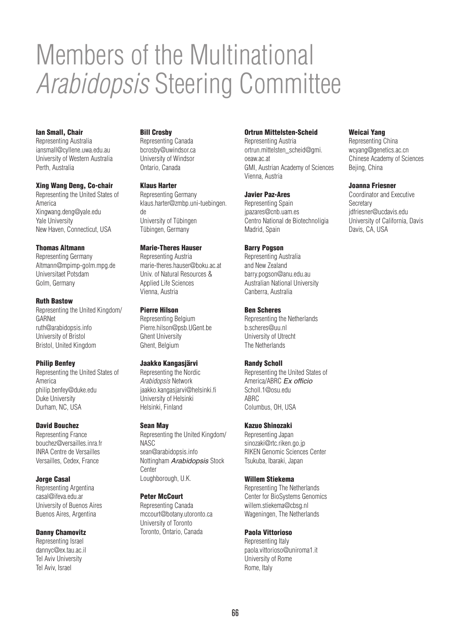# Members of the Multinational *Arabidopsis* Steering Committee

## Ian Small, Chair

Representing Australia iansmall@cyllene.uwa.edu.au University of Western Australia Perth, Australia

#### Xing Wang Deng, Co-chair

Representing the United States of America Xingwang.deng@yale.edu Yale University New Haven, Connecticut, USA

#### Thomas Altmann

Representing Germany Altmann@mpimp-golm.mpg.de Universitaet Potsdam Golm, Germany

#### Ruth Bastow

Representing the United Kingdom/ GARNet ruth@arabidopsis.info University of Bristol Bristol, United Kingdom

#### Philip Benfey

Representing the United States of America philip.benfey@duke.edu Duke University Durham, NC, USA

#### David Bouchez

Representing France bouchez@versailles.inra.fr INRA Centre de Versailles Versailles, Cedex, France

#### Jorge Casal

Representing Argentina casal@ifeva.edu.ar University of Buenos Aires Buenos Aires, Argentina

### Danny Chamovitz

Representing Israel dannyc@ex.tau.ac.il Tel Aviv University Tel Aviv, Israel

### Bill Crosby

Representing Canada bcrosby@uwindsor.ca University of Windsor Ontario, Canada

### Klaus Harter

Representing Germany klaus.harter@zmbp.uni-tuebingen. de University of Tübingen Tübingen, Germany

### Marie-Theres Hauser

Representing Austria marie-theres.hauser@boku.ac.at Univ. of Natural Resources & Applied Life Sciences Vienna, Austria

#### Pierre Hilson

Representing Belgium Pierre.hilson@psb.UGent.be Ghent University Ghent, Belgium

## Jaakko Kangasjärvi

Representing the Nordic *Arabidopsis* Network jaakko.kangasjarvi@helsinki.fi University of Helsinki Helsinki, Finland

#### Sean May

Representing the United Kingdom/ NASC sean@arabidopsis.info Nottingham *Arabidopsis* Stock Center Loughborough, U.K.

#### Peter McCourt

Representing Canada mccourt@botany.utoronto.ca University of Toronto Toronto, Ontario, Canada

#### Ortrun Mittelsten-Scheid

Weicai Yang Representing China wcyang@genetics.ac.cn Chinese Academy of Sciences

Beiing, China

**Secretary** 

Joanna Friesner Coordinator and Executive

Davis, CA, USA

jdfriesner@ucdavis.edu University of California, Davis

Representing Austria ortrun.mittelsten\_scheid@gmi. oeaw.ac.at GMI, Austrian Academy of Sciences Vienna, Austria

#### Javier Paz-Ares

Representing Spain jpazares@cnb.uam.es Centro National de Biotechnoligia Madrid, Spain

## Barry Pogson

Representing Australia and New Zealand barry.pogson@anu.edu.au Australian National University Canberra, Australia

### Ben Scheres

Representing the Netherlands b.scheres@uu.nl University of Utrecht The Netherlands

## Randy Scholl

Representing the United States of America/ABRC *Ex officio* Scholl.1@osu.edu ABRC Columbus, OH, USA

#### Kazuo Shinozaki

Representing Japan sinozaki@rtc.riken.go.jp RIKEN Genomic Sciences Center Tsukuba, Ibaraki, Japan

#### Willem Stiekema

Representing The Netherlands Center for BioSystems Genomics willem.stiekema@cbsg.nl Wageningen, The Netherlands

### Paola Vittorioso

Representing Italy paola.vittorioso@uniroma1.it University of Rome Rome, Italy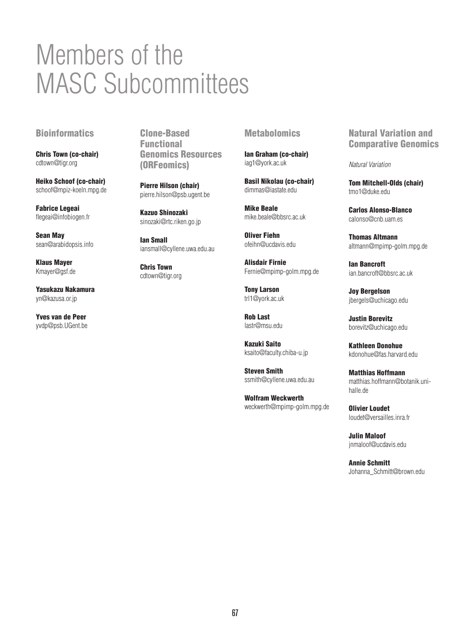# Members of the MASC Subcommittees

# **Bioinformatics**

Chris Town (co-chair) cdtown@tigr.org

Heiko Schoof (co-chair) schoof@mpiz-koeln.mpg.de

Fabrice Legeai flegeai@infobiogen.fr

Sean May sean@arabidopsis.info

Klaus Mayer Kmayer@gsf.de

Yasukazu Nakamura yn@kazusa.or.jp

Yves van de Peer yvdp@psb.UGent.be

Clone-Based Functional Genomics Resources (ORFeomics)

Pierre Hilson (chair) pierre.hilson@psb.ugent.be

Kazuo Shinozaki sinozaki@rtc.riken.go.jp

Ian Small iansmall@cyllene.uwa.edu.au

Chris Town cdtown@tigr.org

## **Metabolomics**

Ian Graham (co-chair) iag1@york.ac.uk

Basil Nikolau (co-chair) dimmas@iastate.edu

Mike Beale mike.beale@bbsrc.ac.uk

Oliver Fiehn ofeihn@ucdavis.edu

Alisdair Firnie Fernie@mpimp-golm.mpg.de

Tony Larson trl1@york.ac.uk

Rob Last lastr@msu.edu

Kazuki Saito ksaito@faculty.chiba-u.jp

Steven Smith ssmith@cyllene.uwa.edu.au

Wolfram Weckwerth weckwerth@mpimp-golm.mpg.de Natural Variation and Comparative Genomics

*Natural Variation*

Tom Mitchell-Olds (chair) tmo1@duke.edu

Carlos Alonso-Blanco calonso@cnb.uam.es

Thomas Altmann altmann@mpimp-golm.mpg.de

Ian Bancroft ian.bancroft@bbsrc.ac.uk

Joy Bergelson jbergels@uchicago.edu

Justin Borevitz borevitz@uchicago.edu

Kathleen Donohue kdonohue@fas.harvard.edu

Matthias Hoffmann matthias.hoffmann@botanik.unihalle.de

Olivier Loudet loudet@versailles.inra.fr

Julin Maloof jnmaloof@ucdavis.edu

Annie Schmitt Johanna\_Schmitt@brown.edu